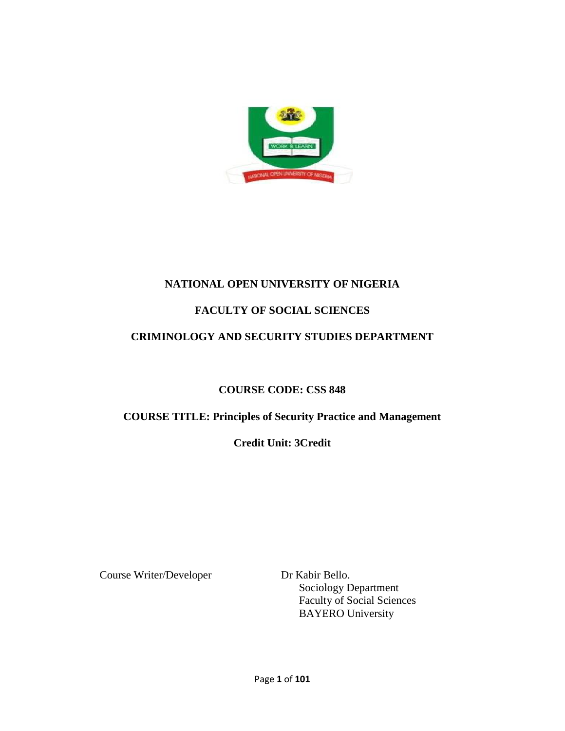

## **NATIONAL OPEN UNIVERSITY OF NIGERIA**

## **FACULTY OF SOCIAL SCIENCES**

## **CRIMINOLOGY AND SECURITY STUDIES DEPARTMENT**

## **COURSE CODE: CSS 848**

## **COURSE TITLE: Principles of Security Practice and Management**

## **Credit Unit: 3Credit**

Course Writer/Developer Dr Kabir Bello.

Sociology Department Faculty of Social Sciences BAYERO University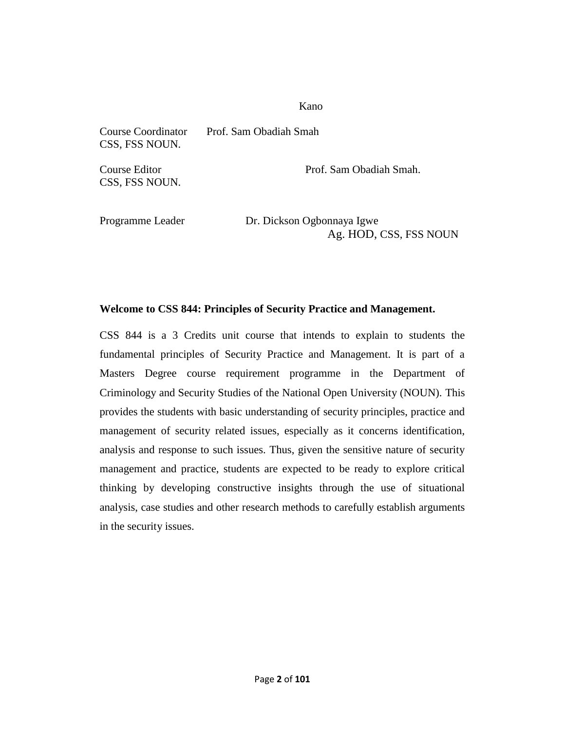#### Kano

Course Coordinator Prof. Sam Obadiah Smah CSS, FSS NOUN.

CSS, FSS NOUN.

Course Editor **Prof.** Sam Obadiah Smah.

Programme Leader Dr. Dickson Ogbonnaya Igwe Ag. HOD, CSS, FSS NOUN

#### **Welcome to CSS 844: Principles of Security Practice and Management.**

CSS 844 is a 3 Credits unit course that intends to explain to students the fundamental principles of Security Practice and Management. It is part of a Masters Degree course requirement programme in the Department of Criminology and Security Studies of the National Open University (NOUN). This provides the students with basic understanding of security principles, practice and management of security related issues, especially as it concerns identification, analysis and response to such issues. Thus, given the sensitive nature of security management and practice, students are expected to be ready to explore critical thinking by developing constructive insights through the use of situational analysis, case studies and other research methods to carefully establish arguments in the security issues.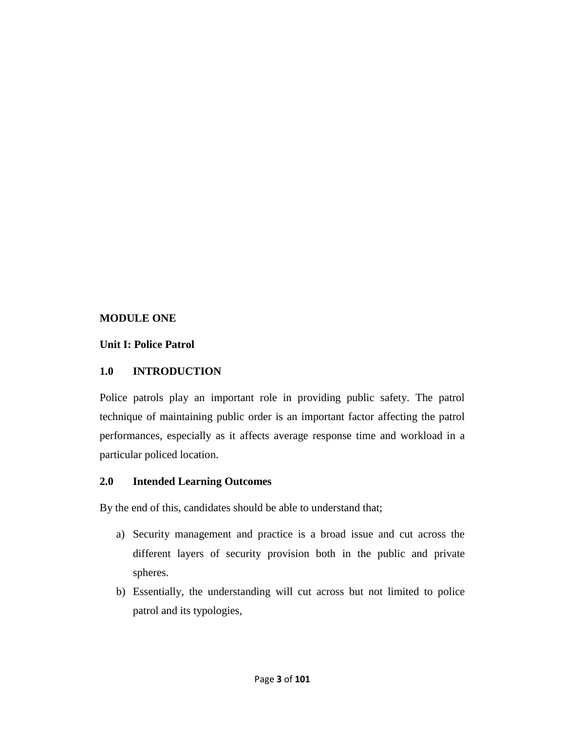## **MODULE ONE**

## **Unit I: Police Patrol**

## **1.0 INTRODUCTION**

Police patrols play an important role in providing public safety. The patrol technique of maintaining public order is an important factor affecting the patrol performances, especially as it affects average response time and workload in a particular policed location.

## **2.0 Intended Learning Outcomes**

By the end of this, candidates should be able to understand that;

- a) Security management and practice is a broad issue and cut across the different layers of security provision both in the public and private spheres.
- b) Essentially, the understanding will cut across but not limited to police patrol and its typologies,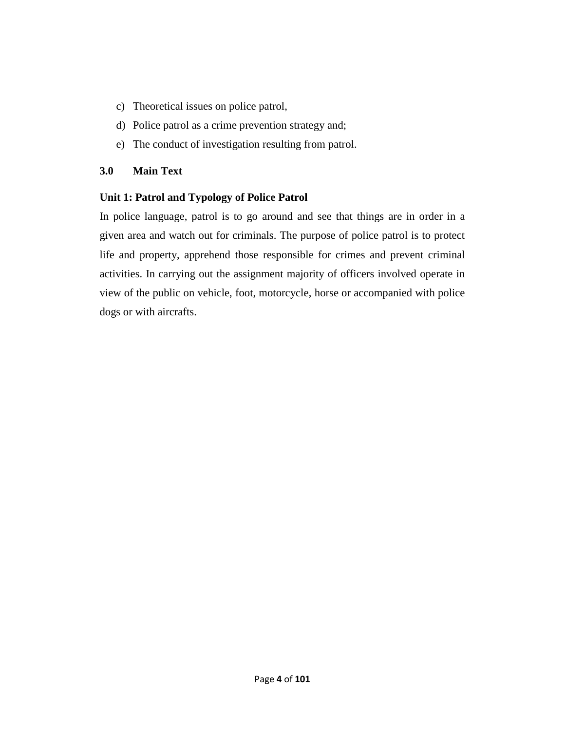- c) Theoretical issues on police patrol,
- d) Police patrol as a crime prevention strategy and;
- e) The conduct of investigation resulting from patrol.

#### **3.0 Main Text**

## **Unit 1: Patrol and Typology of Police Patrol**

In police language, patrol is to go around and see that things are in order in a given area and watch out for criminals. The purpose of police patrol is to protect life and property, apprehend those responsible for crimes and prevent criminal activities. In carrying out the assignment majority of officers involved operate in view of the public on vehicle, foot, motorcycle, horse or accompanied with police dogs or with aircrafts.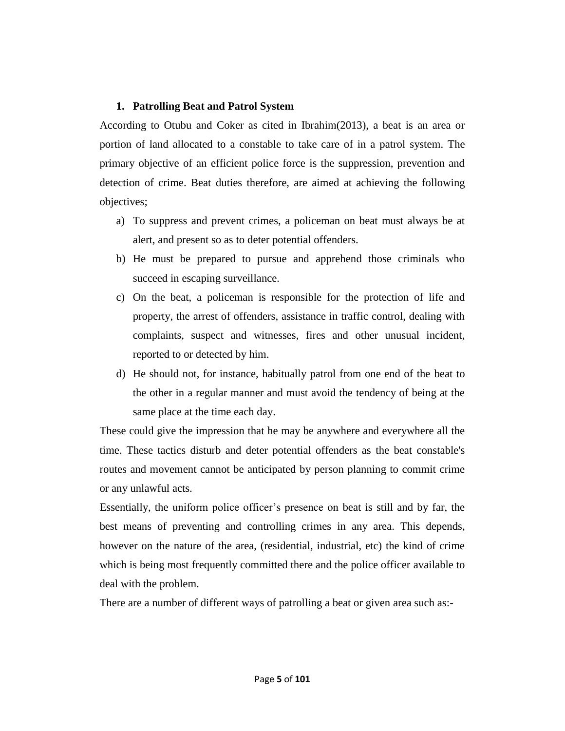#### **1. Patrolling Beat and Patrol System**

According to Otubu and Coker as cited in Ibrahim(2013), a beat is an area or portion of land allocated to a constable to take care of in a patrol system. The primary objective of an efficient police force is the suppression, prevention and detection of crime. Beat duties therefore, are aimed at achieving the following objectives;

- a) To suppress and prevent crimes, a policeman on beat must always be at alert, and present so as to deter potential offenders.
- b) He must be prepared to pursue and apprehend those criminals who succeed in escaping surveillance.
- c) On the beat, a policeman is responsible for the protection of life and property, the arrest of offenders, assistance in traffic control, dealing with complaints, suspect and witnesses, fires and other unusual incident, reported to or detected by him.
- d) He should not, for instance, habitually patrol from one end of the beat to the other in a regular manner and must avoid the tendency of being at the same place at the time each day.

These could give the impression that he may be anywhere and everywhere all the time. These tactics disturb and deter potential offenders as the beat constable's routes and movement cannot be anticipated by person planning to commit crime or any unlawful acts.

Essentially, the uniform police officer's presence on beat is still and by far, the best means of preventing and controlling crimes in any area. This depends, however on the nature of the area, (residential, industrial, etc) the kind of crime which is being most frequently committed there and the police officer available to deal with the problem.

There are a number of different ways of patrolling a beat or given area such as:-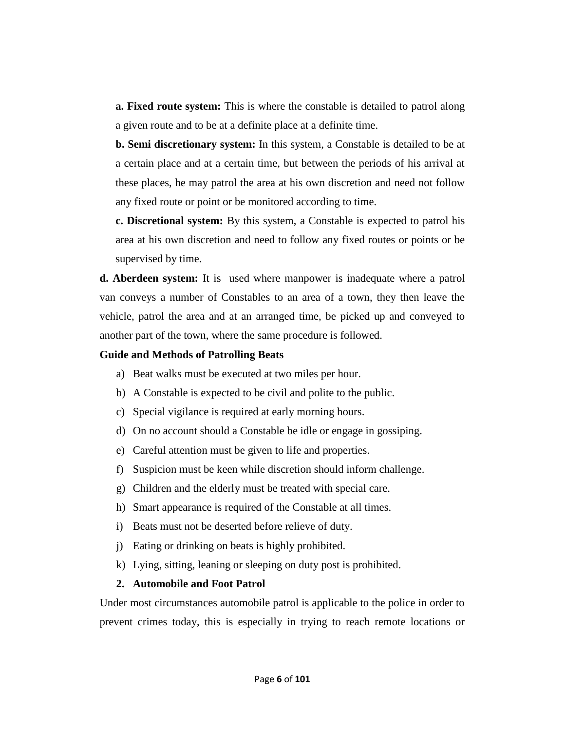**a. Fixed route system:** This is where the constable is detailed to patrol along a given route and to be at a definite place at a definite time.

**b. Semi discretionary system:** In this system, a Constable is detailed to be at a certain place and at a certain time, but between the periods of his arrival at these places, he may patrol the area at his own discretion and need not follow any fixed route or point or be monitored according to time.

**c. Discretional system:** By this system, a Constable is expected to patrol his area at his own discretion and need to follow any fixed routes or points or be supervised by time.

**d. Aberdeen system:** It is used where manpower is inadequate where a patrol van conveys a number of Constables to an area of a town, they then leave the vehicle, patrol the area and at an arranged time, be picked up and conveyed to another part of the town, where the same procedure is followed.

#### **Guide and Methods of Patrolling Beats**

- a) Beat walks must be executed at two miles per hour.
- b) A Constable is expected to be civil and polite to the public.
- c) Special vigilance is required at early morning hours.
- d) On no account should a Constable be idle or engage in gossiping.
- e) Careful attention must be given to life and properties.
- f) Suspicion must be keen while discretion should inform challenge.
- g) Children and the elderly must be treated with special care.
- h) Smart appearance is required of the Constable at all times.
- i) Beats must not be deserted before relieve of duty.
- j) Eating or drinking on beats is highly prohibited.
- k) Lying, sitting, leaning or sleeping on duty post is prohibited.

#### **2. Automobile and Foot Patrol**

Under most circumstances automobile patrol is applicable to the police in order to prevent crimes today, this is especially in trying to reach remote locations or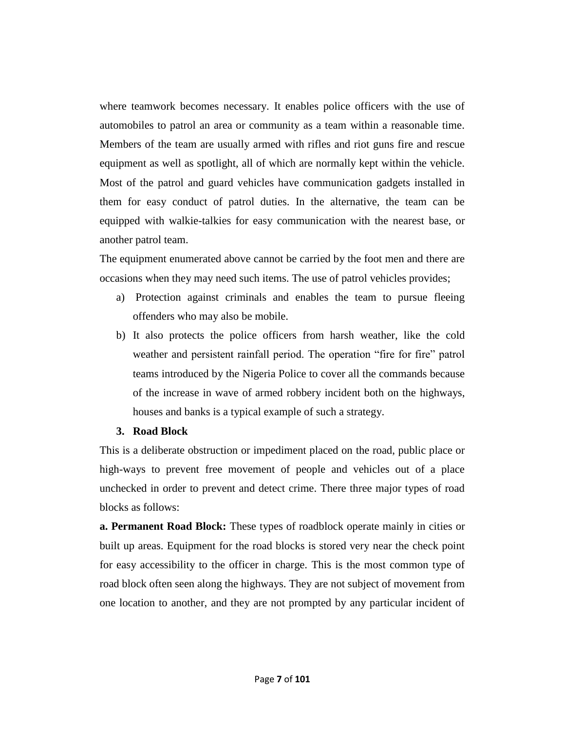where teamwork becomes necessary. It enables police officers with the use of automobiles to patrol an area or community as a team within a reasonable time. Members of the team are usually armed with rifles and riot guns fire and rescue equipment as well as spotlight, all of which are normally kept within the vehicle. Most of the patrol and guard vehicles have communication gadgets installed in them for easy conduct of patrol duties. In the alternative, the team can be equipped with walkie-talkies for easy communication with the nearest base, or another patrol team.

The equipment enumerated above cannot be carried by the foot men and there are occasions when they may need such items. The use of patrol vehicles provides;

- a) Protection against criminals and enables the team to pursue fleeing offenders who may also be mobile.
- b) It also protects the police officers from harsh weather, like the cold weather and persistent rainfall period. The operation "fire for fire" patrol teams introduced by the Nigeria Police to cover all the commands because of the increase in wave of armed robbery incident both on the highways, houses and banks is a typical example of such a strategy.

#### **3. Road Block**

This is a deliberate obstruction or impediment placed on the road, public place or high-ways to prevent free movement of people and vehicles out of a place unchecked in order to prevent and detect crime. There three major types of road blocks as follows:

**a. Permanent Road Block:** These types of roadblock operate mainly in cities or built up areas. Equipment for the road blocks is stored very near the check point for easy accessibility to the officer in charge. This is the most common type of road block often seen along the highways. They are not subject of movement from one location to another, and they are not prompted by any particular incident of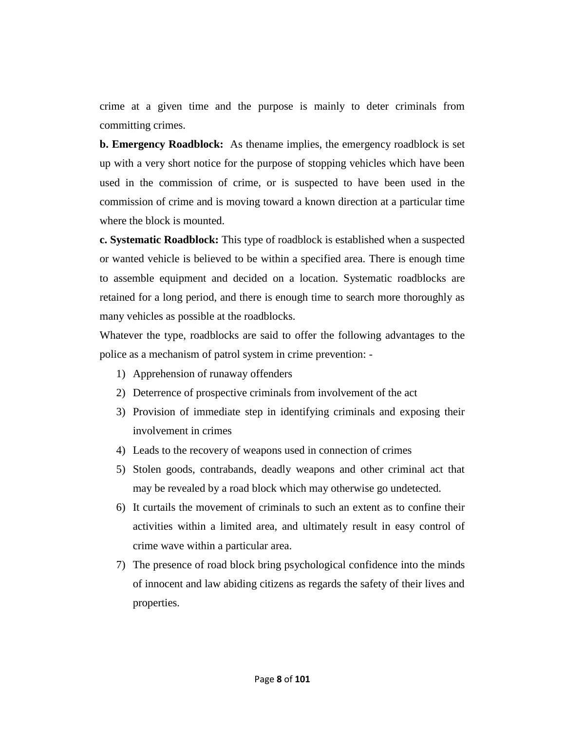crime at a given time and the purpose is mainly to deter criminals from committing crimes.

**b. Emergency Roadblock:** As thename implies, the emergency roadblock is set up with a very short notice for the purpose of stopping vehicles which have been used in the commission of crime, or is suspected to have been used in the commission of crime and is moving toward a known direction at a particular time where the block is mounted.

**c. Systematic Roadblock:** This type of roadblock is established when a suspected or wanted vehicle is believed to be within a specified area. There is enough time to assemble equipment and decided on a location. Systematic roadblocks are retained for a long period, and there is enough time to search more thoroughly as many vehicles as possible at the roadblocks.

Whatever the type, roadblocks are said to offer the following advantages to the police as a mechanism of patrol system in crime prevention: -

- 1) Apprehension of runaway offenders
- 2) Deterrence of prospective criminals from involvement of the act
- 3) Provision of immediate step in identifying criminals and exposing their involvement in crimes
- 4) Leads to the recovery of weapons used in connection of crimes
- 5) Stolen goods, contrabands, deadly weapons and other criminal act that may be revealed by a road block which may otherwise go undetected.
- 6) It curtails the movement of criminals to such an extent as to confine their activities within a limited area, and ultimately result in easy control of crime wave within a particular area.
- 7) The presence of road block bring psychological confidence into the minds of innocent and law abiding citizens as regards the safety of their lives and properties.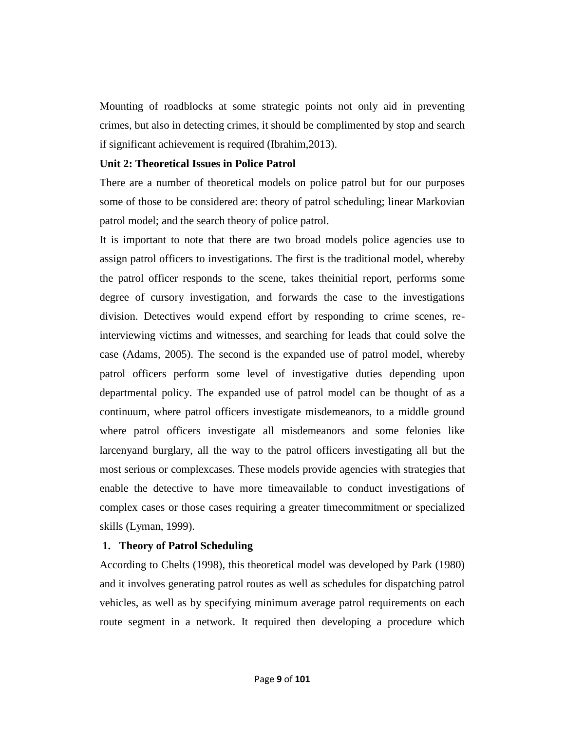Mounting of roadblocks at some strategic points not only aid in preventing crimes, but also in detecting crimes, it should be complimented by stop and search if significant achievement is required (Ibrahim,2013).

#### **Unit 2: Theoretical Issues in Police Patrol**

There are a number of theoretical models on police patrol but for our purposes some of those to be considered are: theory of patrol scheduling; linear Markovian patrol model; and the search theory of police patrol.

It is important to note that there are two broad models police agencies use to assign patrol officers to investigations. The first is the traditional model, whereby the patrol officer responds to the scene, takes theinitial report, performs some degree of cursory investigation, and forwards the case to the investigations division. Detectives would expend effort by responding to crime scenes, reinterviewing victims and witnesses, and searching for leads that could solve the case (Adams, 2005). The second is the expanded use of patrol model, whereby patrol officers perform some level of investigative duties depending upon departmental policy. The expanded use of patrol model can be thought of as a continuum, where patrol officers investigate misdemeanors, to a middle ground where patrol officers investigate all misdemeanors and some felonies like larcenyand burglary, all the way to the patrol officers investigating all but the most serious or complexcases. These models provide agencies with strategies that enable the detective to have more timeavailable to conduct investigations of complex cases or those cases requiring a greater timecommitment or specialized skills (Lyman, 1999).

#### **1. Theory of Patrol Scheduling**

According to Chelts (1998), this theoretical model was developed by Park (1980) and it involves generating patrol routes as well as schedules for dispatching patrol vehicles, as well as by specifying minimum average patrol requirements on each route segment in a network. It required then developing a procedure which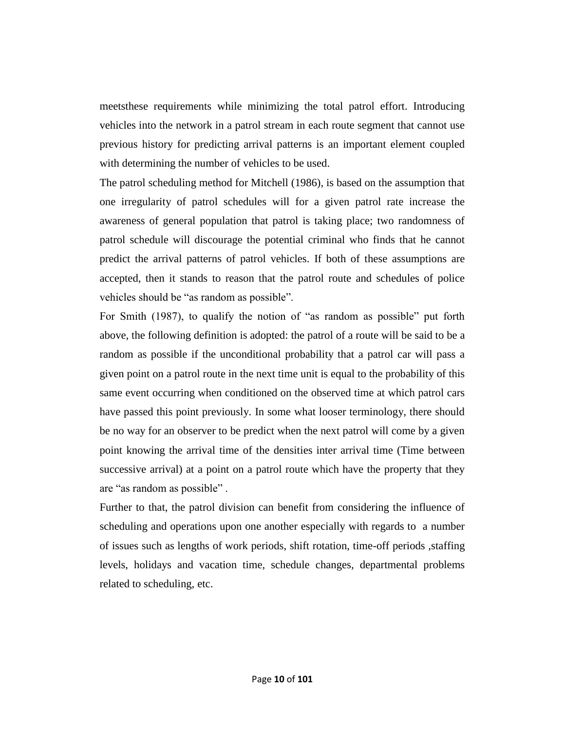meetsthese requirements while minimizing the total patrol effort. Introducing vehicles into the network in a patrol stream in each route segment that cannot use previous history for predicting arrival patterns is an important element coupled with determining the number of vehicles to be used.

The patrol scheduling method for Mitchell (1986), is based on the assumption that one irregularity of patrol schedules will for a given patrol rate increase the awareness of general population that patrol is taking place; two randomness of patrol schedule will discourage the potential criminal who finds that he cannot predict the arrival patterns of patrol vehicles. If both of these assumptions are accepted, then it stands to reason that the patrol route and schedules of police vehicles should be "as random as possible".

For Smith (1987), to qualify the notion of "as random as possible" put forth above, the following definition is adopted: the patrol of a route will be said to be a random as possible if the unconditional probability that a patrol car will pass a given point on a patrol route in the next time unit is equal to the probability of this same event occurring when conditioned on the observed time at which patrol cars have passed this point previously. In some what looser terminology, there should be no way for an observer to be predict when the next patrol will come by a given point knowing the arrival time of the densities inter arrival time (Time between successive arrival) at a point on a patrol route which have the property that they are "as random as possible".

Further to that, the patrol division can benefit from considering the influence of scheduling and operations upon one another especially with regards to a number of issues such as lengths of work periods, shift rotation, time-off periods ,staffing levels, holidays and vacation time, schedule changes, departmental problems related to scheduling, etc.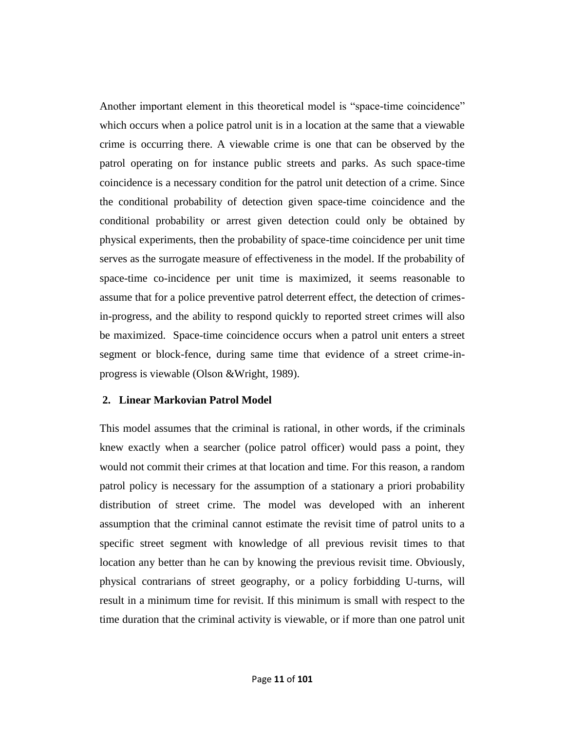Another important element in this theoretical model is "space-time coincidence" which occurs when a police patrol unit is in a location at the same that a viewable crime is occurring there. A viewable crime is one that can be observed by the patrol operating on for instance public streets and parks. As such space-time coincidence is a necessary condition for the patrol unit detection of a crime. Since the conditional probability of detection given space-time coincidence and the conditional probability or arrest given detection could only be obtained by physical experiments, then the probability of space-time coincidence per unit time serves as the surrogate measure of effectiveness in the model. If the probability of space-time co-incidence per unit time is maximized, it seems reasonable to assume that for a police preventive patrol deterrent effect, the detection of crimesin-progress, and the ability to respond quickly to reported street crimes will also be maximized. Space-time coincidence occurs when a patrol unit enters a street segment or block-fence, during same time that evidence of a street crime-inprogress is viewable (Olson &Wright, 1989).

#### **2. Linear Markovian Patrol Model**

This model assumes that the criminal is rational, in other words, if the criminals knew exactly when a searcher (police patrol officer) would pass a point, they would not commit their crimes at that location and time. For this reason, a random patrol policy is necessary for the assumption of a stationary a priori probability distribution of street crime. The model was developed with an inherent assumption that the criminal cannot estimate the revisit time of patrol units to a specific street segment with knowledge of all previous revisit times to that location any better than he can by knowing the previous revisit time. Obviously, physical contrarians of street geography, or a policy forbidding U-turns, will result in a minimum time for revisit. If this minimum is small with respect to the time duration that the criminal activity is viewable, or if more than one patrol unit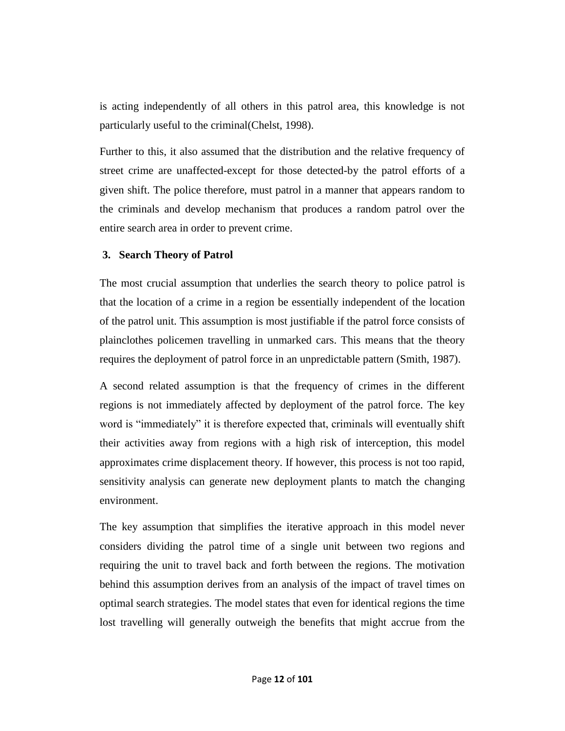is acting independently of all others in this patrol area, this knowledge is not particularly useful to the criminal(Chelst, 1998).

Further to this, it also assumed that the distribution and the relative frequency of street crime are unaffected-except for those detected-by the patrol efforts of a given shift. The police therefore, must patrol in a manner that appears random to the criminals and develop mechanism that produces a random patrol over the entire search area in order to prevent crime.

#### **3. Search Theory of Patrol**

The most crucial assumption that underlies the search theory to police patrol is that the location of a crime in a region be essentially independent of the location of the patrol unit. This assumption is most justifiable if the patrol force consists of plainclothes policemen travelling in unmarked cars. This means that the theory requires the deployment of patrol force in an unpredictable pattern (Smith, 1987).

A second related assumption is that the frequency of crimes in the different regions is not immediately affected by deployment of the patrol force. The key word is "immediately" it is therefore expected that, criminals will eventually shift their activities away from regions with a high risk of interception, this model approximates crime displacement theory. If however, this process is not too rapid, sensitivity analysis can generate new deployment plants to match the changing environment.

The key assumption that simplifies the iterative approach in this model never considers dividing the patrol time of a single unit between two regions and requiring the unit to travel back and forth between the regions. The motivation behind this assumption derives from an analysis of the impact of travel times on optimal search strategies. The model states that even for identical regions the time lost travelling will generally outweigh the benefits that might accrue from the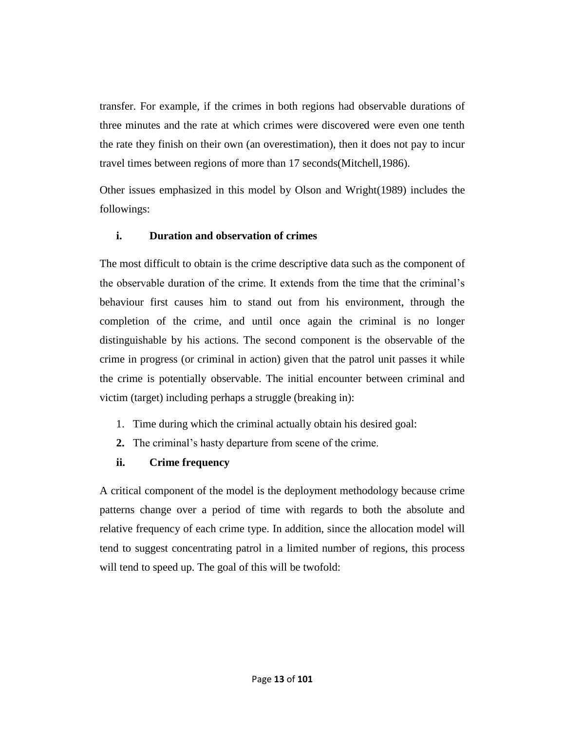transfer. For example, if the crimes in both regions had observable durations of three minutes and the rate at which crimes were discovered were even one tenth the rate they finish on their own (an overestimation), then it does not pay to incur travel times between regions of more than 17 seconds(Mitchell,1986).

Other issues emphasized in this model by Olson and Wright(1989) includes the followings:

## **i. Duration and observation of crimes**

The most difficult to obtain is the crime descriptive data such as the component of the observable duration of the crime. It extends from the time that the criminal's behaviour first causes him to stand out from his environment, through the completion of the crime, and until once again the criminal is no longer distinguishable by his actions. The second component is the observable of the crime in progress (or criminal in action) given that the patrol unit passes it while the crime is potentially observable. The initial encounter between criminal and victim (target) including perhaps a struggle (breaking in):

- 1. Time during which the criminal actually obtain his desired goal:
- **2.** The criminal's hasty departure from scene of the crime.

## **ii. Crime frequency**

A critical component of the model is the deployment methodology because crime patterns change over a period of time with regards to both the absolute and relative frequency of each crime type. In addition, since the allocation model will tend to suggest concentrating patrol in a limited number of regions, this process will tend to speed up. The goal of this will be twofold: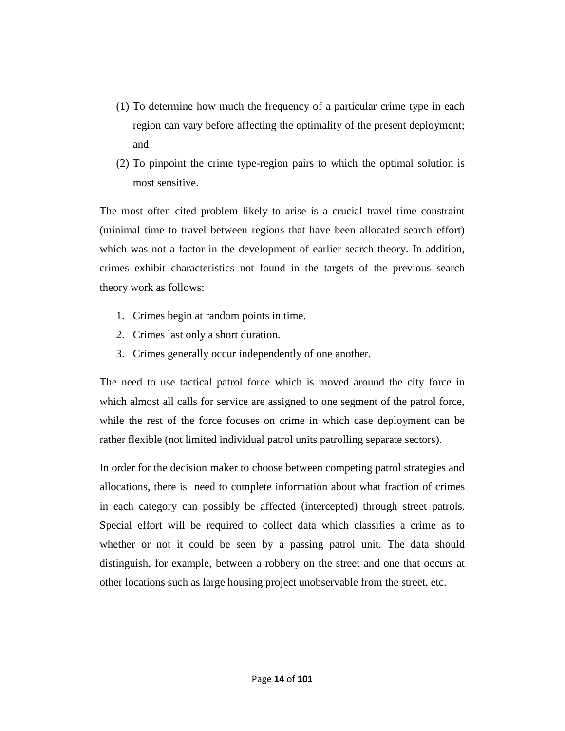- (1) To determine how much the frequency of a particular crime type in each region can vary before affecting the optimality of the present deployment; and
- (2) To pinpoint the crime type-region pairs to which the optimal solution is most sensitive.

The most often cited problem likely to arise is a crucial travel time constraint (minimal time to travel between regions that have been allocated search effort) which was not a factor in the development of earlier search theory. In addition, crimes exhibit characteristics not found in the targets of the previous search theory work as follows:

- 1. Crimes begin at random points in time.
- 2. Crimes last only a short duration.
- 3. Crimes generally occur independently of one another.

The need to use tactical patrol force which is moved around the city force in which almost all calls for service are assigned to one segment of the patrol force, while the rest of the force focuses on crime in which case deployment can be rather flexible (not limited individual patrol units patrolling separate sectors).

In order for the decision maker to choose between competing patrol strategies and allocations, there is need to complete information about what fraction of crimes in each category can possibly be affected (intercepted) through street patrols. Special effort will be required to collect data which classifies a crime as to whether or not it could be seen by a passing patrol unit. The data should distinguish, for example, between a robbery on the street and one that occurs at other locations such as large housing project unobservable from the street, etc.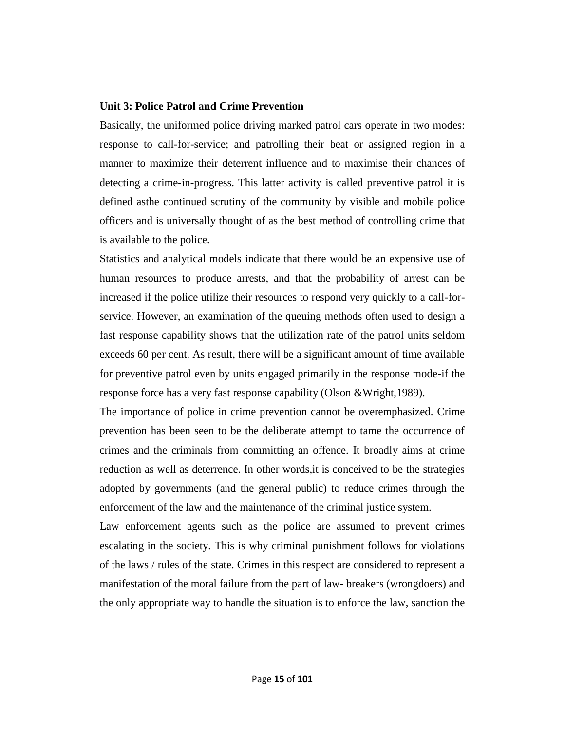#### **Unit 3: Police Patrol and Crime Prevention**

Basically, the uniformed police driving marked patrol cars operate in two modes: response to call-for-service; and patrolling their beat or assigned region in a manner to maximize their deterrent influence and to maximise their chances of detecting a crime-in-progress. This latter activity is called preventive patrol it is defined asthe continued scrutiny of the community by visible and mobile police officers and is universally thought of as the best method of controlling crime that is available to the police.

Statistics and analytical models indicate that there would be an expensive use of human resources to produce arrests, and that the probability of arrest can be increased if the police utilize their resources to respond very quickly to a call-forservice. However, an examination of the queuing methods often used to design a fast response capability shows that the utilization rate of the patrol units seldom exceeds 60 per cent. As result, there will be a significant amount of time available for preventive patrol even by units engaged primarily in the response mode-if the response force has a very fast response capability (Olson &Wright,1989).

The importance of police in crime prevention cannot be overemphasized. Crime prevention has been seen to be the deliberate attempt to tame the occurrence of crimes and the criminals from committing an offence. It broadly aims at crime reduction as well as deterrence. In other words,it is conceived to be the strategies adopted by governments (and the general public) to reduce crimes through the enforcement of the law and the maintenance of the criminal justice system.

Law enforcement agents such as the police are assumed to prevent crimes escalating in the society. This is why criminal punishment follows for violations of the laws / rules of the state. Crimes in this respect are considered to represent a manifestation of the moral failure from the part of law- breakers (wrongdoers) and the only appropriate way to handle the situation is to enforce the law, sanction the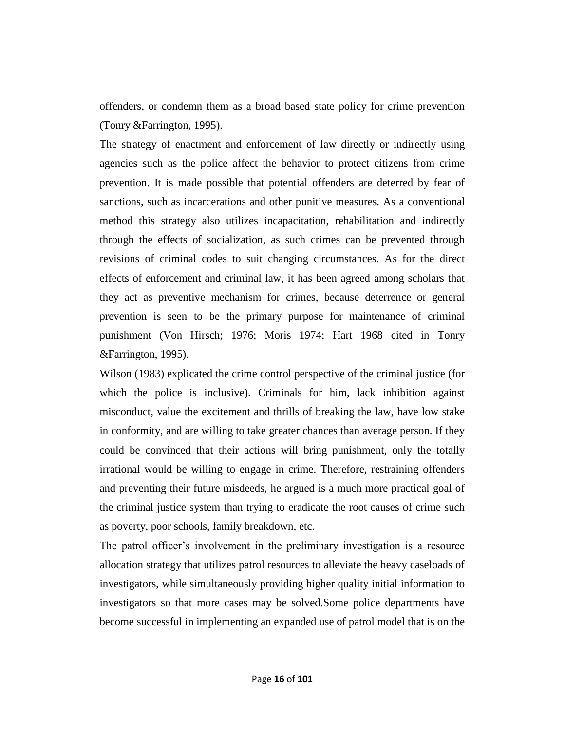offenders, or condemn them as a broad based state policy for crime prevention (Tonry &Farrington, 1995).

The strategy of enactment and enforcement of law directly or indirectly using agencies such as the police affect the behavior to protect citizens from crime prevention. It is made possible that potential offenders are deterred by fear of sanctions, such as incarcerations and other punitive measures. As a conventional method this strategy also utilizes incapacitation, rehabilitation and indirectly through the effects of socialization, as such crimes can be prevented through revisions of criminal codes to suit changing circumstances. As for the direct effects of enforcement and criminal law, it has been agreed among scholars that they act as preventive mechanism for crimes, because deterrence or general prevention is seen to be the primary purpose for maintenance of criminal punishment (Von Hirsch; 1976; Moris 1974; Hart 1968 cited in Tonry &Farrington, 1995).

Wilson (1983) explicated the crime control perspective of the criminal justice (for which the police is inclusive). Criminals for him, lack inhibition against misconduct, value the excitement and thrills of breaking the law, have low stake in conformity, and are willing to take greater chances than average person. If they could be convinced that their actions will bring punishment, only the totally irrational would be willing to engage in crime. Therefore, restraining offenders and preventing their future misdeeds, he argued is a much more practical goal of the criminal justice system than trying to eradicate the root causes of crime such as poverty, poor schools, family breakdown, etc.

The patrol officer's involvement in the preliminary investigation is a resource allocation strategy that utilizes patrol resources to alleviate the heavy caseloads of investigators, while simultaneously providing higher quality initial information to investigators so that more cases may be solved.Some police departments have become successful in implementing an expanded use of patrol model that is on the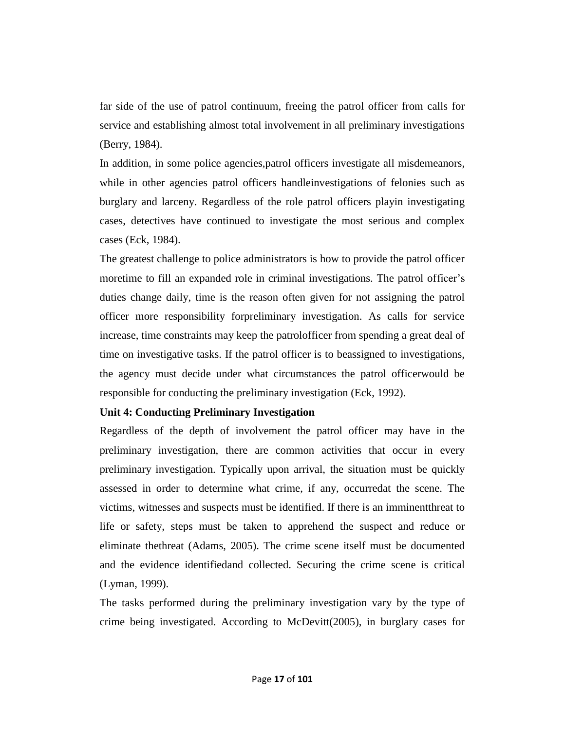far side of the use of patrol continuum, freeing the patrol officer from calls for service and establishing almost total involvement in all preliminary investigations (Berry, 1984).

In addition, in some police agencies,patrol officers investigate all misdemeanors, while in other agencies patrol officers handleinvestigations of felonies such as burglary and larceny. Regardless of the role patrol officers playin investigating cases, detectives have continued to investigate the most serious and complex cases (Eck, 1984).

The greatest challenge to police administrators is how to provide the patrol officer moretime to fill an expanded role in criminal investigations. The patrol officer's duties change daily, time is the reason often given for not assigning the patrol officer more responsibility forpreliminary investigation. As calls for service increase, time constraints may keep the patrolofficer from spending a great deal of time on investigative tasks. If the patrol officer is to beassigned to investigations, the agency must decide under what circumstances the patrol officerwould be responsible for conducting the preliminary investigation (Eck, 1992).

#### **Unit 4: Conducting Preliminary Investigation**

Regardless of the depth of involvement the patrol officer may have in the preliminary investigation, there are common activities that occur in every preliminary investigation. Typically upon arrival, the situation must be quickly assessed in order to determine what crime, if any, occurredat the scene. The victims, witnesses and suspects must be identified. If there is an imminentthreat to life or safety, steps must be taken to apprehend the suspect and reduce or eliminate thethreat (Adams, 2005). The crime scene itself must be documented and the evidence identifiedand collected. Securing the crime scene is critical (Lyman, 1999).

The tasks performed during the preliminary investigation vary by the type of crime being investigated. According to McDevitt(2005), in burglary cases for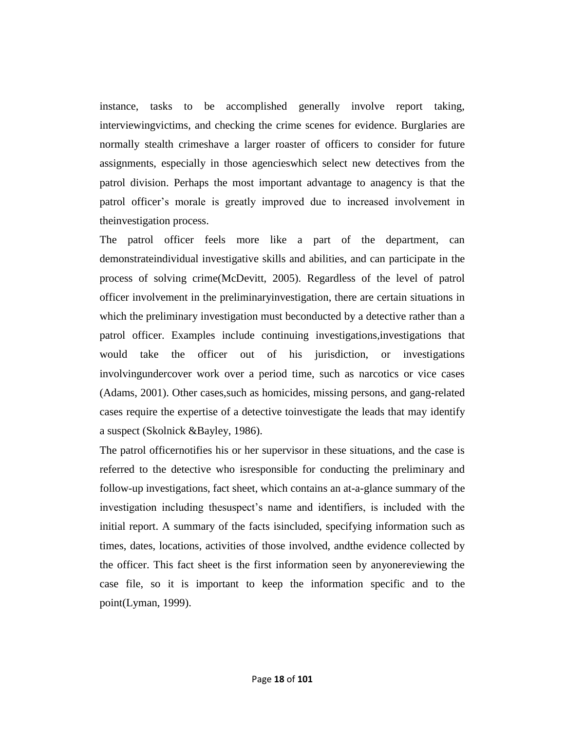instance, tasks to be accomplished generally involve report taking, interviewingvictims, and checking the crime scenes for evidence. Burglaries are normally stealth crimeshave a larger roaster of officers to consider for future assignments, especially in those agencieswhich select new detectives from the patrol division. Perhaps the most important advantage to anagency is that the patrol officer's morale is greatly improved due to increased involvement in theinvestigation process.

The patrol officer feels more like a part of the department, can demonstrateindividual investigative skills and abilities, and can participate in the process of solving crime(McDevitt, 2005). Regardless of the level of patrol officer involvement in the preliminaryinvestigation, there are certain situations in which the preliminary investigation must beconducted by a detective rather than a patrol officer. Examples include continuing investigations,investigations that would take the officer out of his jurisdiction, or investigations involvingundercover work over a period time, such as narcotics or vice cases (Adams, 2001). Other cases,such as homicides, missing persons, and gang-related cases require the expertise of a detective toinvestigate the leads that may identify a suspect (Skolnick &Bayley, 1986).

The patrol officernotifies his or her supervisor in these situations, and the case is referred to the detective who isresponsible for conducting the preliminary and follow-up investigations, fact sheet, which contains an at-a-glance summary of the investigation including thesuspect's name and identifiers, is included with the initial report. A summary of the facts isincluded, specifying information such as times, dates, locations, activities of those involved, andthe evidence collected by the officer. This fact sheet is the first information seen by anyonereviewing the case file, so it is important to keep the information specific and to the point(Lyman, 1999).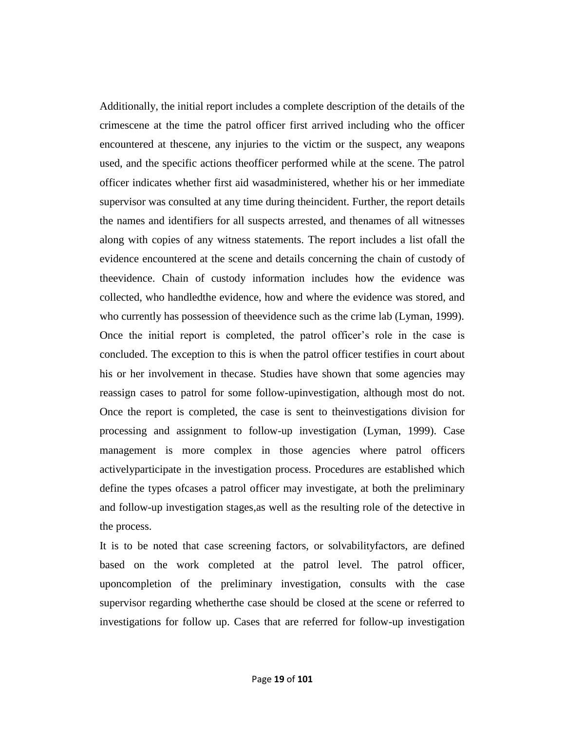Additionally, the initial report includes a complete description of the details of the crimescene at the time the patrol officer first arrived including who the officer encountered at thescene, any injuries to the victim or the suspect, any weapons used, and the specific actions theofficer performed while at the scene. The patrol officer indicates whether first aid wasadministered, whether his or her immediate supervisor was consulted at any time during theincident. Further, the report details the names and identifiers for all suspects arrested, and thenames of all witnesses along with copies of any witness statements. The report includes a list ofall the evidence encountered at the scene and details concerning the chain of custody of theevidence. Chain of custody information includes how the evidence was collected, who handledthe evidence, how and where the evidence was stored, and who currently has possession of theevidence such as the crime lab (Lyman, 1999). Once the initial report is completed, the patrol officer's role in the case is concluded. The exception to this is when the patrol officer testifies in court about his or her involvement in thecase. Studies have shown that some agencies may reassign cases to patrol for some follow-upinvestigation, although most do not. Once the report is completed, the case is sent to theinvestigations division for processing and assignment to follow-up investigation (Lyman, 1999). Case management is more complex in those agencies where patrol officers activelyparticipate in the investigation process. Procedures are established which define the types ofcases a patrol officer may investigate, at both the preliminary and follow-up investigation stages,as well as the resulting role of the detective in the process.

It is to be noted that case screening factors, or solvabilityfactors, are defined based on the work completed at the patrol level. The patrol officer, uponcompletion of the preliminary investigation, consults with the case supervisor regarding whetherthe case should be closed at the scene or referred to investigations for follow up. Cases that are referred for follow-up investigation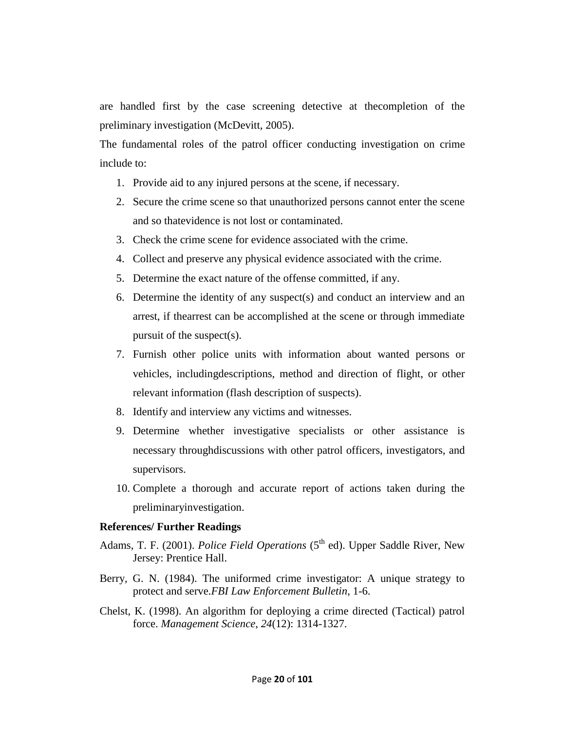are handled first by the case screening detective at thecompletion of the preliminary investigation (McDevitt, 2005).

The fundamental roles of the patrol officer conducting investigation on crime include to:

- 1. Provide aid to any injured persons at the scene, if necessary.
- 2. Secure the crime scene so that unauthorized persons cannot enter the scene and so thatevidence is not lost or contaminated.
- 3. Check the crime scene for evidence associated with the crime.
- 4. Collect and preserve any physical evidence associated with the crime.
- 5. Determine the exact nature of the offense committed, if any.
- 6. Determine the identity of any suspect(s) and conduct an interview and an arrest, if thearrest can be accomplished at the scene or through immediate pursuit of the suspect(s).
- 7. Furnish other police units with information about wanted persons or vehicles, includingdescriptions, method and direction of flight, or other relevant information (flash description of suspects).
- 8. Identify and interview any victims and witnesses.
- 9. Determine whether investigative specialists or other assistance is necessary throughdiscussions with other patrol officers, investigators, and supervisors.
- 10. Complete a thorough and accurate report of actions taken during the preliminaryinvestigation.

#### **References/ Further Readings**

- Adams, T. F. (2001). *Police Field Operations* (5<sup>th</sup> ed). Upper Saddle River, New Jersey: Prentice Hall.
- Berry, G. N. (1984). The uniformed crime investigator: A unique strategy to protect and serve.*FBI Law Enforcement Bulletin*, 1-6.
- Chelst, K. (1998). An algorithm for deploying a crime directed (Tactical) patrol force. *Management Science*, *24*(12): 1314-1327.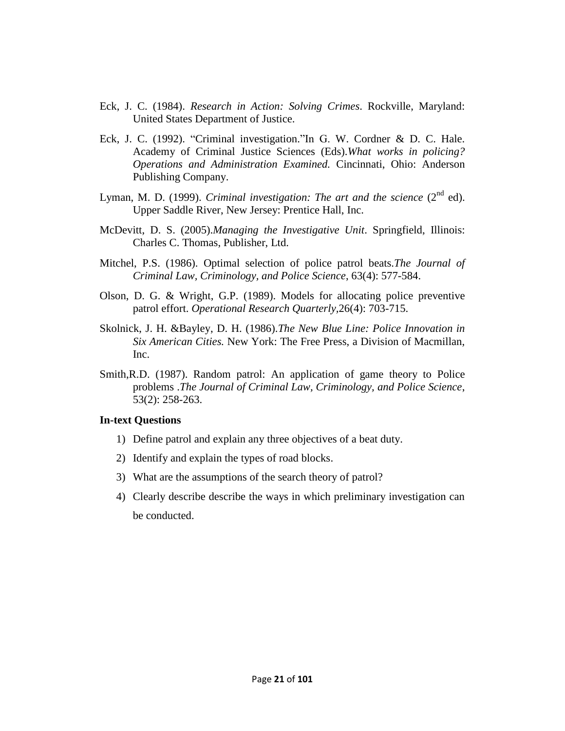- Eck, J. C. (1984). *Research in Action: Solving Crimes*. Rockville, Maryland: United States Department of Justice.
- Eck, J. C. (1992). "Criminal investigation."In G. W. Cordner & D. C. Hale. Academy of Criminal Justice Sciences (Eds).*What works in policing? Operations and Administration Examined.* Cincinnati, Ohio: Anderson Publishing Company.
- Lyman, M. D. (1999). *Criminal investigation: The art and the science*  $(2^{nd}$  ed). Upper Saddle River, New Jersey: Prentice Hall, Inc.
- McDevitt, D. S. (2005).*Managing the Investigative Unit*. Springfield, Illinois: Charles C. Thomas, Publisher, Ltd.
- Mitchel, P.S. (1986). Optimal selection of police patrol beats.*The Journal of Criminal Law, Criminology, and Police Science*, 63(4): 577-584.
- Olson, D. G. & Wright, G.P. (1989). Models for allocating police preventive patrol effort. *Operational Research Quarterly,*26(4): 703-715.
- Skolnick, J. H. &Bayley, D. H. (1986).*The New Blue Line: Police Innovation in Six American Cities.* New York: The Free Press, a Division of Macmillan, Inc.
- Smith,R.D. (1987). Random patrol: An application of game theory to Police problems .*The Journal of Criminal Law, Criminology, and Police Science*, 53(2): 258-263.

#### **In-text Questions**

- 1) Define patrol and explain any three objectives of a beat duty.
- 2) Identify and explain the types of road blocks.
- 3) What are the assumptions of the search theory of patrol?
- 4) Clearly describe describe the ways in which preliminary investigation can be conducted.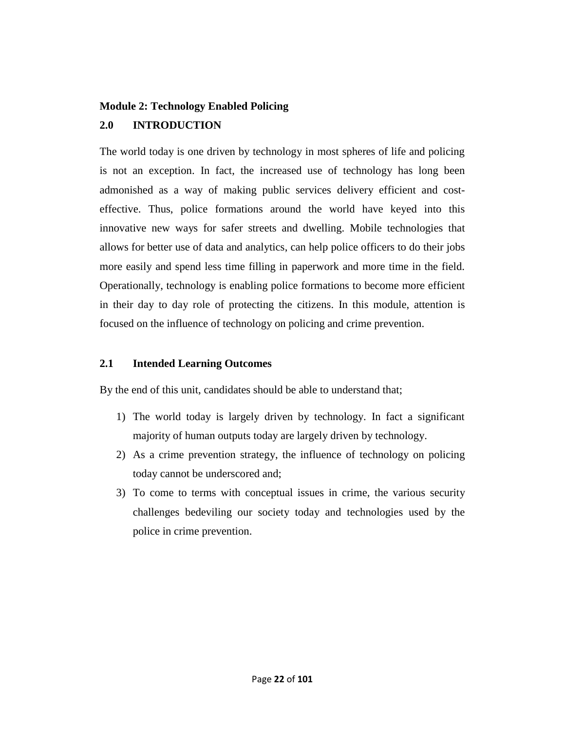## **Module 2: Technology Enabled Policing**

# **2.0 INTRODUCTION**

The world today is one driven by technology in most spheres of life and policing is not an exception. In fact, the increased use of technology has long been admonished as a way of making public services delivery efficient and costeffective. Thus, [police formations around the world have keyed into this](https://www.uk.insight.com/solve/public-sector/police)  [innovative new ways](https://www.uk.insight.com/solve/public-sector/police) for safer streets and dwelling. Mobile technologies that allows for [better use of data and analytics,](https://www.uk.insight.com/learn/articles/2017-01-12-the-explosive-effects-of-data) can help police officers to do their jobs more easily and spend less time filling in paperwork and more time in the field. Operationally, technology is enabling police formations to become more efficient in their day to day role of protecting the citizens. In this module, attention is focused on the influence of technology on policing and crime prevention.

## **2.1 Intended Learning Outcomes**

By the end of this unit, candidates should be able to understand that;

- 1) The world today is largely driven by technology. In fact a significant majority of human outputs today are largely driven by technology.
- 2) As a crime prevention strategy, the influence of technology on policing today cannot be underscored and;
- 3) To come to terms with conceptual issues in crime, the various security challenges bedeviling our society today and technologies used by the police in crime prevention.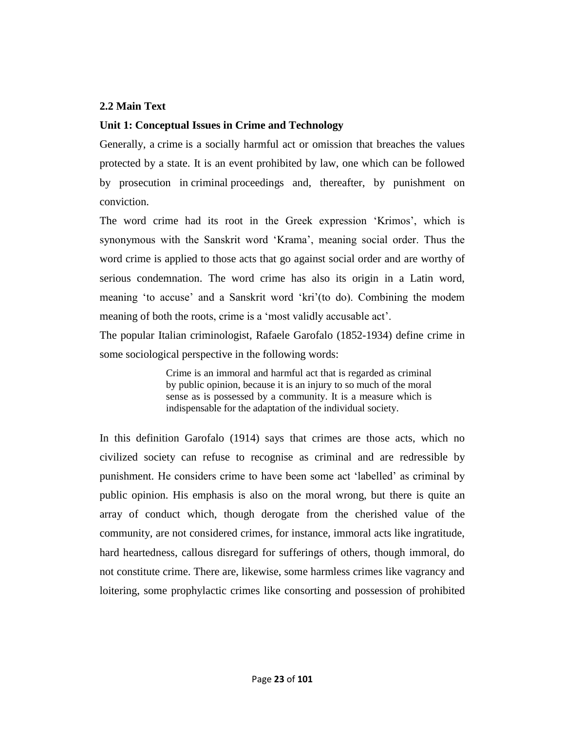#### **2.2 Main Text**

#### **Unit 1: Conceptual Issues in Crime and Technology**

Generally, a crime is a socially harmful act or omission that breaches the values protected by a state. It is an event prohibited by law, one which can be followed by prosecution in criminal proceedings and, thereafter, by punishment on conviction.

The word crime had its root in the Greek expression 'Krimos', which is synonymous with the Sanskrit word ‗Krama', meaning social order. Thus the word crime is applied to those acts that go against social order and are worthy of serious condemnation. The word crime has also its origin in a Latin word, meaning 'to accuse' and a Sanskrit word 'kri'(to do). Combining the modem meaning of both the roots, crime is a 'most validly accusable act'.

The popular Italian criminologist, Rafaele Garofalo (1852-1934) define crime in some sociological perspective in the following words:

> Crime is an immoral and harmful act that is regarded as criminal by public opinion, because it is an injury to so much of the moral sense as is possessed by a community. It is a measure which is indispensable for the adaptation of the individual society.

In this definition Garofalo (1914) says that crimes are those acts, which no civilized society can refuse to recognise as criminal and are redressible by punishment. He considers crime to have been some act ‗labelled' as criminal by public opinion. His emphasis is also on the moral wrong, but there is quite an array of conduct which, though derogate from the cherished value of the community, are not considered crimes, for instance, immoral acts like ingratitude, hard heartedness, callous disregard for sufferings of others, though immoral, do not constitute crime. There are, likewise, some harmless crimes like vagrancy and loitering, some prophylactic crimes like consorting and possession of prohibited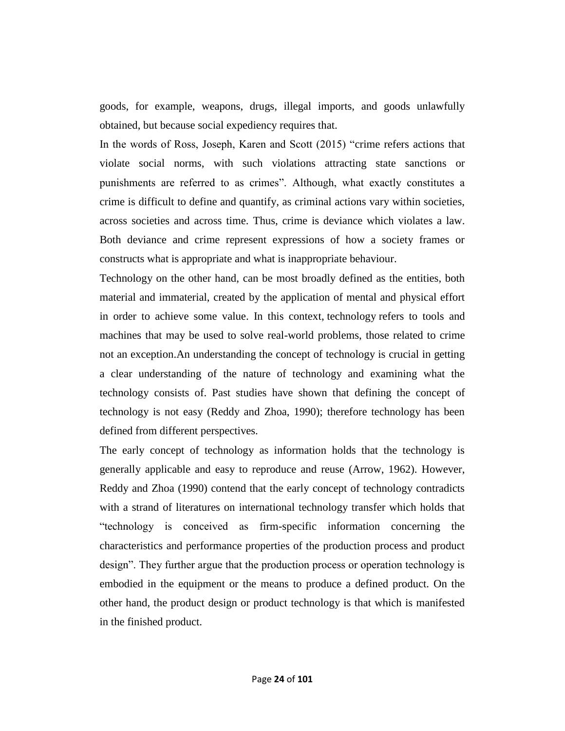goods, for example, weapons, drugs, illegal imports, and goods unlawfully obtained, but because social expediency requires that.

In the words of Ross, Joseph, Karen and Scott (2015) "crime refers actions that violate social norms, with such violations attracting state sanctions or punishments are referred to as crimes". Although, what exactly constitutes a crime is difficult to define and quantify, as criminal actions vary within societies, across societies and across time. Thus, crime is deviance which violates a law. Both deviance and crime represent expressions of how a society frames or constructs what is appropriate and what is inappropriate behaviour.

Technology on the other hand, can be most broadly defined as the entities, both material and immaterial, created by the application of mental and physical effort in order to achieve some value. In this context, technology refers to tools and machines that may be used to solve real-world problems, those related to crime not an exception.An understanding the concept of technology is crucial in getting a clear understanding of the nature of technology and examining what the technology consists of. Past studies have shown that defining the concept of technology is not easy (Reddy and Zhoa, 1990); therefore technology has been defined from different perspectives.

The early concept of technology as information holds that the technology is generally applicable and easy to reproduce and reuse (Arrow, 1962). However, Reddy and Zhoa (1990) contend that the early concept of technology contradicts with a strand of literatures on international technology transfer which holds that ―technology is conceived as firm-specific information concerning the characteristics and performance properties of the production process and product design". They further argue that the production process or operation technology is embodied in the equipment or the means to produce a defined product. On the other hand, the product design or product technology is that which is manifested in the finished product.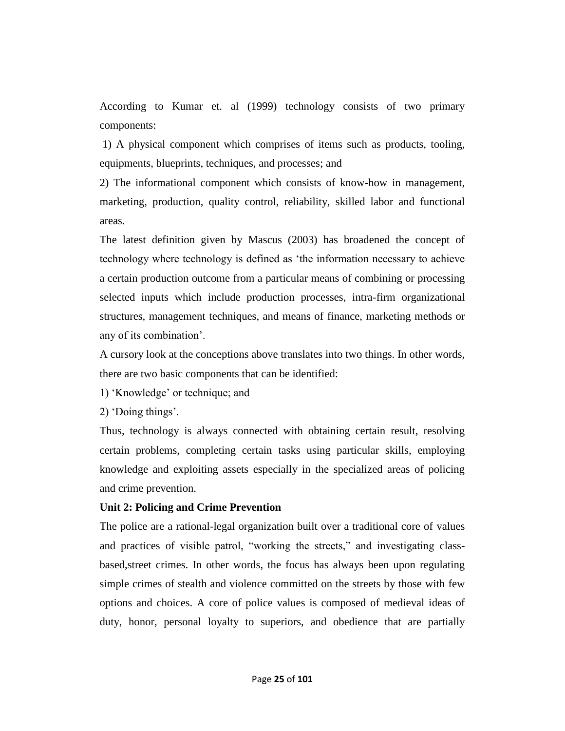According to Kumar et. al (1999) technology consists of two primary components:

1) A physical component which comprises of items such as products, tooling, equipments, blueprints, techniques, and processes; and

2) The informational component which consists of know-how in management, marketing, production, quality control, reliability, skilled labor and functional areas.

The latest definition given by Mascus (2003) has broadened the concept of technology where technology is defined as 'the information necessary to achieve a certain production outcome from a particular means of combining or processing selected inputs which include production processes, intra-firm organizational structures, management techniques, and means of finance, marketing methods or any of its combination'.

A cursory look at the conceptions above translates into two things. In other words, there are two basic components that can be identified:

1) ‗Knowledge' or technique; and

2) 'Doing things'.

Thus, technology is always connected with obtaining certain result, resolving certain problems, completing certain tasks using particular skills, employing knowledge and exploiting assets especially in the specialized areas of policing and crime prevention.

#### **Unit 2: Policing and Crime Prevention**

The police are a rational-legal organization built over a traditional core of values and practices of visible patrol, "working the streets," and investigating classbased,street crimes. In other words, the focus has always been upon regulating simple crimes of stealth and violence committed on the streets by those with few options and choices. A core of police values is composed of medieval ideas of duty, honor, personal loyalty to superiors, and obedience that are partially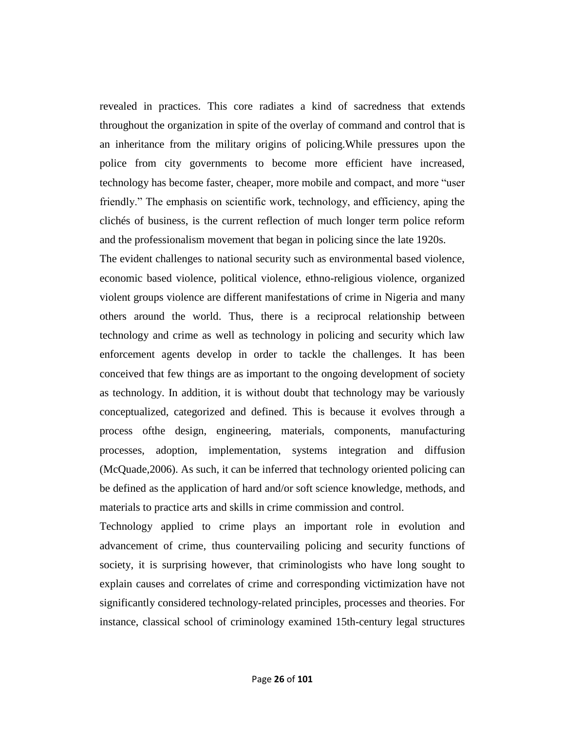revealed in practices. This core radiates a kind of sacredness that extends throughout the organization in spite of the overlay of command and control that is an inheritance from the military origins of policing.While pressures upon the police from city governments to become more efficient have increased, technology has become faster, cheaper, more mobile and compact, and more "user friendly.‖ The emphasis on scientific work, technology, and efficiency, aping the clichés of business, is the current reflection of much longer term police reform and the professionalism movement that began in policing since the late 1920s.

The evident challenges to national security such as environmental based violence, economic based violence, political violence, ethno-religious violence, organized violent groups violence are different manifestations of crime in Nigeria and many others around the world. Thus, there is a reciprocal relationship between technology and crime as well as technology in policing and security which law enforcement agents develop in order to tackle the challenges. It has been conceived that few things are as important to the ongoing development of society as technology. In addition, it is without doubt that technology may be variously conceptualized, categorized and defined. This is because it evolves through a process ofthe design, engineering, materials, components, manufacturing processes, adoption, implementation, systems integration and diffusion (McQuade,2006). As such, it can be inferred that technology oriented policing can be defined as the application of hard and/or soft science knowledge, methods, and materials to practice arts and skills in crime commission and control.

Technology applied to crime plays an important role in evolution and advancement of crime, thus countervailing policing and security functions of society, it is surprising however, that criminologists who have long sought to explain causes and correlates of crime and corresponding victimization have not significantly considered technology-related principles, processes and theories. For instance, classical school of criminology examined 15th-century legal structures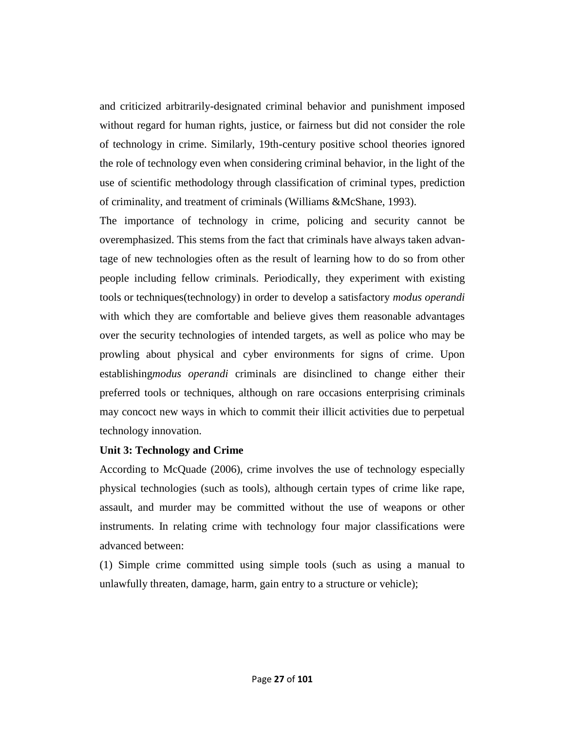and criticized arbitrarily-designated criminal behavior and punishment imposed without regard for human rights, justice, or fairness but did not consider the role of technology in crime. Similarly, 19th-century positive school theories ignored the role of technology even when considering criminal behavior, in the light of the use of scientific methodology through classification of criminal types, prediction of criminality, and treatment of criminals (Williams &McShane, 1993).

The importance of technology in crime, policing and security cannot be overemphasized. This stems from the fact that criminals have always taken advantage of new technologies often as the result of learning how to do so from other people including fellow criminals. Periodically, they experiment with existing tools or techniques(technology) in order to develop a satisfactory *modus operandi*  with which they are comfortable and believe gives them reasonable advantages over the security technologies of intended targets, as well as police who may be prowling about physical and cyber environments for signs of crime. Upon establishing*modus operandi* criminals are disinclined to change either their preferred tools or techniques, although on rare occasions enterprising criminals may concoct new ways in which to commit their illicit activities due to perpetual technology innovation.

#### **Unit 3: Technology and Crime**

According to McQuade (2006), crime involves the use of technology especially physical technologies (such as tools), although certain types of crime like rape, assault, and murder may be committed without the use of weapons or other instruments. In relating crime with technology four major classifications were advanced between:

(1) Simple crime committed using simple tools (such as using a manual to unlawfully threaten, damage, harm, gain entry to a structure or vehicle);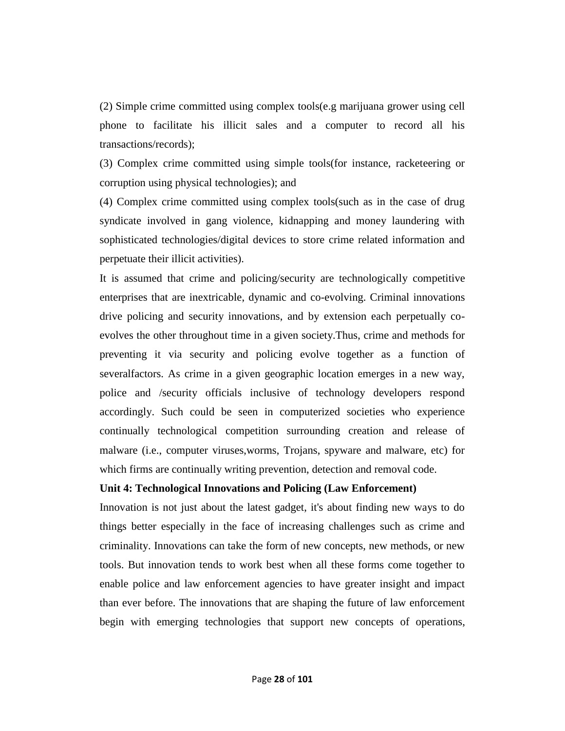(2) Simple crime committed using complex tools(e.g marijuana grower using cell phone to facilitate his illicit sales and a computer to record all his transactions/records);

(3) Complex crime committed using simple tools(for instance, racketeering or corruption using physical technologies); and

(4) Complex crime committed using complex tools(such as in the case of drug syndicate involved in gang violence, kidnapping and money laundering with sophisticated technologies/digital devices to store crime related information and perpetuate their illicit activities).

It is assumed that crime and policing/security are technologically competitive enterprises that are inextricable, dynamic and co-evolving. Criminal innovations drive policing and security innovations, and by extension each perpetually coevolves the other throughout time in a given society.Thus, crime and methods for preventing it via security and policing evolve together as a function of severalfactors. As crime in a given geographic location emerges in a new way, police and /security officials inclusive of technology developers respond accordingly. Such could be seen in computerized societies who experience continually technological competition surrounding creation and release of malware (i.e., computer viruses,worms, Trojans, spyware and malware, etc) for which firms are continually writing prevention, detection and removal code.

#### **Unit 4: Technological Innovations and Policing (Law Enforcement)**

Innovation is not just about the latest gadget, it's about finding new ways to do things better especially in the face of increasing challenges such as crime and criminality. Innovations can take the form of new concepts, new methods, or new tools. But innovation tends to work best when all these forms come together to enable police and law enforcement agencies to have greater insight and impact than ever before. The innovations that are shaping the future of law enforcement begin with emerging technologies that support new concepts of operations,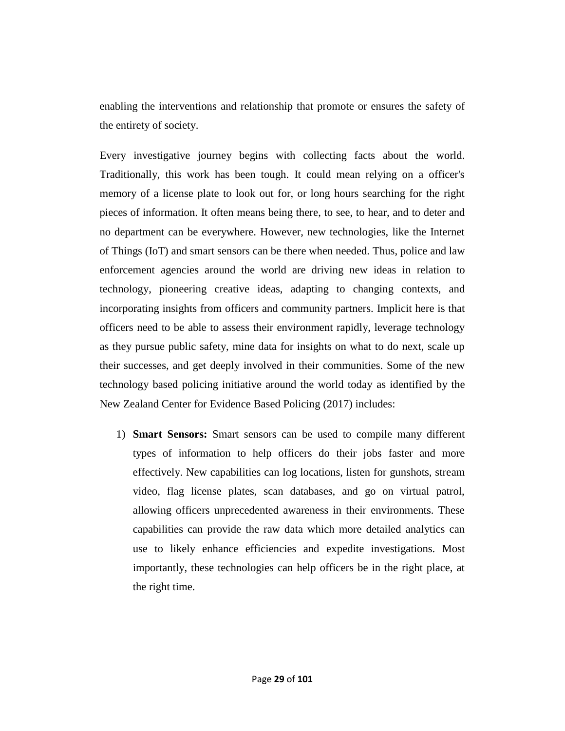enabling the interventions and relationship that promote or ensures the safety of the entirety of society.

Every investigative journey begins with collecting facts about the world. Traditionally, this work has been tough. It could mean relying on a officer's memory of a license plate to look out for, or long hours searching for the right pieces of information. It often means being there, to see, to hear, and to deter and no department can be everywhere. However, new technologies, like the Internet of Things (IoT) and smart sensors can be there when needed. Thus, police and law enforcement agencies around the world are driving new ideas in relation to technology, pioneering creative ideas, adapting to changing contexts, and incorporating insights from officers and community partners. Implicit here is that officers need to be able to assess their environment rapidly, leverage technology as they pursue public safety, mine data for insights on what to do next, scale up their successes, and get deeply involved in their communities. Some of the new technology based policing initiative around the world today as identified by the New Zealand Center for Evidence Based Policing (2017) includes:

1) **Smart Sensors:** Smart sensors can be used to compile many different types of information to help officers do their jobs faster and more effectively. New capabilities can log locations, listen for gunshots, stream video, flag license plates, scan databases, and go on virtual patrol, allowing officers unprecedented awareness in their environments. These capabilities can provide the raw data which more detailed analytics can use to likely enhance efficiencies and expedite investigations. Most importantly, these technologies can help officers be in the right place, at the right time.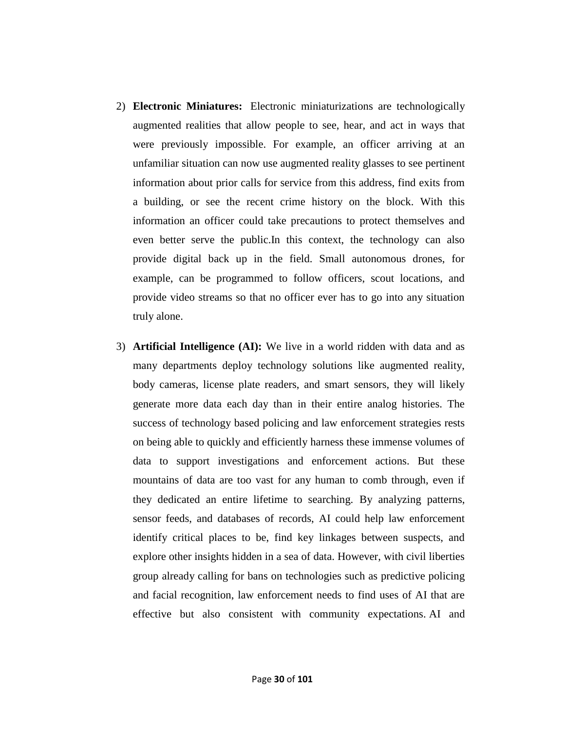- 2) **Electronic Miniatures:** Electronic miniaturizations are technologically augmented realities that allow people to see, hear, and act in ways that were previously impossible. For example, an officer arriving at an unfamiliar situation can now use augmented reality glasses to see pertinent information about prior calls for service from this address, find exits from a building, or see the recent crime history on the block. With this information an officer could take precautions to protect themselves and even better serve the public.In this context, the technology can also provide digital back up in the field. Small autonomous drones, for example, can be programmed to follow officers, scout locations, and provide video streams so that no officer ever has to go into any situation truly alone.
- 3) **Artificial Intelligence (AI):** We live in a world ridden with data and as many departments deploy technology solutions like augmented reality, body cameras, license plate readers, and smart sensors, they will likely generate more data each day than in their entire analog histories. The success of technology based policing and law enforcement strategies rests on being able to quickly and efficiently harness these immense volumes of data to support investigations and enforcement actions. But these mountains of data are too vast for any human to comb through, even if they dedicated an entire lifetime to searching. By analyzing patterns, sensor feeds, and databases of records, AI could help law enforcement identify critical places to be, find key linkages between suspects, and explore other insights hidden in a sea of data. However, with civil liberties group already calling for bans on technologies such as predictive policing and facial recognition, law enforcement needs to find uses of AI that are effective but also consistent with community expectations. AI and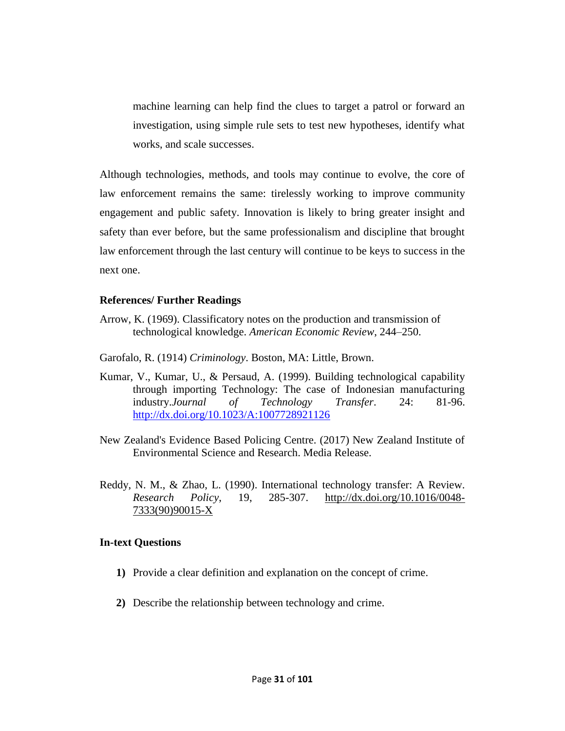machine learning can help find the clues to target a patrol or forward an investigation, using simple rule sets to test new hypotheses, identify what works, and scale successes.

Although technologies, methods, and tools may continue to evolve, the core of law enforcement remains the same: tirelessly working to improve community engagement and public safety. Innovation is likely to bring greater insight and safety than ever before, but the same professionalism and discipline that brought law enforcement through the last century will continue to be keys to success in the next one.

#### **References/ Further Readings**

- Arrow, K. (1969). Classificatory notes on the production and transmission of technological knowledge. *American Economic Review*, 244–250.
- Garofalo, R. (1914) *Criminology*. Boston, MA: Little, Brown.
- Kumar, V., Kumar, U., & Persaud, A. (1999). Building technological capability through importing Technology: The case of Indonesian manufacturing industry.*Journal of Technology Transfer*. 24: 81-96. <http://dx.doi.org/10.1023/A:1007728921126>
- New Zealand's Evidence Based Policing Centre. (2017) New Zealand Institute of Environmental Science and Research. Media Release.
- Reddy, N. M., & Zhao, L. (1990). International technology transfer: A Review. *Research Policy*, 19, 285-307. [http://dx.doi.org/10.1016/0048-](http://dx.doi.org/10.1016/0048-7333(90)90015-X) [7333\(90\)90015-X](http://dx.doi.org/10.1016/0048-7333(90)90015-X)

#### **In-text Questions**

- **1)** Provide a clear definition and explanation on the concept of crime.
- **2)** Describe the relationship between technology and crime.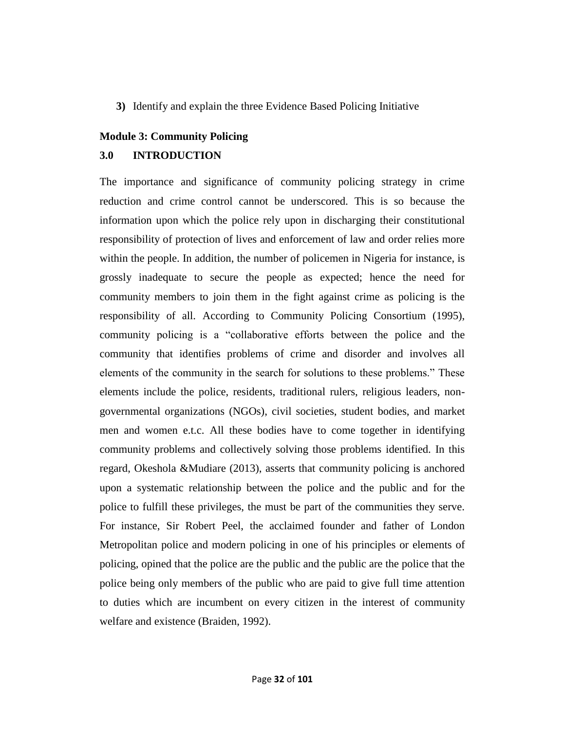#### **3)** Identify and explain the three Evidence Based Policing Initiative

#### **Module 3: Community Policing**

#### **3.0 INTRODUCTION**

The importance and significance of community policing strategy in crime reduction and crime control cannot be underscored. This is so because the information upon which the police rely upon in discharging their constitutional responsibility of protection of lives and enforcement of law and order relies more within the people. In addition, the number of policemen in Nigeria for instance, is grossly inadequate to secure the people as expected; hence the need for community members to join them in the fight against crime as policing is the responsibility of all. According to Community Policing Consortium (1995), community policing is a "collaborative efforts between the police and the community that identifies problems of crime and disorder and involves all elements of the community in the search for solutions to these problems." These elements include the police, residents, traditional rulers, religious leaders, nongovernmental organizations (NGOs), civil societies, student bodies, and market men and women e.t.c. All these bodies have to come together in identifying community problems and collectively solving those problems identified. In this regard, Okeshola &Mudiare (2013), asserts that community policing is anchored upon a systematic relationship between the police and the public and for the police to fulfill these privileges, the must be part of the communities they serve. For instance, Sir Robert Peel, the acclaimed founder and father of London Metropolitan police and modern policing in one of his principles or elements of policing, opined that the police are the public and the public are the police that the police being only members of the public who are paid to give full time attention to duties which are incumbent on every citizen in the interest of community welfare and existence (Braiden, 1992).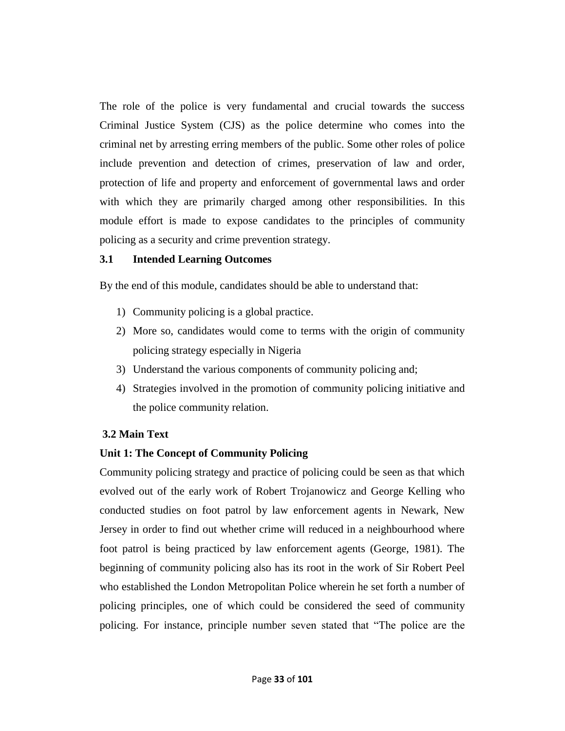The role of the police is very fundamental and crucial towards the success Criminal Justice System (CJS) as the police determine who comes into the criminal net by arresting erring members of the public. Some other roles of police include prevention and detection of crimes, preservation of law and order, protection of life and property and enforcement of governmental laws and order with which they are primarily charged among other responsibilities. In this module effort is made to expose candidates to the principles of community policing as a security and crime prevention strategy.

#### **3.1 Intended Learning Outcomes**

By the end of this module, candidates should be able to understand that:

- 1) Community policing is a global practice.
- 2) More so, candidates would come to terms with the origin of community policing strategy especially in Nigeria
- 3) Understand the various components of community policing and;
- 4) Strategies involved in the promotion of community policing initiative and the police community relation.

## **3.2 Main Text**

## **Unit 1: The Concept of Community Policing**

Community policing strategy and practice of policing could be seen as that which evolved out of the early work of Robert Trojanowicz and George Kelling who conducted studies on foot patrol by law enforcement agents in Newark, New Jersey in order to find out whether crime will reduced in a neighbourhood where foot patrol is being practiced by law enforcement agents (George, 1981). The beginning of community policing also has its root in the work of Sir Robert Peel who established the London Metropolitan Police wherein he set forth a number of policing principles, one of which could be considered the seed of community policing. For instance, principle number seven stated that "The police are the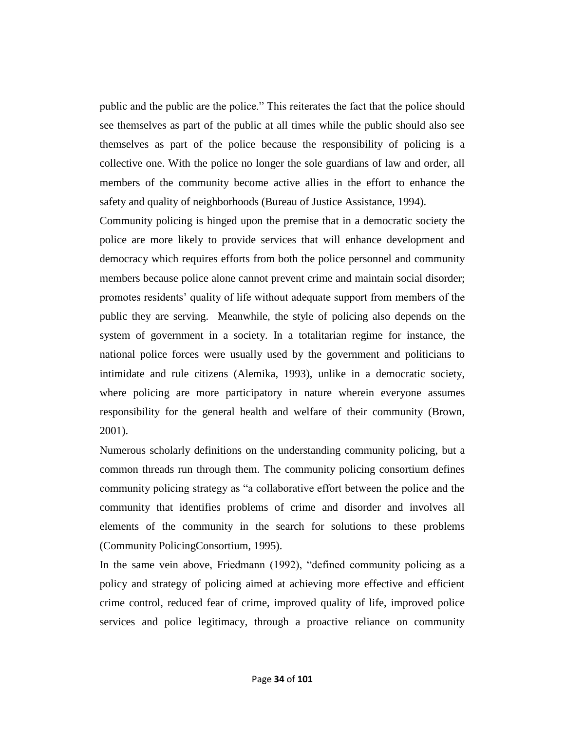public and the public are the police." This reiterates the fact that the police should see themselves as part of the public at all times while the public should also see themselves as part of the police because the responsibility of policing is a collective one. With the police no longer the sole guardians of law and order, all members of the community become active allies in the effort to enhance the safety and quality of neighborhoods (Bureau of Justice Assistance, 1994).

Community policing is hinged upon the premise that in a democratic society the police are more likely to provide services that will enhance development and democracy which requires efforts from both the police personnel and community members because police alone cannot prevent crime and maintain social disorder; promotes residents' quality of life without adequate support from members of the public they are serving. Meanwhile, the style of policing also depends on the system of government in a society. In a totalitarian regime for instance, the national police forces were usually used by the government and politicians to intimidate and rule citizens (Alemika, 1993), unlike in a democratic society, where policing are more participatory in nature wherein everyone assumes responsibility for the general health and welfare of their community (Brown, 2001).

Numerous scholarly definitions on the understanding community policing, but a common threads run through them. The community policing consortium defines community policing strategy as "a collaborative effort between the police and the community that identifies problems of crime and disorder and involves all elements of the community in the search for solutions to these problems (Community PolicingConsortium, 1995).

In the same vein above, Friedmann (1992), "defined community policing as a policy and strategy of policing aimed at achieving more effective and efficient crime control, reduced fear of crime, improved quality of life, improved police services and police legitimacy, through a proactive reliance on community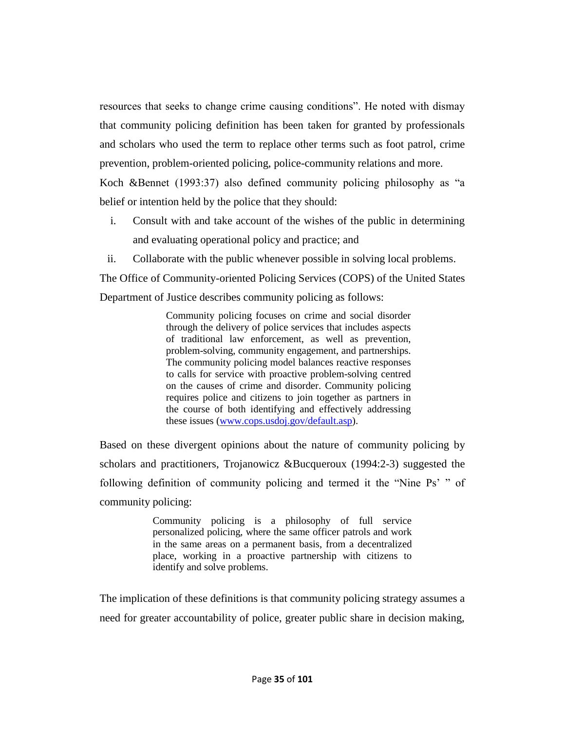resources that seeks to change crime causing conditions". He noted with dismay that community policing definition has been taken for granted by professionals and scholars who used the term to replace other terms such as foot patrol, crime prevention, problem-oriented policing, police-community relations and more.

Koch &Bennet (1993:37) also defined community policing philosophy as "a belief or intention held by the police that they should:

- i. Consult with and take account of the wishes of the public in determining and evaluating operational policy and practice; and
- ii. Collaborate with the public whenever possible in solving local problems.

The Office of Community-oriented Policing Services (COPS) of the United States

Department of Justice describes community policing as follows:

Community policing focuses on crime and social disorder through the delivery of police services that includes aspects of traditional law enforcement, as well as prevention, problem-solving, community engagement, and partnerships. The community policing model balances reactive responses to calls for service with proactive problem-solving centred on the causes of crime and disorder. Community policing requires police and citizens to join together as partners in the course of both identifying and effectively addressing these issues [\(www.cops.usdoj.gov/default.asp\)](http://www.cops.usdoj.gov/default.asp).

Based on these divergent opinions about the nature of community policing by scholars and practitioners, Trojanowicz &Bucqueroux (1994:2-3) suggested the following definition of community policing and termed it the "Nine Ps' " of community policing:

> Community policing is a philosophy of full service personalized policing, where the same officer patrols and work in the same areas on a permanent basis, from a decentralized place, working in a proactive partnership with citizens to identify and solve problems.

The implication of these definitions is that community policing strategy assumes a need for greater accountability of police, greater public share in decision making,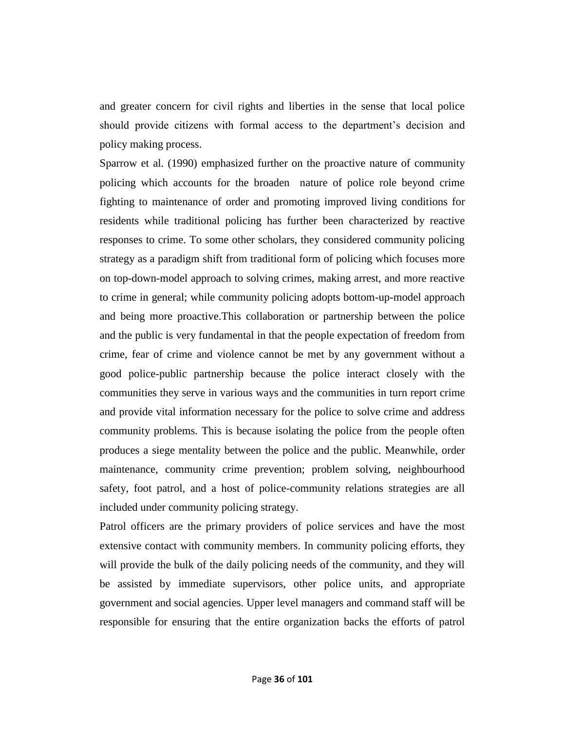and greater concern for civil rights and liberties in the sense that local police should provide citizens with formal access to the department's decision and policy making process.

Sparrow et al. (1990) emphasized further on the proactive nature of community policing which accounts for the broaden nature of police role beyond crime fighting to maintenance of order and promoting improved living conditions for residents while traditional policing has further been characterized by reactive responses to crime. To some other scholars, they considered community policing strategy as a paradigm shift from traditional form of policing which focuses more on top-down-model approach to solving crimes, making arrest, and more reactive to crime in general; while community policing adopts bottom-up-model approach and being more proactive.This collaboration or partnership between the police and the public is very fundamental in that the people expectation of freedom from crime, fear of crime and violence cannot be met by any government without a good police-public partnership because the police interact closely with the communities they serve in various ways and the communities in turn report crime and provide vital information necessary for the police to solve crime and address community problems. This is because isolating the police from the people often produces a siege mentality between the police and the public. Meanwhile, order maintenance, community crime prevention; problem solving, neighbourhood safety, foot patrol, and a host of police-community relations strategies are all included under community policing strategy.

Patrol officers are the primary providers of police services and have the most extensive contact with community members. In community policing efforts, they will provide the bulk of the daily policing needs of the community, and they will be assisted by immediate supervisors, other police units, and appropriate government and social agencies. Upper level managers and command staff will be responsible for ensuring that the entire organization backs the efforts of patrol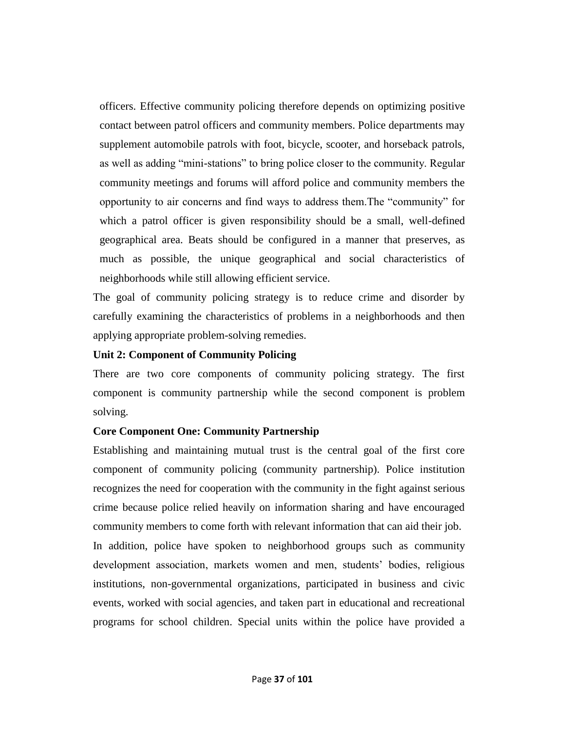officers. Effective community policing therefore depends on optimizing positive contact between patrol officers and community members. Police departments may supplement automobile patrols with foot, bicycle, scooter, and horseback patrols, as well as adding "mini-stations" to bring police closer to the community. Regular community meetings and forums will afford police and community members the opportunity to air concerns and find ways to address them. The "community" for which a patrol officer is given responsibility should be a small, well-defined geographical area. Beats should be configured in a manner that preserves, as much as possible, the unique geographical and social characteristics of neighborhoods while still allowing efficient service.

The goal of community policing strategy is to reduce crime and disorder by carefully examining the characteristics of problems in a neighborhoods and then applying appropriate problem-solving remedies.

## **Unit 2: Component of Community Policing**

There are two core components of community policing strategy. The first component is community partnership while the second component is problem solving.

## **Core Component One: Community Partnership**

Establishing and maintaining mutual trust is the central goal of the first core component of community policing (community partnership). Police institution recognizes the need for cooperation with the community in the fight against serious crime because police relied heavily on information sharing and have encouraged community members to come forth with relevant information that can aid their job. In addition, police have spoken to neighborhood groups such as community development association, markets women and men, students' bodies, religious institutions, non-governmental organizations, participated in business and civic events, worked with social agencies, and taken part in educational and recreational programs for school children. Special units within the police have provided a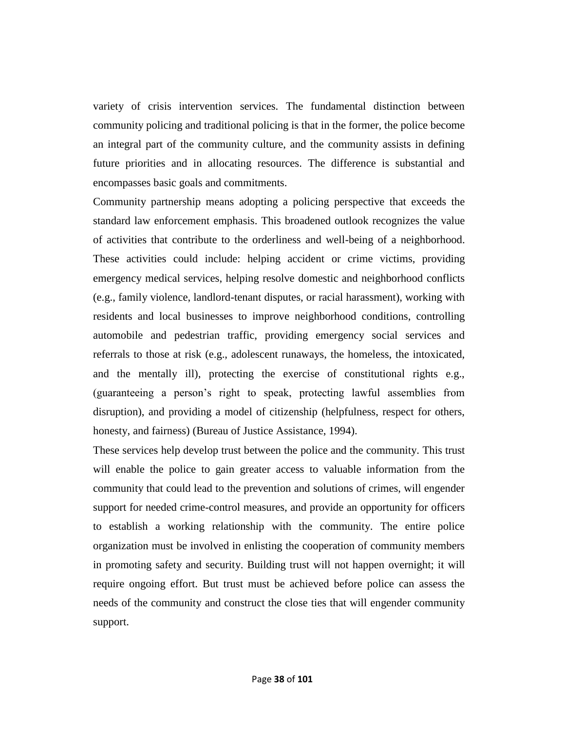variety of crisis intervention services. The fundamental distinction between community policing and traditional policing is that in the former, the police become an integral part of the community culture, and the community assists in defining future priorities and in allocating resources. The difference is substantial and encompasses basic goals and commitments.

Community partnership means adopting a policing perspective that exceeds the standard law enforcement emphasis. This broadened outlook recognizes the value of activities that contribute to the orderliness and well-being of a neighborhood. These activities could include: helping accident or crime victims, providing emergency medical services, helping resolve domestic and neighborhood conflicts (e.g., family violence, landlord-tenant disputes, or racial harassment), working with residents and local businesses to improve neighborhood conditions, controlling automobile and pedestrian traffic, providing emergency social services and referrals to those at risk (e.g., adolescent runaways, the homeless, the intoxicated, and the mentally ill), protecting the exercise of constitutional rights e.g., (guaranteeing a person's right to speak, protecting lawful assemblies from disruption), and providing a model of citizenship (helpfulness, respect for others, honesty, and fairness) (Bureau of Justice Assistance, 1994).

These services help develop trust between the police and the community. This trust will enable the police to gain greater access to valuable information from the community that could lead to the prevention and solutions of crimes, will engender support for needed crime-control measures, and provide an opportunity for officers to establish a working relationship with the community. The entire police organization must be involved in enlisting the cooperation of community members in promoting safety and security. Building trust will not happen overnight; it will require ongoing effort. But trust must be achieved before police can assess the needs of the community and construct the close ties that will engender community support.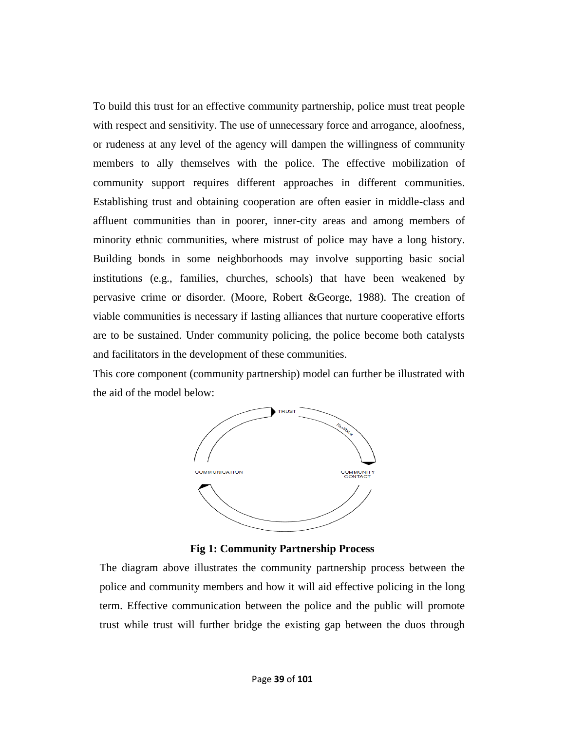To build this trust for an effective community partnership, police must treat people with respect and sensitivity. The use of unnecessary force and arrogance, aloofness, or rudeness at any level of the agency will dampen the willingness of community members to ally themselves with the police. The effective mobilization of community support requires different approaches in different communities. Establishing trust and obtaining cooperation are often easier in middle-class and affluent communities than in poorer, inner-city areas and among members of minority ethnic communities, where mistrust of police may have a long history. Building bonds in some neighborhoods may involve supporting basic social institutions (e.g., families, churches, schools) that have been weakened by pervasive crime or disorder. (Moore, Robert &George, 1988). The creation of viable communities is necessary if lasting alliances that nurture cooperative efforts are to be sustained. Under community policing, the police become both catalysts and facilitators in the development of these communities.

This core component (community partnership) model can further be illustrated with the aid of the model below:



**Fig 1: Community Partnership Process**

The diagram above illustrates the community partnership process between the police and community members and how it will aid effective policing in the long term. Effective communication between the police and the public will promote trust while trust will further bridge the existing gap between the duos through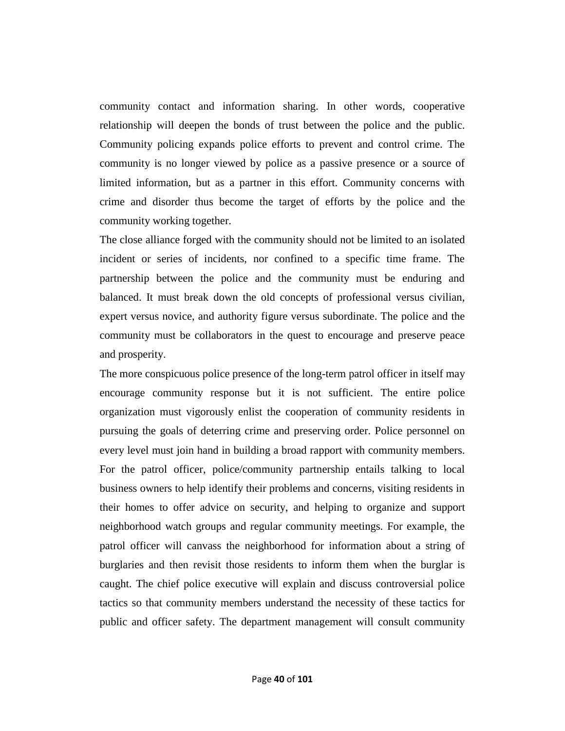community contact and information sharing. In other words, cooperative relationship will deepen the bonds of trust between the police and the public. Community policing expands police efforts to prevent and control crime. The community is no longer viewed by police as a passive presence or a source of limited information, but as a partner in this effort. Community concerns with crime and disorder thus become the target of efforts by the police and the community working together.

The close alliance forged with the community should not be limited to an isolated incident or series of incidents, nor confined to a specific time frame. The partnership between the police and the community must be enduring and balanced. It must break down the old concepts of professional versus civilian, expert versus novice, and authority figure versus subordinate. The police and the community must be collaborators in the quest to encourage and preserve peace and prosperity.

The more conspicuous police presence of the long-term patrol officer in itself may encourage community response but it is not sufficient. The entire police organization must vigorously enlist the cooperation of community residents in pursuing the goals of deterring crime and preserving order. Police personnel on every level must join hand in building a broad rapport with community members. For the patrol officer, police/community partnership entails talking to local business owners to help identify their problems and concerns, visiting residents in their homes to offer advice on security, and helping to organize and support neighborhood watch groups and regular community meetings. For example, the patrol officer will canvass the neighborhood for information about a string of burglaries and then revisit those residents to inform them when the burglar is caught. The chief police executive will explain and discuss controversial police tactics so that community members understand the necessity of these tactics for public and officer safety. The department management will consult community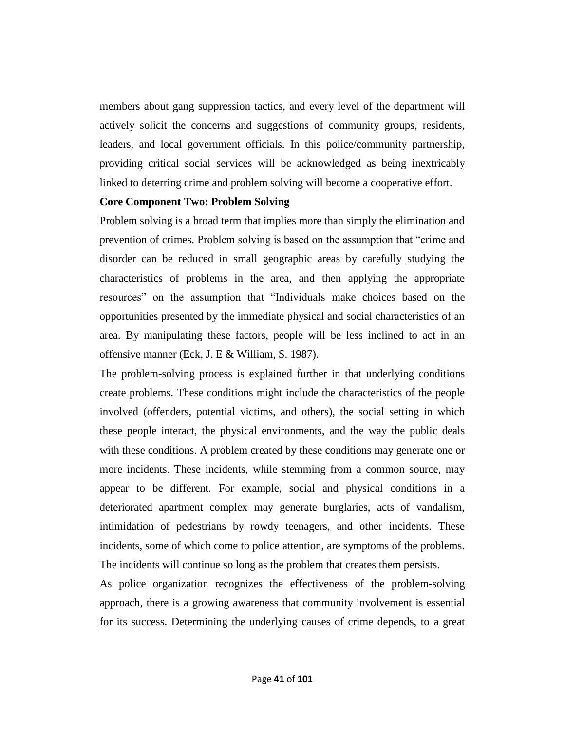members about gang suppression tactics, and every level of the department will actively solicit the concerns and suggestions of community groups, residents, leaders, and local government officials. In this police/community partnership, providing critical social services will be acknowledged as being inextricably linked to deterring crime and problem solving will become a cooperative effort.

#### **Core Component Two: Problem Solving**

Problem solving is a broad term that implies more than simply the elimination and prevention of crimes. Problem solving is based on the assumption that "crime and disorder can be reduced in small geographic areas by carefully studying the characteristics of problems in the area, and then applying the appropriate resources" on the assumption that "Individuals make choices based on the opportunities presented by the immediate physical and social characteristics of an area. By manipulating these factors, people will be less inclined to act in an offensive manner (Eck, J. E & William, S. 1987).

The problem-solving process is explained further in that underlying conditions create problems. These conditions might include the characteristics of the people involved (offenders, potential victims, and others), the social setting in which these people interact, the physical environments, and the way the public deals with these conditions. A problem created by these conditions may generate one or more incidents. These incidents, while stemming from a common source, may appear to be different. For example, social and physical conditions in a deteriorated apartment complex may generate burglaries, acts of vandalism, intimidation of pedestrians by rowdy teenagers, and other incidents. These incidents, some of which come to police attention, are symptoms of the problems. The incidents will continue so long as the problem that creates them persists.

As police organization recognizes the effectiveness of the problem-solving approach, there is a growing awareness that community involvement is essential for its success. Determining the underlying causes of crime depends, to a great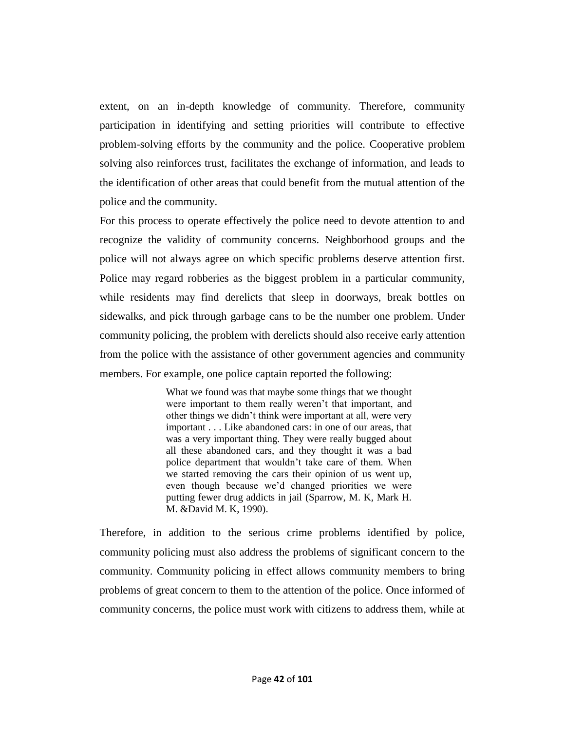extent, on an in-depth knowledge of community. Therefore, community participation in identifying and setting priorities will contribute to effective problem-solving efforts by the community and the police. Cooperative problem solving also reinforces trust, facilitates the exchange of information, and leads to the identification of other areas that could benefit from the mutual attention of the police and the community.

For this process to operate effectively the police need to devote attention to and recognize the validity of community concerns. Neighborhood groups and the police will not always agree on which specific problems deserve attention first. Police may regard robberies as the biggest problem in a particular community, while residents may find derelicts that sleep in doorways, break bottles on sidewalks, and pick through garbage cans to be the number one problem. Under community policing, the problem with derelicts should also receive early attention from the police with the assistance of other government agencies and community members. For example, one police captain reported the following:

> What we found was that maybe some things that we thought were important to them really weren't that important, and other things we didn't think were important at all, were very important . . . Like abandoned cars: in one of our areas, that was a very important thing. They were really bugged about all these abandoned cars, and they thought it was a bad police department that wouldn't take care of them. When we started removing the cars their opinion of us went up, even though because we'd changed priorities we were putting fewer drug addicts in jail (Sparrow, M. K, Mark H. M. &David M. K, 1990).

Therefore, in addition to the serious crime problems identified by police, community policing must also address the problems of significant concern to the community. Community policing in effect allows community members to bring problems of great concern to them to the attention of the police. Once informed of community concerns, the police must work with citizens to address them, while at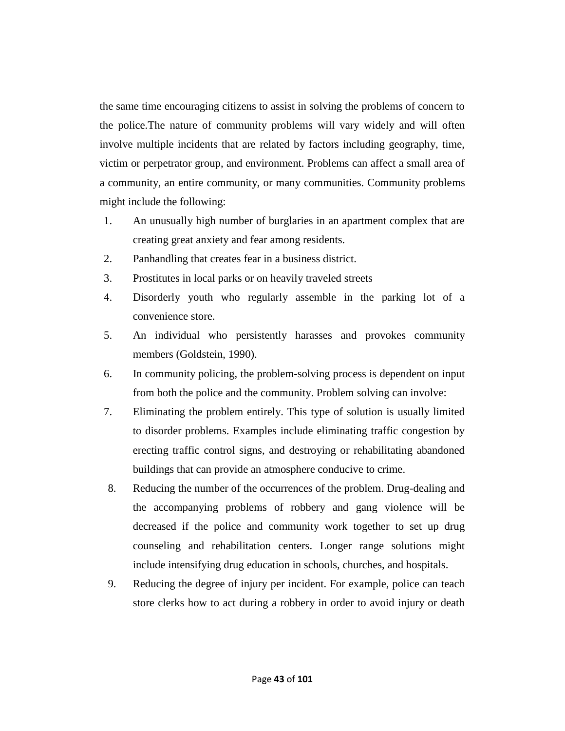the same time encouraging citizens to assist in solving the problems of concern to the police.The nature of community problems will vary widely and will often involve multiple incidents that are related by factors including geography, time, victim or perpetrator group, and environment. Problems can affect a small area of a community, an entire community, or many communities. Community problems might include the following:

- 1. An unusually high number of burglaries in an apartment complex that are creating great anxiety and fear among residents.
- 2. Panhandling that creates fear in a business district.
- 3. Prostitutes in local parks or on heavily traveled streets
- 4. Disorderly youth who regularly assemble in the parking lot of a convenience store.
- 5. An individual who persistently harasses and provokes community members (Goldstein, 1990).
- 6. In community policing, the problem-solving process is dependent on input from both the police and the community. Problem solving can involve:
- 7. Eliminating the problem entirely. This type of solution is usually limited to disorder problems. Examples include eliminating traffic congestion by erecting traffic control signs, and destroying or rehabilitating abandoned buildings that can provide an atmosphere conducive to crime.
- 8. Reducing the number of the occurrences of the problem. Drug-dealing and the accompanying problems of robbery and gang violence will be decreased if the police and community work together to set up drug counseling and rehabilitation centers. Longer range solutions might include intensifying drug education in schools, churches, and hospitals.
- 9. Reducing the degree of injury per incident. For example, police can teach store clerks how to act during a robbery in order to avoid injury or death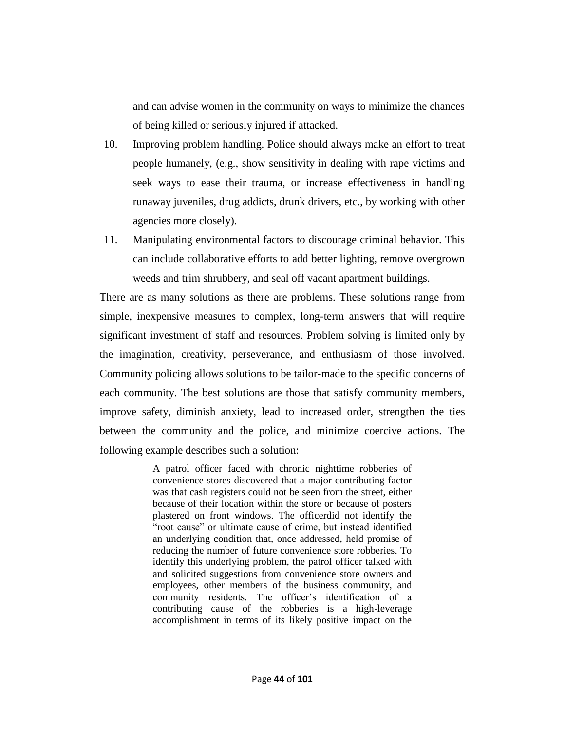and can advise women in the community on ways to minimize the chances of being killed or seriously injured if attacked.

- 10. Improving problem handling. Police should always make an effort to treat people humanely, (e.g., show sensitivity in dealing with rape victims and seek ways to ease their trauma, or increase effectiveness in handling runaway juveniles, drug addicts, drunk drivers, etc., by working with other agencies more closely).
- 11. Manipulating environmental factors to discourage criminal behavior. This can include collaborative efforts to add better lighting, remove overgrown weeds and trim shrubbery, and seal off vacant apartment buildings.

There are as many solutions as there are problems. These solutions range from simple, inexpensive measures to complex, long-term answers that will require significant investment of staff and resources. Problem solving is limited only by the imagination, creativity, perseverance, and enthusiasm of those involved. Community policing allows solutions to be tailor-made to the specific concerns of each community. The best solutions are those that satisfy community members, improve safety, diminish anxiety, lead to increased order, strengthen the ties between the community and the police, and minimize coercive actions. The following example describes such a solution:

> A patrol officer faced with chronic nighttime robberies of convenience stores discovered that a major contributing factor was that cash registers could not be seen from the street, either because of their location within the store or because of posters plastered on front windows. The officerdid not identify the "root cause" or ultimate cause of crime, but instead identified an underlying condition that, once addressed, held promise of reducing the number of future convenience store robberies. To identify this underlying problem, the patrol officer talked with and solicited suggestions from convenience store owners and employees, other members of the business community, and community residents. The officer's identification of a contributing cause of the robberies is a high-leverage accomplishment in terms of its likely positive impact on the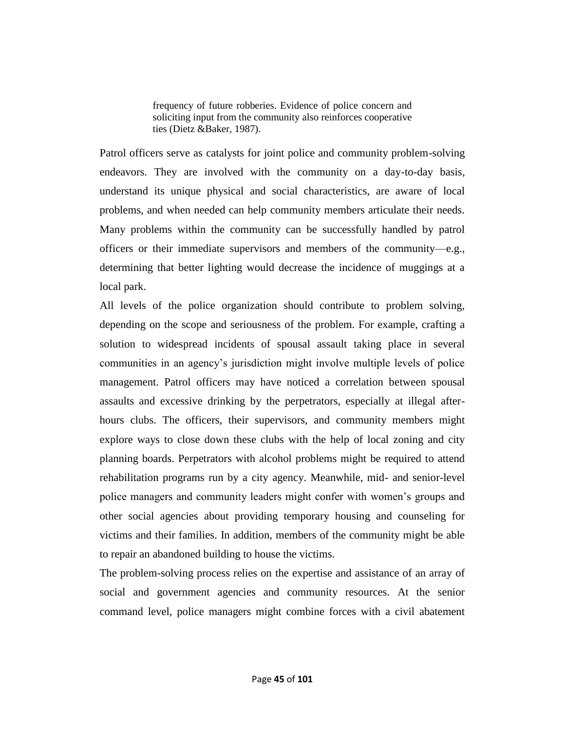frequency of future robberies. Evidence of police concern and soliciting input from the community also reinforces cooperative ties (Dietz &Baker, 1987).

Patrol officers serve as catalysts for joint police and community problem-solving endeavors. They are involved with the community on a day-to-day basis, understand its unique physical and social characteristics, are aware of local problems, and when needed can help community members articulate their needs. Many problems within the community can be successfully handled by patrol officers or their immediate supervisors and members of the community—e.g., determining that better lighting would decrease the incidence of muggings at a local park.

All levels of the police organization should contribute to problem solving, depending on the scope and seriousness of the problem. For example, crafting a solution to widespread incidents of spousal assault taking place in several communities in an agency's jurisdiction might involve multiple levels of police management. Patrol officers may have noticed a correlation between spousal assaults and excessive drinking by the perpetrators, especially at illegal afterhours clubs. The officers, their supervisors, and community members might explore ways to close down these clubs with the help of local zoning and city planning boards. Perpetrators with alcohol problems might be required to attend rehabilitation programs run by a city agency. Meanwhile, mid- and senior-level police managers and community leaders might confer with women's groups and other social agencies about providing temporary housing and counseling for victims and their families. In addition, members of the community might be able to repair an abandoned building to house the victims.

The problem-solving process relies on the expertise and assistance of an array of social and government agencies and community resources. At the senior command level, police managers might combine forces with a civil abatement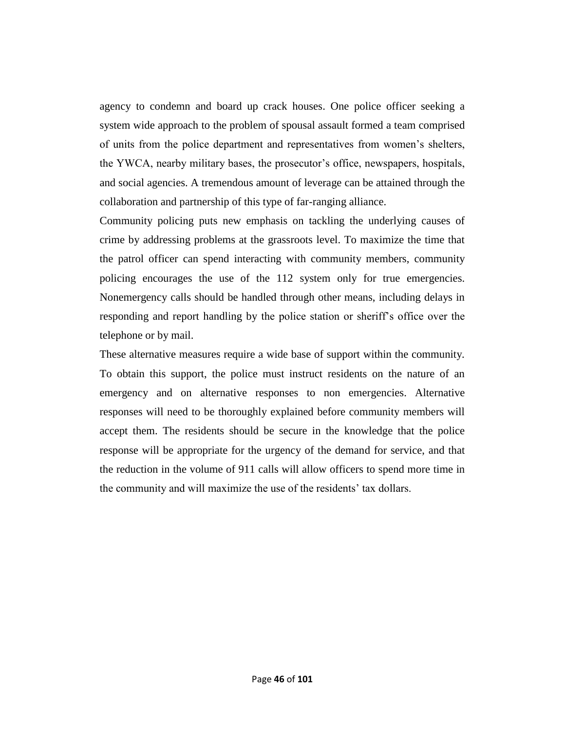agency to condemn and board up crack houses. One police officer seeking a system wide approach to the problem of spousal assault formed a team comprised of units from the police department and representatives from women's shelters, the YWCA, nearby military bases, the prosecutor's office, newspapers, hospitals, and social agencies. A tremendous amount of leverage can be attained through the collaboration and partnership of this type of far-ranging alliance.

Community policing puts new emphasis on tackling the underlying causes of crime by addressing problems at the grassroots level. To maximize the time that the patrol officer can spend interacting with community members, community policing encourages the use of the 112 system only for true emergencies. Nonemergency calls should be handled through other means, including delays in responding and report handling by the police station or sheriff's office over the telephone or by mail.

These alternative measures require a wide base of support within the community. To obtain this support, the police must instruct residents on the nature of an emergency and on alternative responses to non emergencies. Alternative responses will need to be thoroughly explained before community members will accept them. The residents should be secure in the knowledge that the police response will be appropriate for the urgency of the demand for service, and that the reduction in the volume of 911 calls will allow officers to spend more time in the community and will maximize the use of the residents' tax dollars.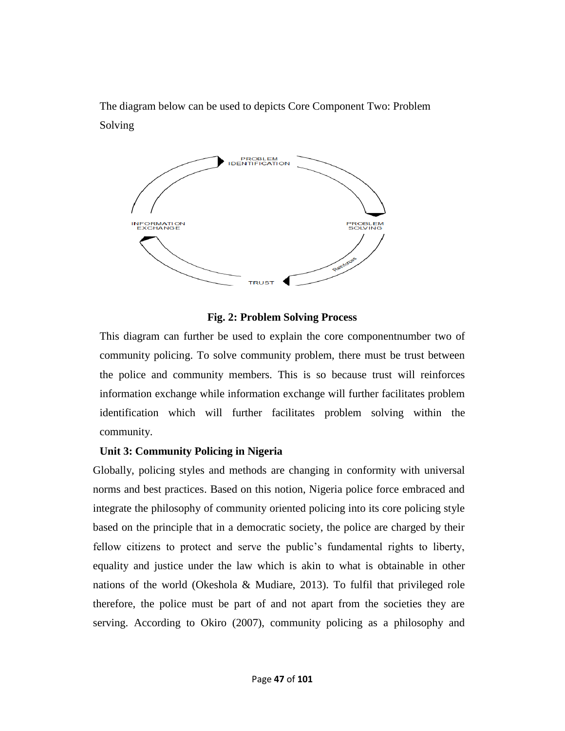The diagram below can be used to depicts Core Component Two: Problem Solving



## **Fig. 2: Problem Solving Process**

This diagram can further be used to explain the core componentnumber two of community policing. To solve community problem, there must be trust between the police and community members. This is so because trust will reinforces information exchange while information exchange will further facilitates problem identification which will further facilitates problem solving within the community.

### **Unit 3: Community Policing in Nigeria**

Globally, policing styles and methods are changing in conformity with universal norms and best practices. Based on this notion, Nigeria police force embraced and integrate the philosophy of community oriented policing into its core policing style based on the principle that in a democratic society, the police are charged by their fellow citizens to protect and serve the public's fundamental rights to liberty, equality and justice under the law which is akin to what is obtainable in other nations of the world (Okeshola & Mudiare, 2013). To fulfil that privileged role therefore, the police must be part of and not apart from the societies they are serving. According to Okiro (2007), community policing as a philosophy and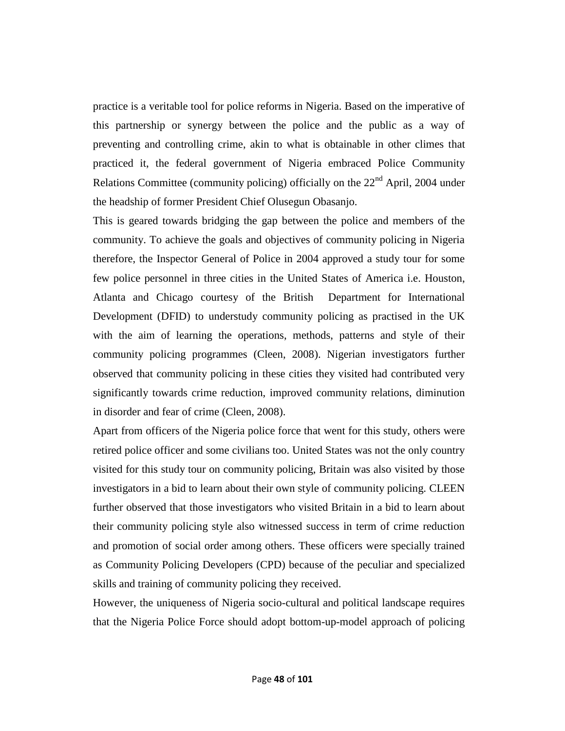practice is a veritable tool for police reforms in Nigeria. Based on the imperative of this partnership or synergy between the police and the public as a way of preventing and controlling crime, akin to what is obtainable in other climes that practiced it, the federal government of Nigeria embraced Police Community Relations Committee (community policing) officially on the  $22<sup>nd</sup>$  April, 2004 under the headship of former President Chief Olusegun Obasanjo.

This is geared towards bridging the gap between the police and members of the community. To achieve the goals and objectives of community policing in Nigeria therefore, the Inspector General of Police in 2004 approved a study tour for some few police personnel in three cities in the United States of America i.e. Houston, Atlanta and Chicago courtesy of the British Department for International Development (DFID) to understudy community policing as practised in the UK with the aim of learning the operations, methods, patterns and style of their community policing programmes (Cleen, 2008). Nigerian investigators further observed that community policing in these cities they visited had contributed very significantly towards crime reduction, improved community relations, diminution in disorder and fear of crime (Cleen, 2008).

Apart from officers of the Nigeria police force that went for this study, others were retired police officer and some civilians too. United States was not the only country visited for this study tour on community policing, Britain was also visited by those investigators in a bid to learn about their own style of community policing. CLEEN further observed that those investigators who visited Britain in a bid to learn about their community policing style also witnessed success in term of crime reduction and promotion of social order among others. These officers were specially trained as Community Policing Developers (CPD) because of the peculiar and specialized skills and training of community policing they received.

However, the uniqueness of Nigeria socio-cultural and political landscape requires that the Nigeria Police Force should adopt bottom-up-model approach of policing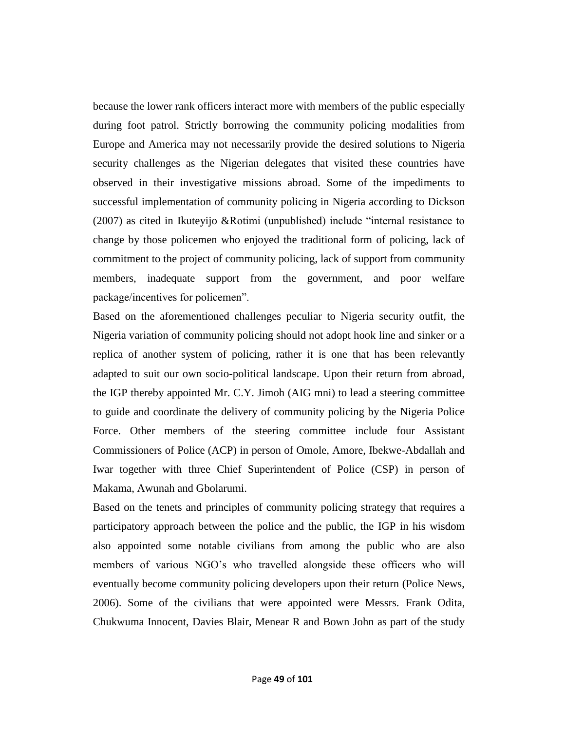because the lower rank officers interact more with members of the public especially during foot patrol. Strictly borrowing the community policing modalities from Europe and America may not necessarily provide the desired solutions to Nigeria security challenges as the Nigerian delegates that visited these countries have observed in their investigative missions abroad. Some of the impediments to successful implementation of community policing in Nigeria according to Dickson  $(2007)$  as cited in Ikuteyijo &Rotimi (unpublished) include "internal resistance to change by those policemen who enjoyed the traditional form of policing, lack of commitment to the project of community policing, lack of support from community members, inadequate support from the government, and poor welfare package/incentives for policemen".

Based on the aforementioned challenges peculiar to Nigeria security outfit, the Nigeria variation of community policing should not adopt hook line and sinker or a replica of another system of policing, rather it is one that has been relevantly adapted to suit our own socio-political landscape. Upon their return from abroad, the IGP thereby appointed Mr. C.Y. Jimoh (AIG mni) to lead a steering committee to guide and coordinate the delivery of community policing by the Nigeria Police Force. Other members of the steering committee include four Assistant Commissioners of Police (ACP) in person of Omole, Amore, Ibekwe-Abdallah and Iwar together with three Chief Superintendent of Police (CSP) in person of Makama, Awunah and Gbolarumi.

Based on the tenets and principles of community policing strategy that requires a participatory approach between the police and the public, the IGP in his wisdom also appointed some notable civilians from among the public who are also members of various NGO's who travelled alongside these officers who will eventually become community policing developers upon their return (Police News, 2006). Some of the civilians that were appointed were Messrs. Frank Odita, Chukwuma Innocent, Davies Blair, Menear R and Bown John as part of the study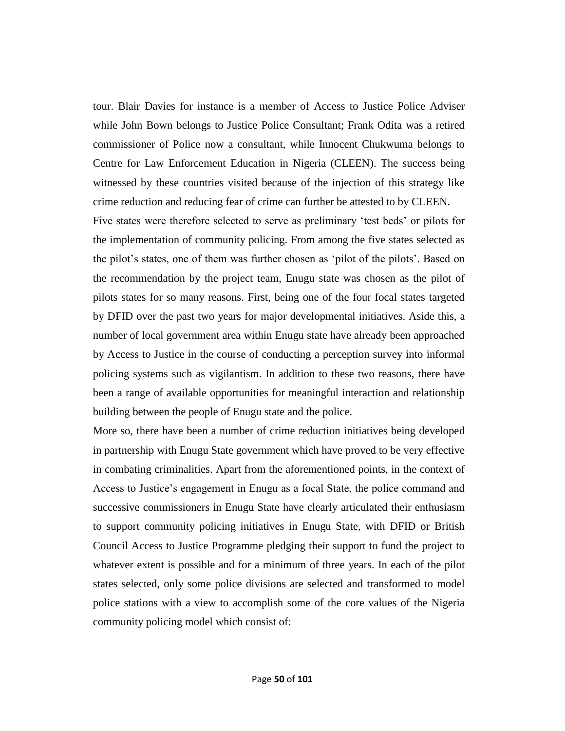tour. Blair Davies for instance is a member of Access to Justice Police Adviser while John Bown belongs to Justice Police Consultant; Frank Odita was a retired commissioner of Police now a consultant, while Innocent Chukwuma belongs to Centre for Law Enforcement Education in Nigeria (CLEEN). The success being witnessed by these countries visited because of the injection of this strategy like crime reduction and reducing fear of crime can further be attested to by CLEEN.

Five states were therefore selected to serve as preliminary 'test beds' or pilots for the implementation of community policing. From among the five states selected as the pilot's states, one of them was further chosen as 'pilot of the pilots'. Based on the recommendation by the project team, Enugu state was chosen as the pilot of pilots states for so many reasons. First, being one of the four focal states targeted by DFID over the past two years for major developmental initiatives. Aside this, a number of local government area within Enugu state have already been approached by Access to Justice in the course of conducting a perception survey into informal policing systems such as vigilantism. In addition to these two reasons, there have been a range of available opportunities for meaningful interaction and relationship building between the people of Enugu state and the police.

More so, there have been a number of crime reduction initiatives being developed in partnership with Enugu State government which have proved to be very effective in combating criminalities. Apart from the aforementioned points, in the context of Access to Justice's engagement in Enugu as a focal State, the police command and successive commissioners in Enugu State have clearly articulated their enthusiasm to support community policing initiatives in Enugu State, with DFID or British Council Access to Justice Programme pledging their support to fund the project to whatever extent is possible and for a minimum of three years. In each of the pilot states selected, only some police divisions are selected and transformed to model police stations with a view to accomplish some of the core values of the Nigeria community policing model which consist of: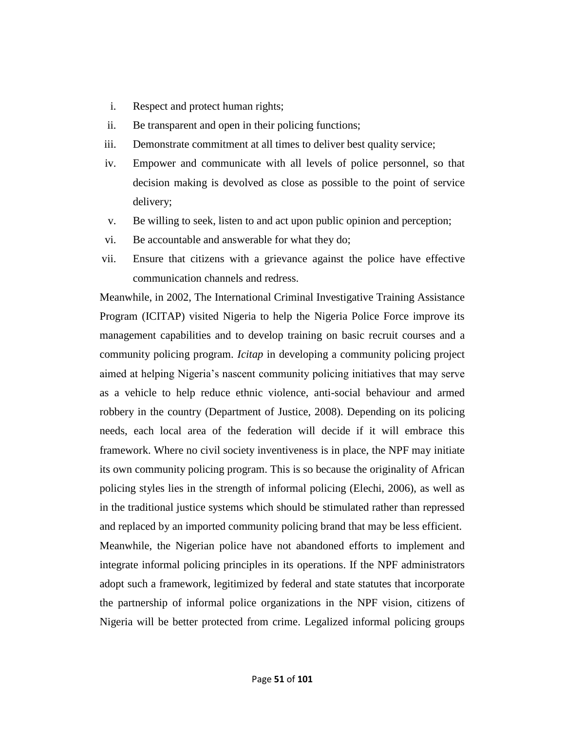- i. Respect and protect human rights;
- ii. Be transparent and open in their policing functions;
- iii. Demonstrate commitment at all times to deliver best quality service;
- iv. Empower and communicate with all levels of police personnel, so that decision making is devolved as close as possible to the point of service delivery;
- v. Be willing to seek, listen to and act upon public opinion and perception;
- vi. Be accountable and answerable for what they do;
- vii. Ensure that citizens with a grievance against the police have effective communication channels and redress.

Meanwhile, in 2002, The International Criminal Investigative Training Assistance Program (ICITAP) visited Nigeria to help the Nigeria Police Force improve its management capabilities and to develop training on basic recruit courses and a community policing program. *Icitap* in developing a community policing project aimed at helping Nigeria's nascent community policing initiatives that may serve as a vehicle to help reduce ethnic violence, anti-social behaviour and armed robbery in the country (Department of Justice, 2008). Depending on its policing needs, each local area of the federation will decide if it will embrace this framework. Where no civil society inventiveness is in place, the NPF may initiate its own community policing program. This is so because the originality of African policing styles lies in the strength of informal policing (Elechi, 2006), as well as in the traditional justice systems which should be stimulated rather than repressed and replaced by an imported community policing brand that may be less efficient. Meanwhile, the Nigerian police have not abandoned efforts to implement and integrate informal policing principles in its operations. If the NPF administrators adopt such a framework, legitimized by federal and state statutes that incorporate the partnership of informal police organizations in the NPF vision, citizens of Nigeria will be better protected from crime. Legalized informal policing groups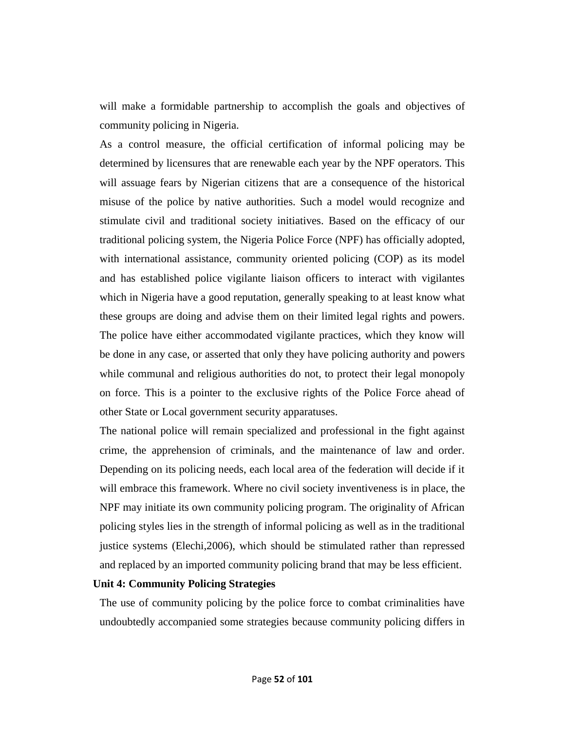will make a formidable partnership to accomplish the goals and objectives of community policing in Nigeria.

As a control measure, the official certification of informal policing may be determined by licensures that are renewable each year by the NPF operators. This will assuage fears by Nigerian citizens that are a consequence of the historical misuse of the police by native authorities. Such a model would recognize and stimulate civil and traditional society initiatives. Based on the efficacy of our traditional policing system, the Nigeria Police Force (NPF) has officially adopted, with international assistance, community oriented policing (COP) as its model and has established police vigilante liaison officers to interact with vigilantes which in Nigeria have a good reputation, generally speaking to at least know what these groups are doing and advise them on their limited legal rights and powers. The police have either accommodated vigilante practices, which they know will be done in any case, or asserted that only they have policing authority and powers while communal and religious authorities do not, to protect their legal monopoly on force. This is a pointer to the exclusive rights of the Police Force ahead of other State or Local government security apparatuses.

The national police will remain specialized and professional in the fight against crime, the apprehension of criminals, and the maintenance of law and order. Depending on its policing needs, each local area of the federation will decide if it will embrace this framework. Where no civil society inventiveness is in place, the NPF may initiate its own community policing program. The originality of African policing styles lies in the strength of informal policing as well as in the traditional justice systems (Elechi,2006), which should be stimulated rather than repressed and replaced by an imported community policing brand that may be less efficient.

## **Unit 4: Community Policing Strategies**

The use of community policing by the police force to combat criminalities have undoubtedly accompanied some strategies because community policing differs in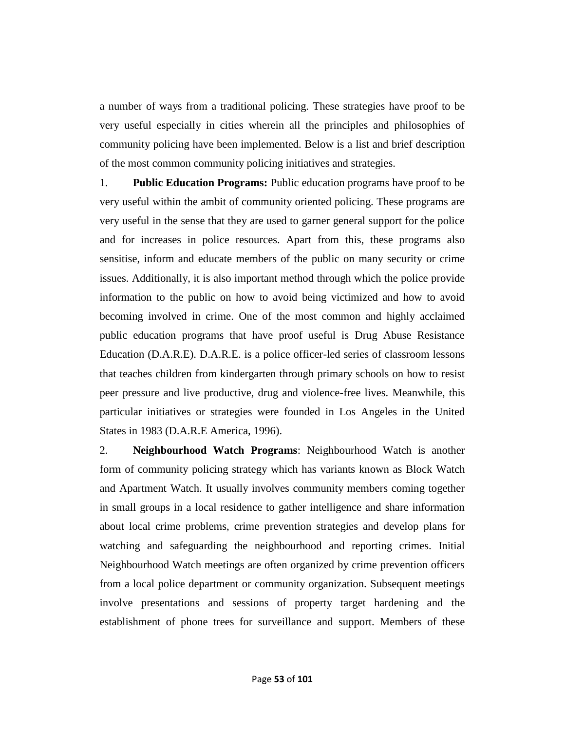a number of ways from a traditional policing. These strategies have proof to be very useful especially in cities wherein all the principles and philosophies of community policing have been implemented. Below is a list and brief description of the most common community policing initiatives and strategies.

1. **Public Education Programs:** Public education programs have proof to be very useful within the ambit of community oriented policing. These programs are very useful in the sense that they are used to garner general support for the police and for increases in police resources. Apart from this, these programs also sensitise, inform and educate members of the public on many security or crime issues. Additionally, it is also important method through which the police provide information to the public on how to avoid being victimized and how to avoid becoming involved in crime. One of the most common and highly acclaimed public education programs that have proof useful is Drug Abuse Resistance Education (D.A.R.E). D.A.R.E. is a police officer-led series of classroom lessons that teaches children from kindergarten through primary schools on how to resist peer pressure and live productive, drug and violence-free lives. Meanwhile, this particular initiatives or strategies were founded in Los Angeles in the United States in 1983 (D.A.R.E America, 1996).

2. **Neighbourhood Watch Programs**: Neighbourhood Watch is another form of community policing strategy which has variants known as Block Watch and Apartment Watch. It usually involves community members coming together in small groups in a local residence to gather intelligence and share information about local crime problems, crime prevention strategies and develop plans for watching and safeguarding the neighbourhood and reporting crimes. Initial Neighbourhood Watch meetings are often organized by crime prevention officers from a local police department or community organization. Subsequent meetings involve presentations and sessions of property target hardening and the establishment of phone trees for surveillance and support. Members of these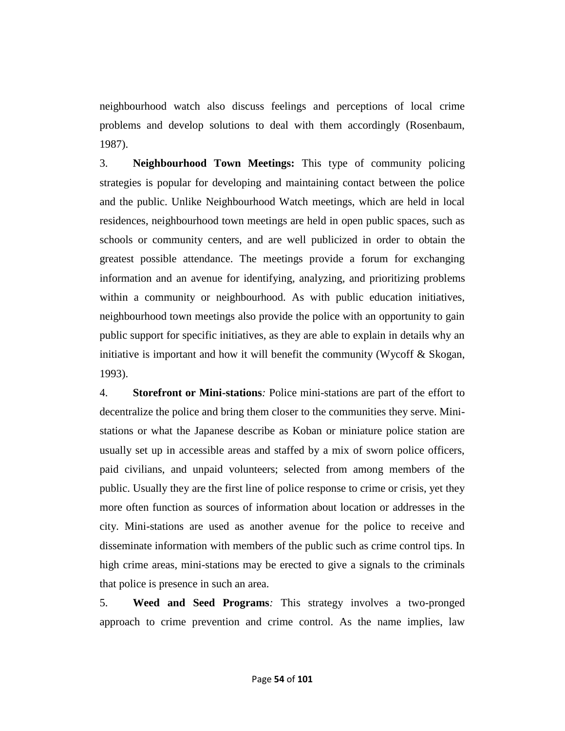neighbourhood watch also discuss feelings and perceptions of local crime problems and develop solutions to deal with them accordingly (Rosenbaum, 1987).

3. **Neighbourhood Town Meetings:** This type of community policing strategies is popular for developing and maintaining contact between the police and the public. Unlike Neighbourhood Watch meetings, which are held in local residences, neighbourhood town meetings are held in open public spaces, such as schools or community centers, and are well publicized in order to obtain the greatest possible attendance. The meetings provide a forum for exchanging information and an avenue for identifying, analyzing, and prioritizing problems within a community or neighbourhood. As with public education initiatives, neighbourhood town meetings also provide the police with an opportunity to gain public support for specific initiatives, as they are able to explain in details why an initiative is important and how it will benefit the community (Wycoff  $\&$  Skogan, 1993).

4. **Storefront or Mini-stations***:* Police mini-stations are part of the effort to decentralize the police and bring them closer to the communities they serve. Ministations or what the Japanese describe as Koban or miniature police station are usually set up in accessible areas and staffed by a mix of sworn police officers, paid civilians, and unpaid volunteers; selected from among members of the public. Usually they are the first line of police response to crime or crisis, yet they more often function as sources of information about location or addresses in the city. Mini-stations are used as another avenue for the police to receive and disseminate information with members of the public such as crime control tips. In high crime areas, mini-stations may be erected to give a signals to the criminals that police is presence in such an area.

5. **Weed and Seed Programs***:* This strategy involves a two-pronged approach to crime prevention and crime control. As the name implies, law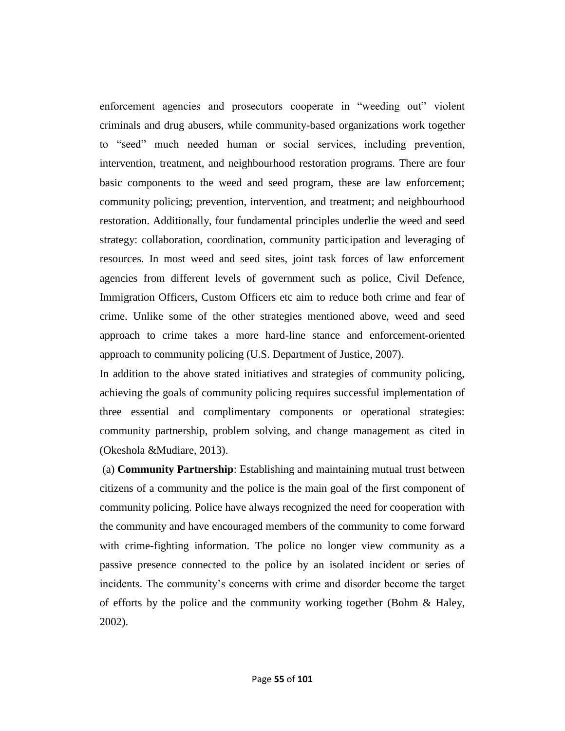enforcement agencies and prosecutors cooperate in "weeding out" violent criminals and drug abusers, while community-based organizations work together to "seed" much needed human or social services, including prevention, intervention, treatment, and neighbourhood restoration programs. There are four basic components to the weed and seed program, these are law enforcement; community policing; prevention, intervention, and treatment; and neighbourhood restoration. Additionally, four fundamental principles underlie the weed and seed strategy: collaboration, coordination, community participation and leveraging of resources. In most weed and seed sites, joint task forces of law enforcement agencies from different levels of government such as police, Civil Defence, Immigration Officers, Custom Officers etc aim to reduce both crime and fear of crime. Unlike some of the other strategies mentioned above, weed and seed approach to crime takes a more hard-line stance and enforcement-oriented approach to community policing (U.S. Department of Justice, 2007).

In addition to the above stated initiatives and strategies of community policing, achieving the goals of community policing requires successful implementation of three essential and complimentary components or operational strategies: community partnership, problem solving, and change management as cited in (Okeshola &Mudiare, 2013).

(a) **Community Partnership**: Establishing and maintaining mutual trust between citizens of a community and the police is the main goal of the first component of community policing. Police have always recognized the need for cooperation with the community and have encouraged members of the community to come forward with crime-fighting information. The police no longer view community as a passive presence connected to the police by an isolated incident or series of incidents. The community's concerns with crime and disorder become the target of efforts by the police and the community working together (Bohm & Haley, 2002).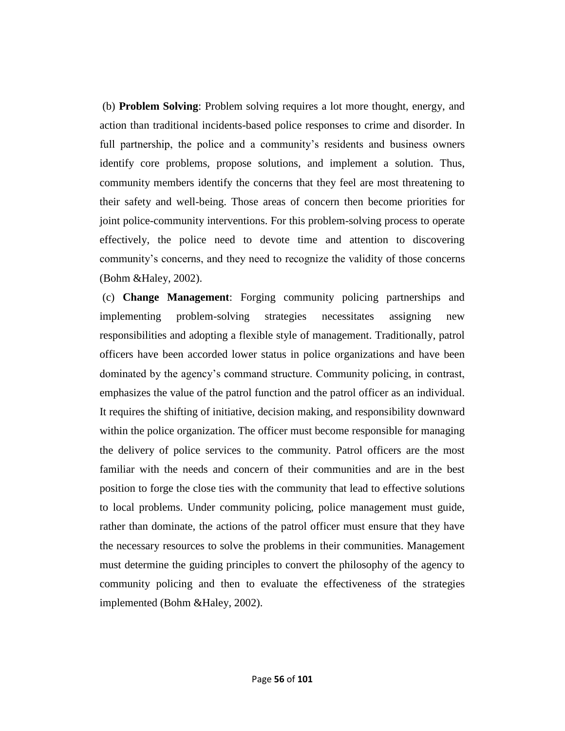(b) **Problem Solving**: Problem solving requires a lot more thought, energy, and action than traditional incidents-based police responses to crime and disorder. In full partnership, the police and a community's residents and business owners identify core problems, propose solutions, and implement a solution. Thus, community members identify the concerns that they feel are most threatening to their safety and well-being. Those areas of concern then become priorities for joint police-community interventions. For this problem-solving process to operate effectively, the police need to devote time and attention to discovering community's concerns, and they need to recognize the validity of those concerns (Bohm &Haley, 2002).

(c) **Change Management**: Forging community policing partnerships and implementing problem-solving strategies necessitates assigning new responsibilities and adopting a flexible style of management. Traditionally, patrol officers have been accorded lower status in police organizations and have been dominated by the agency's command structure. Community policing, in contrast, emphasizes the value of the patrol function and the patrol officer as an individual. It requires the shifting of initiative, decision making, and responsibility downward within the police organization. The officer must become responsible for managing the delivery of police services to the community. Patrol officers are the most familiar with the needs and concern of their communities and are in the best position to forge the close ties with the community that lead to effective solutions to local problems. Under community policing, police management must guide, rather than dominate, the actions of the patrol officer must ensure that they have the necessary resources to solve the problems in their communities. Management must determine the guiding principles to convert the philosophy of the agency to community policing and then to evaluate the effectiveness of the strategies implemented (Bohm &Haley, 2002).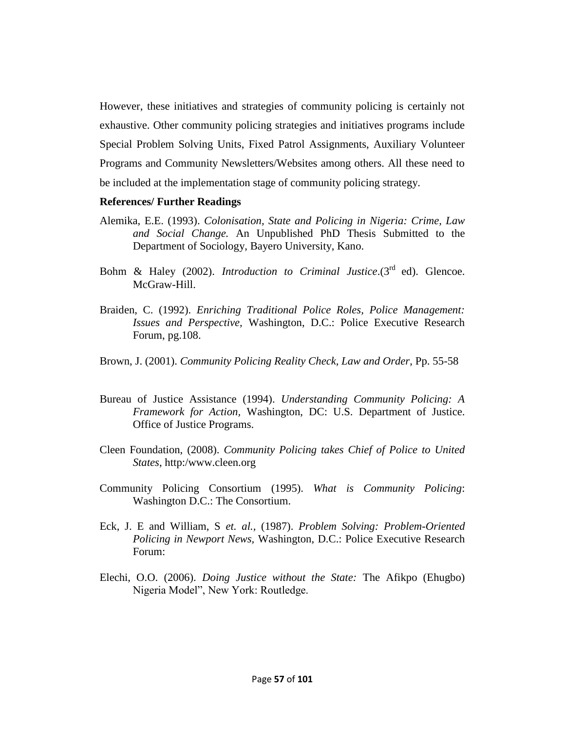However, these initiatives and strategies of community policing is certainly not exhaustive. Other community policing strategies and initiatives programs include Special Problem Solving Units, Fixed Patrol Assignments, Auxiliary Volunteer Programs and Community Newsletters/Websites among others. All these need to be included at the implementation stage of community policing strategy.

#### **References/ Further Readings**

- Alemika, E.E. (1993). *Colonisation, State and Policing in Nigeria: Crime, Law and Social Change.* An Unpublished PhD Thesis Submitted to the Department of Sociology, Bayero University, Kano.
- Bohm & Haley (2002). *Introduction to Criminal Justice*.(3<sup>rd</sup> ed). Glencoe. McGraw-Hill.
- Braiden, C. (1992). *Enriching Traditional Police Roles, Police Management: Issues and Perspective,* Washington, D.C.: Police Executive Research Forum, pg.108.
- Brown, J. (2001). *Community Policing Reality Check, Law and Order*, Pp. 55-58
- Bureau of Justice Assistance (1994). *Understanding Community Policing: A Framework for Action,* Washington, DC: U.S. Department of Justice. Office of Justice Programs.
- Cleen Foundation, (2008). *Community Policing takes Chief of Police to United States*, http:/www.cleen.org
- Community Policing Consortium (1995). *What is Community Policing*: Washington D.C.: The Consortium.
- Eck, J. E and William, S *et. al.,* (1987). *Problem Solving: Problem-Oriented Policing in Newport News,* Washington, D.C.: Police Executive Research Forum:
- Elechi, O.O. (2006). *Doing Justice without the State:* The Afikpo (Ehugbo) Nigeria Model", New York: Routledge.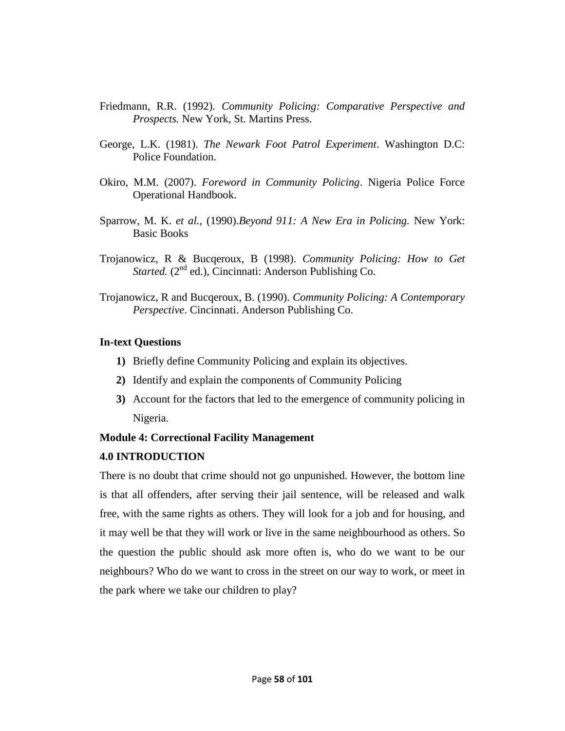- Friedmann, R.R. (1992). *Community Policing: Comparative Perspective and Prospects.* New York, St. Martins Press.
- George, L.K. (1981). *The Newark Foot Patrol Experiment*. Washington D.C: Police Foundation.
- Okiro, M.M. (2007). *Foreword in Community Policing*. Nigeria Police Force Operational Handbook.
- Sparrow, M. K. *et al.,* (1990).*Beyond 911: A New Era in Policing.* New York: Basic Books
- Trojanowicz, R & Bucqeroux, B (1998). *Community Policing: How to Get*  Started. (2<sup>nd</sup> ed.), Cincinnati: Anderson Publishing Co.
- Trojanowicz, R and Bucqeroux, B. (1990). *Community Policing: A Contemporary Perspective*. Cincinnati. Anderson Publishing Co.

## **In-text Questions**

- **1)** Briefly define Community Policing and explain its objectives.
- **2)** Identify and explain the components of Community Policing
- **3)** Account for the factors that led to the emergence of community policing in Nigeria.

# **Module 4: Correctional Facility Management**

# **4.0 INTRODUCTION**

There is no doubt that crime should not go unpunished. However, the bottom line is that all offenders, after serving their jail sentence, will be released and walk free, with the same rights as others. They will look for a job and for housing, and it may well be that they will work or live in the same neighbourhood as others. So the question the public should ask more often is, who do we want to be our neighbours? Who do we want to cross in the street on our way to work, or meet in the park where we take our children to play?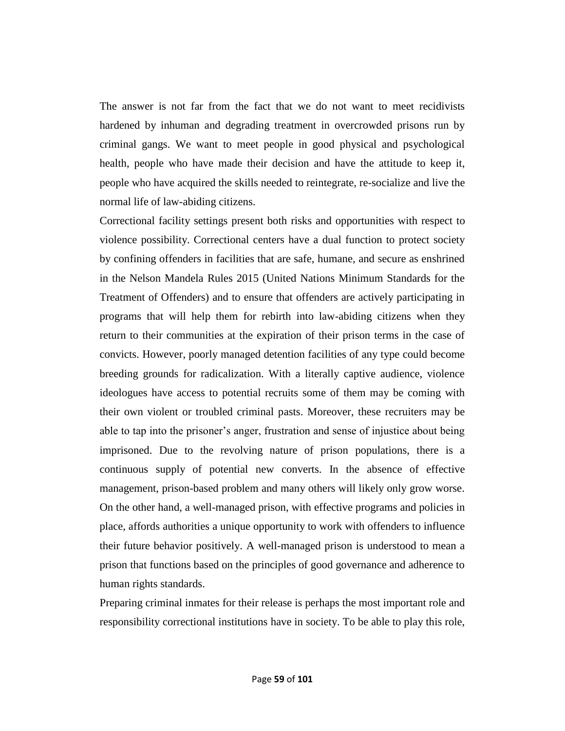The answer is not far from the fact that we do not want to meet recidivists hardened by inhuman and degrading treatment in overcrowded prisons run by criminal gangs. We want to meet people in good physical and psychological health, people who have made their decision and have the attitude to keep it, people who have acquired the skills needed to reintegrate, re-socialize and live the normal life of law-abiding citizens.

Correctional facility settings present both risks and opportunities with respect to violence possibility. Correctional centers have a dual function to protect society by confining offenders in facilities that are safe, humane, and secure as enshrined in the Nelson Mandela Rules 2015 (United Nations Minimum Standards for the Treatment of Offenders) and to ensure that offenders are actively participating in programs that will help them for rebirth into law-abiding citizens when they return to their communities at the expiration of their prison terms in the case of convicts. However, poorly managed detention facilities of any type could become breeding grounds for radicalization. With a literally captive audience, violence ideologues have access to potential recruits some of them may be coming with their own violent or troubled criminal pasts. Moreover, these recruiters may be able to tap into the prisoner's anger, frustration and sense of injustice about being imprisoned. Due to the revolving nature of prison populations, there is a continuous supply of potential new converts. In the absence of effective management, prison-based problem and many others will likely only grow worse. On the other hand, a well-managed prison, with effective programs and policies in place, affords authorities a unique opportunity to work with offenders to influence their future behavior positively. A well-managed prison is understood to mean a prison that functions based on the principles of good governance and adherence to human rights standards.

Preparing criminal inmates for their release is perhaps the most important role and responsibility correctional institutions have in society. To be able to play this role,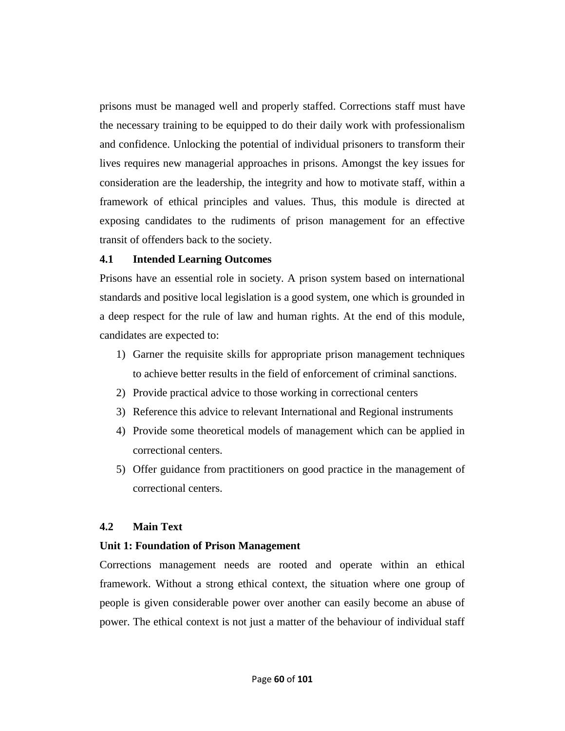prisons must be managed well and properly staffed. Corrections staff must have the necessary training to be equipped to do their daily work with professionalism and confidence. Unlocking the potential of individual prisoners to transform their lives requires new managerial approaches in prisons. Amongst the key issues for consideration are the leadership, the integrity and how to motivate staff, within a framework of ethical principles and values. Thus, this module is directed at exposing candidates to the rudiments of prison management for an effective transit of offenders back to the society.

## **4.1 Intended Learning Outcomes**

Prisons have an essential role in society. A prison system based on international standards and positive local legislation is a good system, one which is grounded in a deep respect for the rule of law and human rights. At the end of this module, candidates are expected to:

- 1) Garner the requisite skills for appropriate prison management techniques to achieve better results in the field of enforcement of criminal sanctions.
- 2) Provide practical advice to those working in correctional centers
- 3) Reference this advice to relevant International and Regional instruments
- 4) Provide some theoretical models of management which can be applied in correctional centers.
- 5) Offer guidance from practitioners on good practice in the management of correctional centers.

# **4.2 Main Text**

# **Unit 1: Foundation of Prison Management**

Corrections management needs are rooted and operate within an ethical framework. Without a strong ethical context, the situation where one group of people is given considerable power over another can easily become an abuse of power. The ethical context is not just a matter of the behaviour of individual staff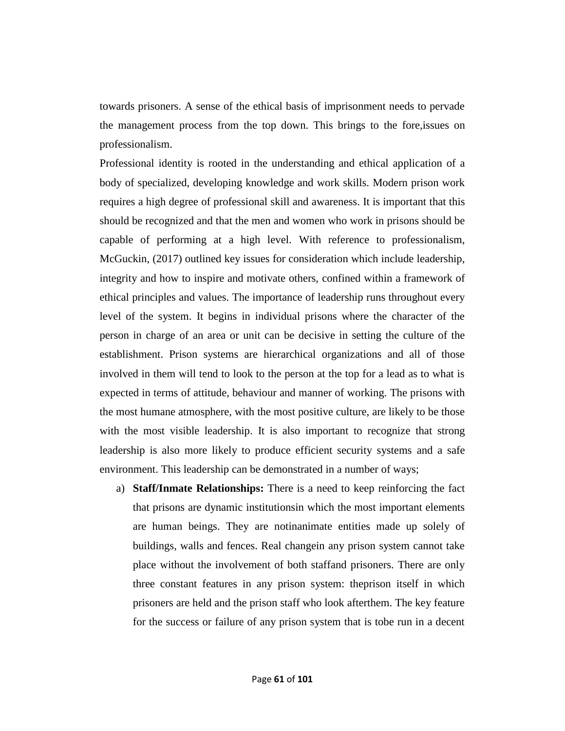towards prisoners. A sense of the ethical basis of imprisonment needs to pervade the management process from the top down. This brings to the fore,issues on professionalism.

Professional identity is rooted in the understanding and ethical application of a body of specialized, developing knowledge and work skills. Modern prison work requires a high degree of professional skill and awareness. It is important that this should be recognized and that the men and women who work in prisons should be capable of performing at a high level. With reference to professionalism, McGuckin, (2017) outlined key issues for consideration which include leadership, integrity and how to inspire and motivate others, confined within a framework of ethical principles and values. The importance of leadership runs throughout every level of the system. It begins in individual prisons where the character of the person in charge of an area or unit can be decisive in setting the culture of the establishment. Prison systems are hierarchical organizations and all of those involved in them will tend to look to the person at the top for a lead as to what is expected in terms of attitude, behaviour and manner of working. The prisons with the most humane atmosphere, with the most positive culture, are likely to be those with the most visible leadership. It is also important to recognize that strong leadership is also more likely to produce efficient security systems and a safe environment. This leadership can be demonstrated in a number of ways;

a) **Staff/Inmate Relationships:** There is a need to keep reinforcing the fact that prisons are dynamic institutionsin which the most important elements are human beings. They are notinanimate entities made up solely of buildings, walls and fences. Real changein any prison system cannot take place without the involvement of both staffand prisoners. There are only three constant features in any prison system: theprison itself in which prisoners are held and the prison staff who look afterthem. The key feature for the success or failure of any prison system that is tobe run in a decent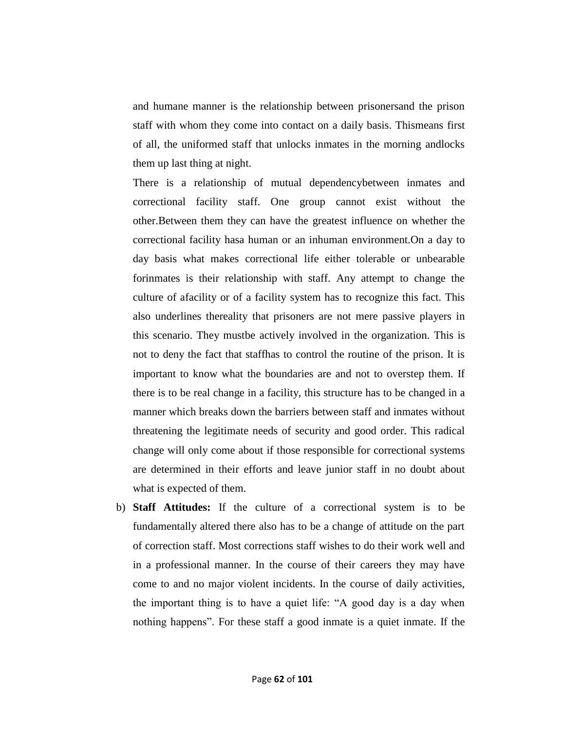and humane manner is the relationship between prisonersand the prison staff with whom they come into contact on a daily basis. Thismeans first of all, the uniformed staff that unlocks inmates in the morning andlocks them up last thing at night.

There is a relationship of mutual dependencybetween inmates and correctional facility staff. One group cannot exist without the other.Between them they can have the greatest influence on whether the correctional facility hasa human or an inhuman environment.On a day to day basis what makes correctional life either tolerable or unbearable forinmates is their relationship with staff. Any attempt to change the culture of afacility or of a facility system has to recognize this fact. This also underlines thereality that prisoners are not mere passive players in this scenario. They mustbe actively involved in the organization. This is not to deny the fact that staffhas to control the routine of the prison. It is important to know what the boundaries are and not to overstep them. If there is to be real change in a facility, this structure has to be changed in a manner which breaks down the barriers between staff and inmates without threatening the legitimate needs of security and good order. This radical change will only come about if those responsible for correctional systems are determined in their efforts and leave junior staff in no doubt about what is expected of them.

b) **Staff Attitudes:** If the culture of a correctional system is to be fundamentally altered there also has to be a change of attitude on the part of correction staff. Most corrections staff wishes to do their work well and in a professional manner. In the course of their careers they may have come to and no major violent incidents. In the course of daily activities, the important thing is to have a quiet life: "A good day is a day when nothing happens". For these staff a good inmate is a quiet inmate. If the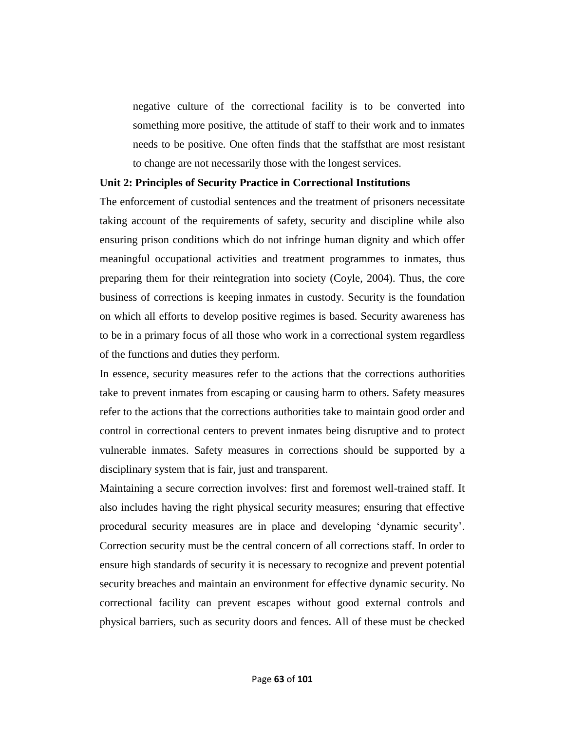negative culture of the correctional facility is to be converted into something more positive, the attitude of staff to their work and to inmates needs to be positive. One often finds that the staffsthat are most resistant to change are not necessarily those with the longest services.

#### **Unit 2: Principles of Security Practice in Correctional Institutions**

The enforcement of custodial sentences and the treatment of prisoners necessitate taking account of the requirements of safety, security and discipline while also ensuring prison conditions which do not infringe human dignity and which offer meaningful occupational activities and treatment programmes to inmates, thus preparing them for their reintegration into society (Coyle, 2004). Thus, the core business of corrections is keeping inmates in custody. Security is the foundation on which all efforts to develop positive regimes is based. Security awareness has to be in a primary focus of all those who work in a correctional system regardless of the functions and duties they perform.

In essence, security measures refer to the actions that the corrections authorities take to prevent inmates from escaping or causing harm to others. Safety measures refer to the actions that the corrections authorities take to maintain good order and control in correctional centers to prevent inmates being disruptive and to protect vulnerable inmates. Safety measures in corrections should be supported by a disciplinary system that is fair, just and transparent.

Maintaining a secure correction involves: first and foremost well-trained staff. It also includes having the right physical security measures; ensuring that effective procedural security measures are in place and developing ‗dynamic security'. Correction security must be the central concern of all corrections staff. In order to ensure high standards of security it is necessary to recognize and prevent potential security breaches and maintain an environment for effective dynamic security. No correctional facility can prevent escapes without good external controls and physical barriers, such as security doors and fences. All of these must be checked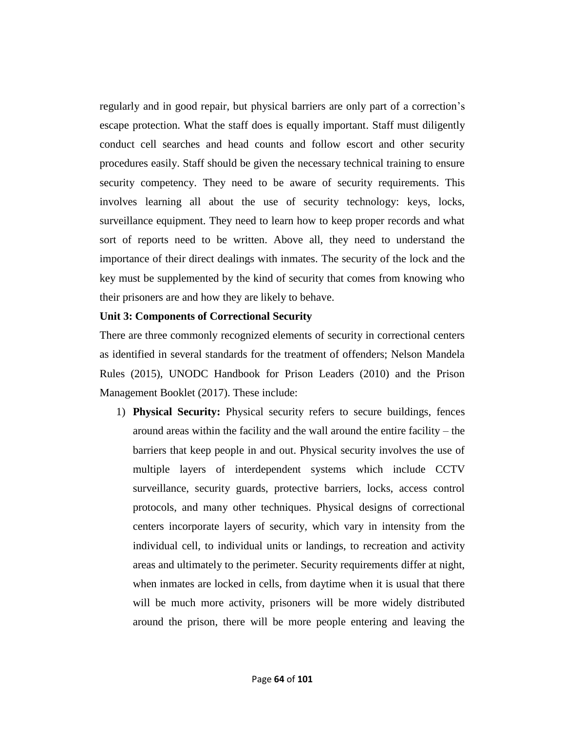regularly and in good repair, but physical barriers are only part of a correction's escape protection. What the staff does is equally important. Staff must diligently conduct cell searches and head counts and follow escort and other security procedures easily. Staff should be given the necessary technical training to ensure security competency. They need to be aware of security requirements. This involves learning all about the use of security technology: keys, locks, surveillance equipment. They need to learn how to keep proper records and what sort of reports need to be written. Above all, they need to understand the importance of their direct dealings with inmates. The security of the lock and the key must be supplemented by the kind of security that comes from knowing who their prisoners are and how they are likely to behave.

### **Unit 3: Components of Correctional Security**

There are three commonly recognized elements of security in correctional centers as identified in several standards for the treatment of offenders; Nelson Mandela Rules (2015), UNODC Handbook for Prison Leaders (2010) and the Prison Management Booklet (2017). These include:

1) **Physical Security:** Physical security refers to secure buildings, fences around areas within the facility and the wall around the entire facility – the barriers that keep people in and out. Physical security involves the use of multiple layers of interdependent systems which include CCTV surveillance, security guards, protective barriers, locks, access control protocols, and many other techniques. Physical designs of correctional centers incorporate layers of security, which vary in intensity from the individual cell, to individual units or landings, to recreation and activity areas and ultimately to the perimeter. Security requirements differ at night, when inmates are locked in cells, from daytime when it is usual that there will be much more activity, prisoners will be more widely distributed around the prison, there will be more people entering and leaving the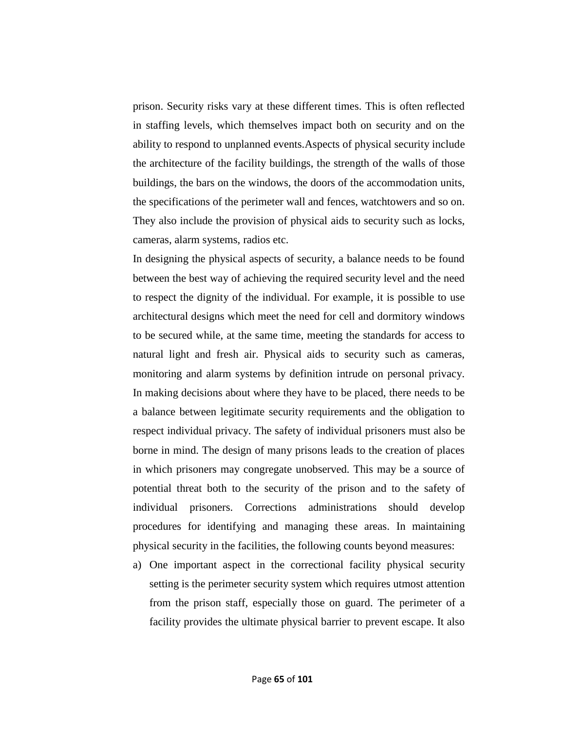prison. Security risks vary at these different times. This is often reflected in staffing levels, which themselves impact both on security and on the ability to respond to unplanned events.Aspects of physical security include the architecture of the facility buildings, the strength of the walls of those buildings, the bars on the windows, the doors of the accommodation units, the specifications of the perimeter wall and fences, watchtowers and so on. They also include the provision of physical aids to security such as locks, cameras, alarm systems, radios etc.

In designing the physical aspects of security, a balance needs to be found between the best way of achieving the required security level and the need to respect the dignity of the individual. For example, it is possible to use architectural designs which meet the need for cell and dormitory windows to be secured while, at the same time, meeting the standards for access to natural light and fresh air. Physical aids to security such as cameras, monitoring and alarm systems by definition intrude on personal privacy. In making decisions about where they have to be placed, there needs to be a balance between legitimate security requirements and the obligation to respect individual privacy. The safety of individual prisoners must also be borne in mind. The design of many prisons leads to the creation of places in which prisoners may congregate unobserved. This may be a source of potential threat both to the security of the prison and to the safety of individual prisoners. Corrections administrations should develop procedures for identifying and managing these areas. In maintaining physical security in the facilities, the following counts beyond measures:

a) One important aspect in the correctional facility physical security setting is the perimeter security system which requires utmost attention from the prison staff, especially those on guard. The perimeter of a facility provides the ultimate physical barrier to prevent escape. It also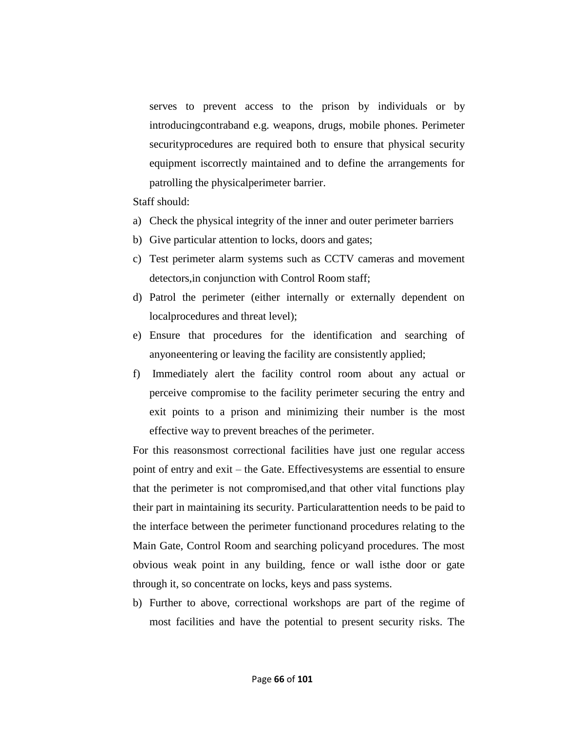serves to prevent access to the prison by individuals or by introducingcontraband e.g. weapons, drugs, mobile phones. Perimeter securityprocedures are required both to ensure that physical security equipment iscorrectly maintained and to define the arrangements for patrolling the physicalperimeter barrier.

Staff should:

- a) Check the physical integrity of the inner and outer perimeter barriers
- b) Give particular attention to locks, doors and gates;
- c) Test perimeter alarm systems such as CCTV cameras and movement detectors,in conjunction with Control Room staff;
- d) Patrol the perimeter (either internally or externally dependent on localprocedures and threat level);
- e) Ensure that procedures for the identification and searching of anyoneentering or leaving the facility are consistently applied;
- f) Immediately alert the facility control room about any actual or perceive compromise to the facility perimeter securing the entry and exit points to a prison and minimizing their number is the most effective way to prevent breaches of the perimeter.

For this reasonsmost correctional facilities have just one regular access point of entry and exit – the Gate. Effectivesystems are essential to ensure that the perimeter is not compromised,and that other vital functions play their part in maintaining its security. Particularattention needs to be paid to the interface between the perimeter functionand procedures relating to the Main Gate, Control Room and searching policyand procedures. The most obvious weak point in any building, fence or wall isthe door or gate through it, so concentrate on locks, keys and pass systems.

b) Further to above, correctional workshops are part of the regime of most facilities and have the potential to present security risks. The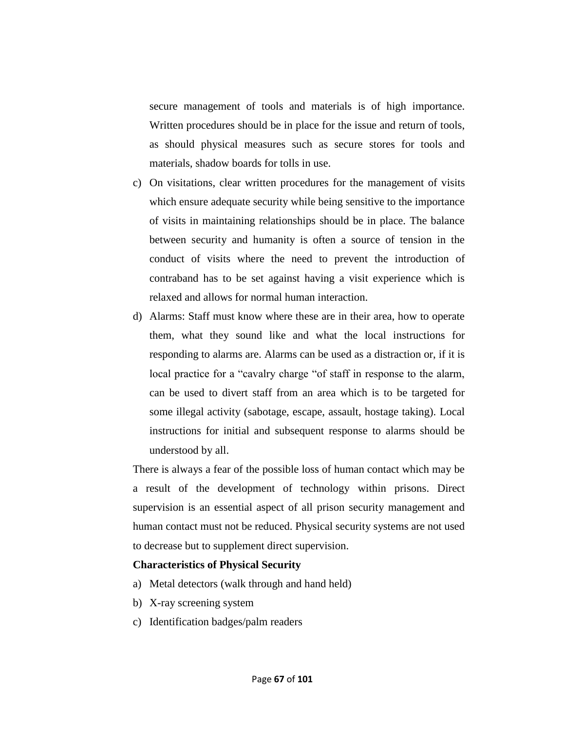secure management of tools and materials is of high importance. Written procedures should be in place for the issue and return of tools, as should physical measures such as secure stores for tools and materials, shadow boards for tolls in use.

- c) On visitations, clear written procedures for the management of visits which ensure adequate security while being sensitive to the importance of visits in maintaining relationships should be in place. The balance between security and humanity is often a source of tension in the conduct of visits where the need to prevent the introduction of contraband has to be set against having a visit experience which is relaxed and allows for normal human interaction.
- d) Alarms: Staff must know where these are in their area, how to operate them, what they sound like and what the local instructions for responding to alarms are. Alarms can be used as a distraction or, if it is local practice for a "cavalry charge "of staff in response to the alarm, can be used to divert staff from an area which is to be targeted for some illegal activity (sabotage, escape, assault, hostage taking). Local instructions for initial and subsequent response to alarms should be understood by all.

There is always a fear of the possible loss of human contact which may be a result of the development of technology within prisons. Direct supervision is an essential aspect of all prison security management and human contact must not be reduced. Physical security systems are not used to decrease but to supplement direct supervision.

#### **Characteristics of Physical Security**

- a) Metal detectors (walk through and hand held)
- b) X-ray screening system
- c) Identification badges/palm readers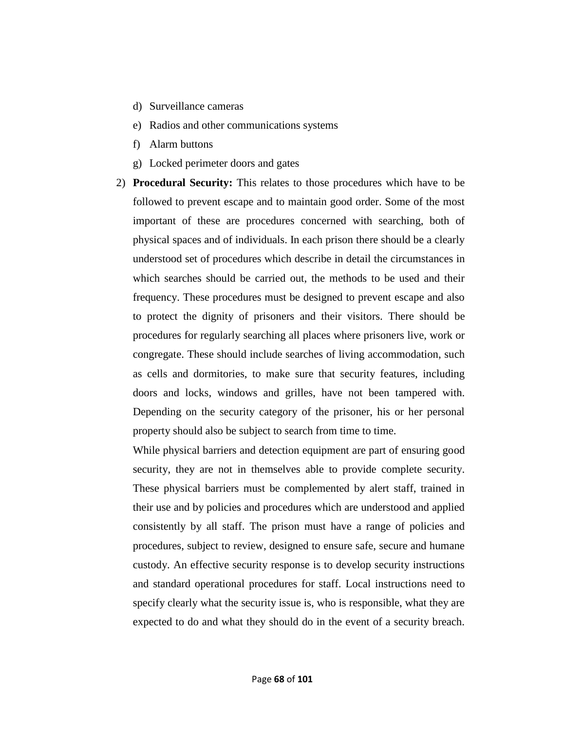- d) Surveillance cameras
- e) Radios and other communications systems
- f) Alarm buttons
- g) Locked perimeter doors and gates
- 2) **Procedural Security:** This relates to those procedures which have to be followed to prevent escape and to maintain good order. Some of the most important of these are procedures concerned with searching, both of physical spaces and of individuals. In each prison there should be a clearly understood set of procedures which describe in detail the circumstances in which searches should be carried out, the methods to be used and their frequency. These procedures must be designed to prevent escape and also to protect the dignity of prisoners and their visitors. There should be procedures for regularly searching all places where prisoners live, work or congregate. These should include searches of living accommodation, such as cells and dormitories, to make sure that security features, including doors and locks, windows and grilles, have not been tampered with. Depending on the security category of the prisoner, his or her personal property should also be subject to search from time to time.

While physical barriers and detection equipment are part of ensuring good security, they are not in themselves able to provide complete security. These physical barriers must be complemented by alert staff, trained in their use and by policies and procedures which are understood and applied consistently by all staff. The prison must have a range of policies and procedures, subject to review, designed to ensure safe, secure and humane custody. An effective security response is to develop security instructions and standard operational procedures for staff. Local instructions need to specify clearly what the security issue is, who is responsible, what they are expected to do and what they should do in the event of a security breach.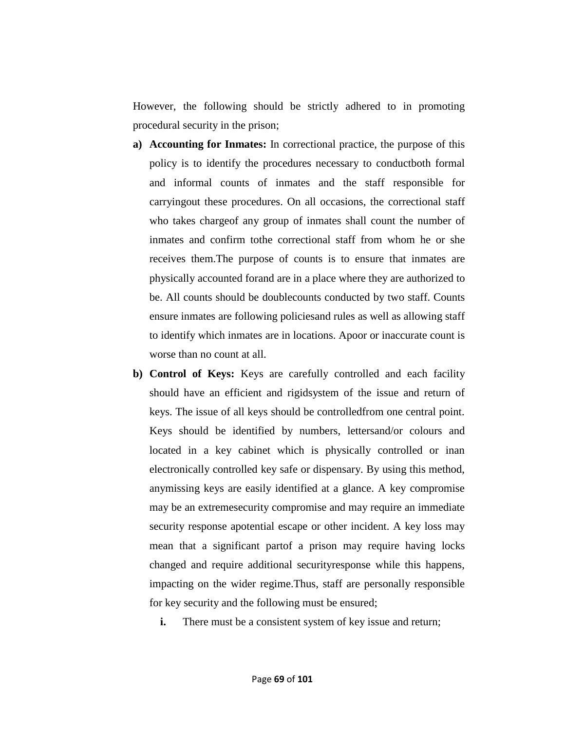However, the following should be strictly adhered to in promoting procedural security in the prison;

- **a) Accounting for Inmates:** In correctional practice, the purpose of this policy is to identify the procedures necessary to conductboth formal and informal counts of inmates and the staff responsible for carryingout these procedures. On all occasions, the correctional staff who takes chargeof any group of inmates shall count the number of inmates and confirm tothe correctional staff from whom he or she receives them.The purpose of counts is to ensure that inmates are physically accounted forand are in a place where they are authorized to be. All counts should be doublecounts conducted by two staff. Counts ensure inmates are following policiesand rules as well as allowing staff to identify which inmates are in locations. Apoor or inaccurate count is worse than no count at all.
- **b) Control of Keys:** Keys are carefully controlled and each facility should have an efficient and rigidsystem of the issue and return of keys. The issue of all keys should be controlledfrom one central point. Keys should be identified by numbers, lettersand/or colours and located in a key cabinet which is physically controlled or inan electronically controlled key safe or dispensary. By using this method, anymissing keys are easily identified at a glance. A key compromise may be an extremesecurity compromise and may require an immediate security response apotential escape or other incident. A key loss may mean that a significant partof a prison may require having locks changed and require additional securityresponse while this happens, impacting on the wider regime.Thus, staff are personally responsible for key security and the following must be ensured;
	- **i.** There must be a consistent system of key issue and return;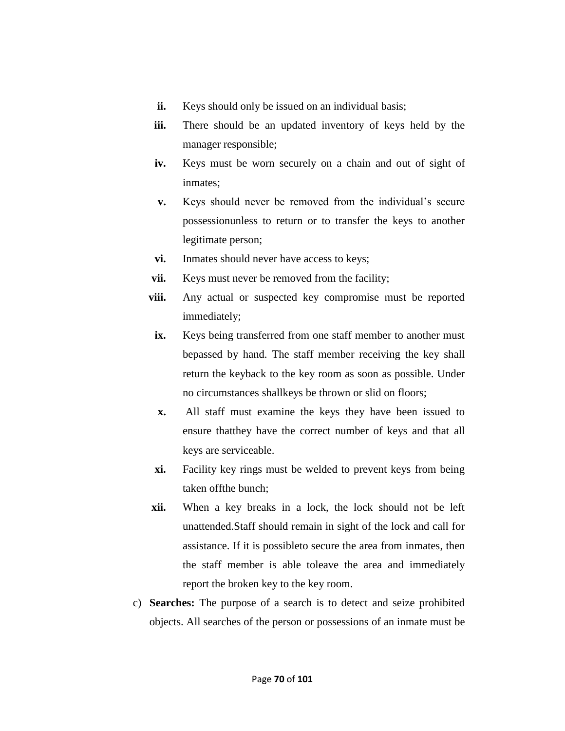- **ii.** Keys should only be issued on an individual basis;
- **iii.** There should be an updated inventory of keys held by the manager responsible;
- **iv.** Keys must be worn securely on a chain and out of sight of inmates;
- **v.** Keys should never be removed from the individual's secure possessionunless to return or to transfer the keys to another legitimate person;
- **vi.** Inmates should never have access to keys;
- **vii.** Keys must never be removed from the facility;
- **viii.** Any actual or suspected key compromise must be reported immediately;
- **ix.** Keys being transferred from one staff member to another must bepassed by hand. The staff member receiving the key shall return the keyback to the key room as soon as possible. Under no circumstances shallkeys be thrown or slid on floors;
- **x.** All staff must examine the keys they have been issued to ensure thatthey have the correct number of keys and that all keys are serviceable.
- **xi.** Facility key rings must be welded to prevent keys from being taken offthe bunch;
- **xii.** When a key breaks in a lock, the lock should not be left unattended.Staff should remain in sight of the lock and call for assistance. If it is possibleto secure the area from inmates, then the staff member is able toleave the area and immediately report the broken key to the key room.
- c) **Searches:** The purpose of a search is to detect and seize prohibited objects. All searches of the person or possessions of an inmate must be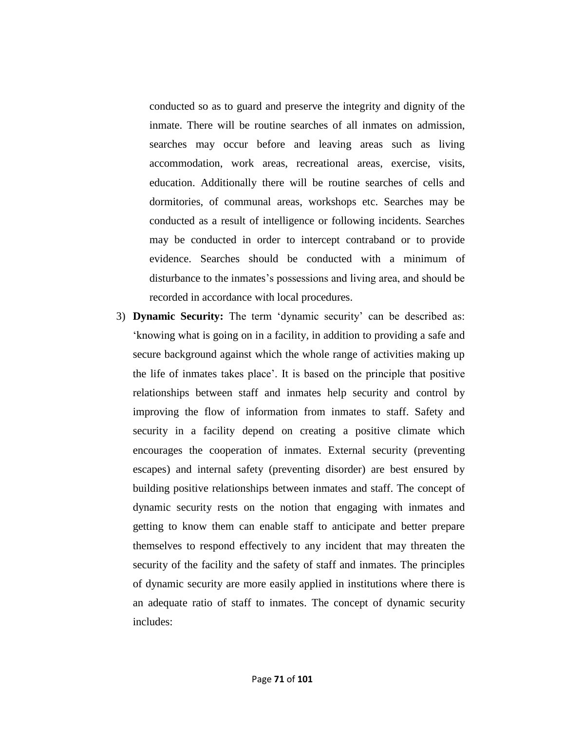conducted so as to guard and preserve the integrity and dignity of the inmate. There will be routine searches of all inmates on admission, searches may occur before and leaving areas such as living accommodation, work areas, recreational areas, exercise, visits, education. Additionally there will be routine searches of cells and dormitories, of communal areas, workshops etc. Searches may be conducted as a result of intelligence or following incidents. Searches may be conducted in order to intercept contraband or to provide evidence. Searches should be conducted with a minimum of disturbance to the inmates's possessions and living area, and should be recorded in accordance with local procedures.

3) **Dynamic Security:** The term 'dynamic security' can be described as: ‗knowing what is going on in a facility, in addition to providing a safe and secure background against which the whole range of activities making up the life of inmates takes place'. It is based on the principle that positive relationships between staff and inmates help security and control by improving the flow of information from inmates to staff. Safety and security in a facility depend on creating a positive climate which encourages the cooperation of inmates. External security (preventing escapes) and internal safety (preventing disorder) are best ensured by building positive relationships between inmates and staff. The concept of dynamic security rests on the notion that engaging with inmates and getting to know them can enable staff to anticipate and better prepare themselves to respond effectively to any incident that may threaten the security of the facility and the safety of staff and inmates. The principles of dynamic security are more easily applied in institutions where there is an adequate ratio of staff to inmates. The concept of dynamic security includes: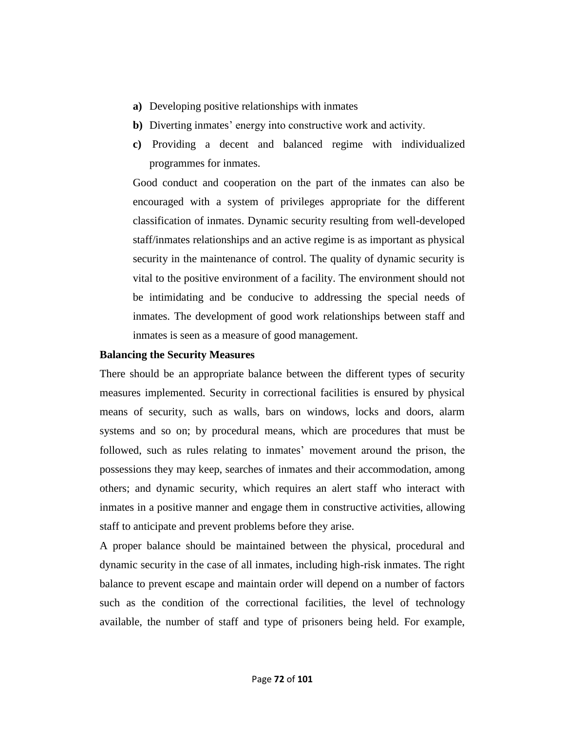- **a)** Developing positive relationships with inmates
- **b)** Diverting inmates' energy into constructive work and activity.
- **c)** Providing a decent and balanced regime with individualized programmes for inmates.

Good conduct and cooperation on the part of the inmates can also be encouraged with a system of privileges appropriate for the different classification of inmates. Dynamic security resulting from well-developed staff/inmates relationships and an active regime is as important as physical security in the maintenance of control. The quality of dynamic security is vital to the positive environment of a facility. The environment should not be intimidating and be conducive to addressing the special needs of inmates. The development of good work relationships between staff and inmates is seen as a measure of good management.

## **Balancing the Security Measures**

There should be an appropriate balance between the different types of security measures implemented. Security in correctional facilities is ensured by physical means of security, such as walls, bars on windows, locks and doors, alarm systems and so on; by procedural means, which are procedures that must be followed, such as rules relating to inmates' movement around the prison, the possessions they may keep, searches of inmates and their accommodation, among others; and dynamic security, which requires an alert staff who interact with inmates in a positive manner and engage them in constructive activities, allowing staff to anticipate and prevent problems before they arise.

A proper balance should be maintained between the physical, procedural and dynamic security in the case of all inmates, including high-risk inmates. The right balance to prevent escape and maintain order will depend on a number of factors such as the condition of the correctional facilities, the level of technology available, the number of staff and type of prisoners being held. For example,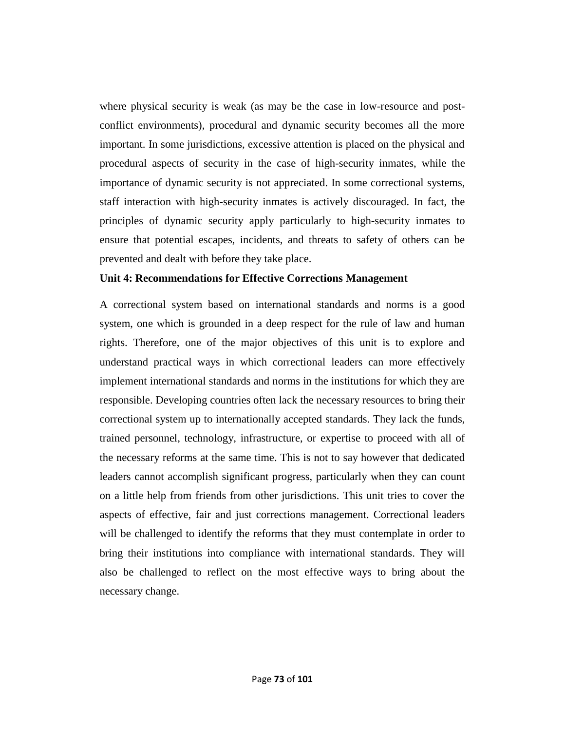where physical security is weak (as may be the case in low-resource and postconflict environments), procedural and dynamic security becomes all the more important. In some jurisdictions, excessive attention is placed on the physical and procedural aspects of security in the case of high-security inmates, while the importance of dynamic security is not appreciated. In some correctional systems, staff interaction with high-security inmates is actively discouraged. In fact, the principles of dynamic security apply particularly to high-security inmates to ensure that potential escapes, incidents, and threats to safety of others can be prevented and dealt with before they take place.

#### **Unit 4: Recommendations for Effective Corrections Management**

A correctional system based on international standards and norms is a good system, one which is grounded in a deep respect for the rule of law and human rights. Therefore, one of the major objectives of this unit is to explore and understand practical ways in which correctional leaders can more effectively implement international standards and norms in the institutions for which they are responsible. Developing countries often lack the necessary resources to bring their correctional system up to internationally accepted standards. They lack the funds, trained personnel, technology, infrastructure, or expertise to proceed with all of the necessary reforms at the same time. This is not to say however that dedicated leaders cannot accomplish significant progress, particularly when they can count on a little help from friends from other jurisdictions. This unit tries to cover the aspects of effective, fair and just corrections management. Correctional leaders will be challenged to identify the reforms that they must contemplate in order to bring their institutions into compliance with international standards. They will also be challenged to reflect on the most effective ways to bring about the necessary change.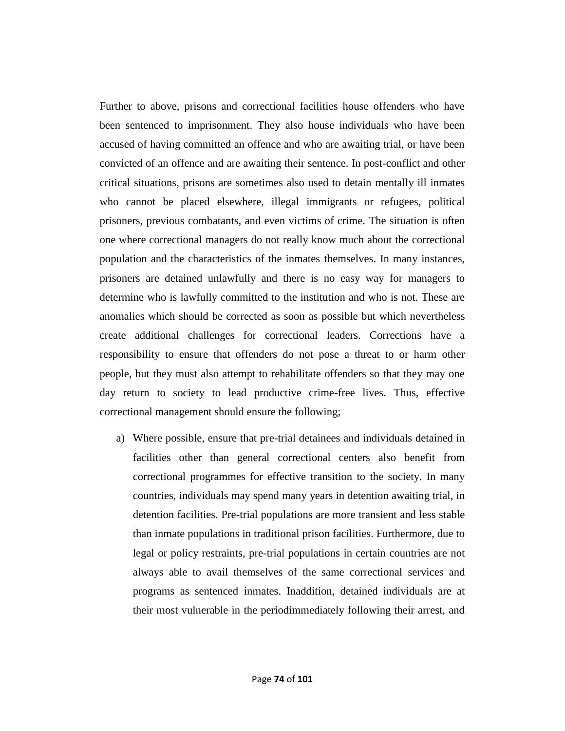Further to above, prisons and correctional facilities house offenders who have been sentenced to imprisonment. They also house individuals who have been accused of having committed an offence and who are awaiting trial, or have been convicted of an offence and are awaiting their sentence. In post-conflict and other critical situations, prisons are sometimes also used to detain mentally ill inmates who cannot be placed elsewhere, illegal immigrants or refugees, political prisoners, previous combatants, and even victims of crime. The situation is often one where correctional managers do not really know much about the correctional population and the characteristics of the inmates themselves. In many instances, prisoners are detained unlawfully and there is no easy way for managers to determine who is lawfully committed to the institution and who is not. These are anomalies which should be corrected as soon as possible but which nevertheless create additional challenges for correctional leaders. Corrections have a responsibility to ensure that offenders do not pose a threat to or harm other people, but they must also attempt to rehabilitate offenders so that they may one day return to society to lead productive crime-free lives. Thus, effective correctional management should ensure the following;

a) Where possible, ensure that pre-trial detainees and individuals detained in facilities other than general correctional centers also benefit from correctional programmes for effective transition to the society. In many countries, individuals may spend many years in detention awaiting trial, in detention facilities. Pre-trial populations are more transient and less stable than inmate populations in traditional prison facilities. Furthermore, due to legal or policy restraints, pre-trial populations in certain countries are not always able to avail themselves of the same correctional services and programs as sentenced inmates. Inaddition, detained individuals are at their most vulnerable in the periodimmediately following their arrest, and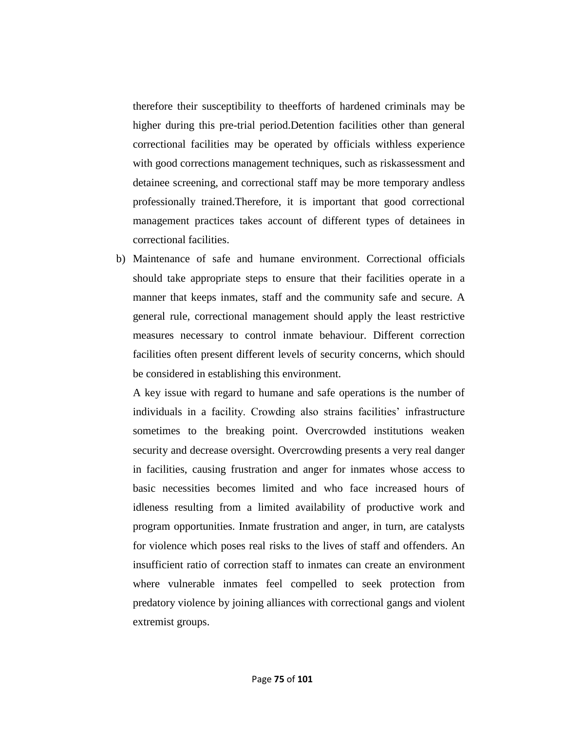therefore their susceptibility to theefforts of hardened criminals may be higher during this pre-trial period.Detention facilities other than general correctional facilities may be operated by officials withless experience with good corrections management techniques, such as riskassessment and detainee screening, and correctional staff may be more temporary andless professionally trained.Therefore, it is important that good correctional management practices takes account of different types of detainees in correctional facilities.

b) Maintenance of safe and humane environment. Correctional officials should take appropriate steps to ensure that their facilities operate in a manner that keeps inmates, staff and the community safe and secure. A general rule, correctional management should apply the least restrictive measures necessary to control inmate behaviour. Different correction facilities often present different levels of security concerns, which should be considered in establishing this environment.

A key issue with regard to humane and safe operations is the number of individuals in a facility. Crowding also strains facilities' infrastructure sometimes to the breaking point. Overcrowded institutions weaken security and decrease oversight. Overcrowding presents a very real danger in facilities, causing frustration and anger for inmates whose access to basic necessities becomes limited and who face increased hours of idleness resulting from a limited availability of productive work and program opportunities. Inmate frustration and anger, in turn, are catalysts for violence which poses real risks to the lives of staff and offenders. An insufficient ratio of correction staff to inmates can create an environment where vulnerable inmates feel compelled to seek protection from predatory violence by joining alliances with correctional gangs and violent extremist groups.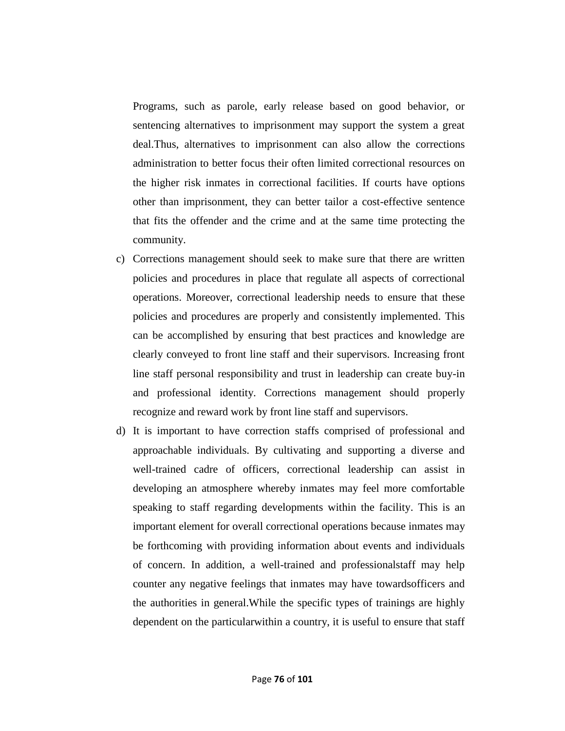Programs, such as parole, early release based on good behavior, or sentencing alternatives to imprisonment may support the system a great deal.Thus, alternatives to imprisonment can also allow the corrections administration to better focus their often limited correctional resources on the higher risk inmates in correctional facilities. If courts have options other than imprisonment, they can better tailor a cost-effective sentence that fits the offender and the crime and at the same time protecting the community.

- c) Corrections management should seek to make sure that there are written policies and procedures in place that regulate all aspects of correctional operations. Moreover, correctional leadership needs to ensure that these policies and procedures are properly and consistently implemented. This can be accomplished by ensuring that best practices and knowledge are clearly conveyed to front line staff and their supervisors. Increasing front line staff personal responsibility and trust in leadership can create buy-in and professional identity. Corrections management should properly recognize and reward work by front line staff and supervisors.
- d) It is important to have correction staffs comprised of professional and approachable individuals. By cultivating and supporting a diverse and well-trained cadre of officers, correctional leadership can assist in developing an atmosphere whereby inmates may feel more comfortable speaking to staff regarding developments within the facility. This is an important element for overall correctional operations because inmates may be forthcoming with providing information about events and individuals of concern. In addition, a well-trained and professionalstaff may help counter any negative feelings that inmates may have towardsofficers and the authorities in general.While the specific types of trainings are highly dependent on the particularwithin a country, it is useful to ensure that staff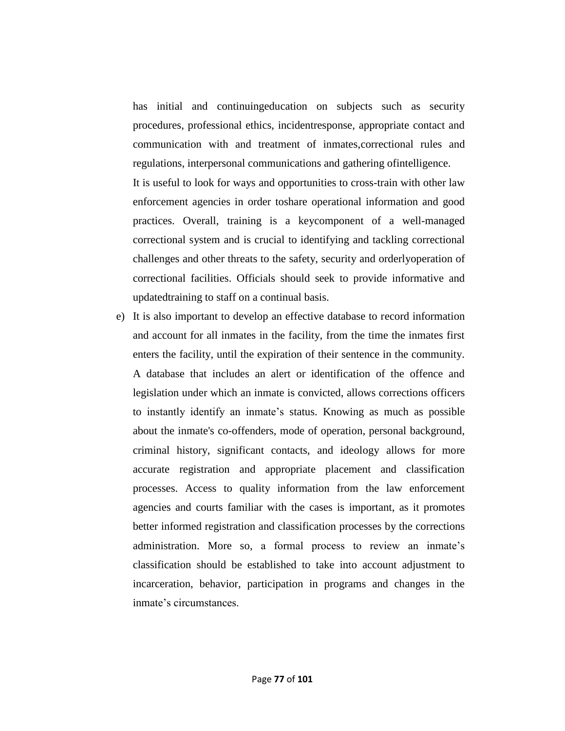has initial and continuingeducation on subjects such as security procedures, professional ethics, incidentresponse, appropriate contact and communication with and treatment of inmates,correctional rules and regulations, interpersonal communications and gathering ofintelligence.

It is useful to look for ways and opportunities to cross-train with other law enforcement agencies in order toshare operational information and good practices. Overall, training is a keycomponent of a well-managed correctional system and is crucial to identifying and tackling correctional challenges and other threats to the safety, security and orderlyoperation of correctional facilities. Officials should seek to provide informative and updatedtraining to staff on a continual basis.

e) It is also important to develop an effective database to record information and account for all inmates in the facility, from the time the inmates first enters the facility, until the expiration of their sentence in the community. A database that includes an alert or identification of the offence and legislation under which an inmate is convicted, allows corrections officers to instantly identify an inmate's status. Knowing as much as possible about the inmate's co-offenders, mode of operation, personal background, criminal history, significant contacts, and ideology allows for more accurate registration and appropriate placement and classification processes. Access to quality information from the law enforcement agencies and courts familiar with the cases is important, as it promotes better informed registration and classification processes by the corrections administration. More so, a formal process to review an inmate's classification should be established to take into account adjustment to incarceration, behavior, participation in programs and changes in the inmate's circumstances.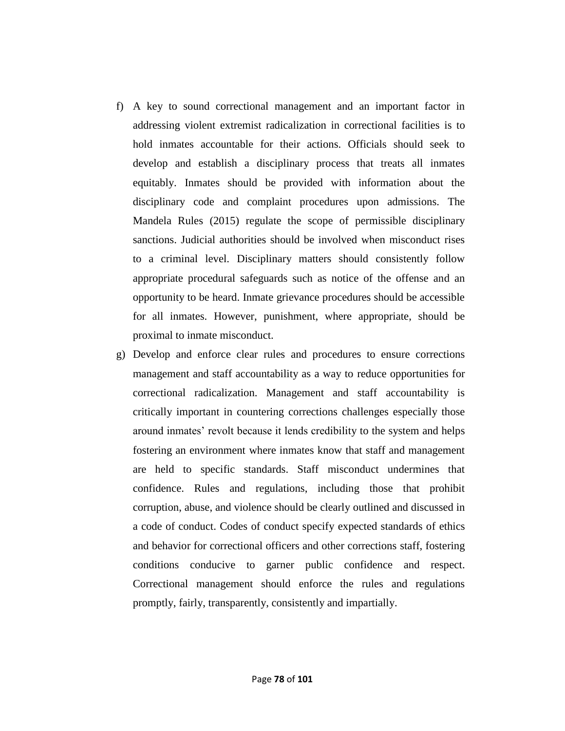- f) A key to sound correctional management and an important factor in addressing violent extremist radicalization in correctional facilities is to hold inmates accountable for their actions. Officials should seek to develop and establish a disciplinary process that treats all inmates equitably. Inmates should be provided with information about the disciplinary code and complaint procedures upon admissions. The Mandela Rules (2015) regulate the scope of permissible disciplinary sanctions. Judicial authorities should be involved when misconduct rises to a criminal level. Disciplinary matters should consistently follow appropriate procedural safeguards such as notice of the offense and an opportunity to be heard. Inmate grievance procedures should be accessible for all inmates. However, punishment, where appropriate, should be proximal to inmate misconduct.
- g) Develop and enforce clear rules and procedures to ensure corrections management and staff accountability as a way to reduce opportunities for correctional radicalization. Management and staff accountability is critically important in countering corrections challenges especially those around inmates' revolt because it lends credibility to the system and helps fostering an environment where inmates know that staff and management are held to specific standards. Staff misconduct undermines that confidence. Rules and regulations, including those that prohibit corruption, abuse, and violence should be clearly outlined and discussed in a code of conduct. Codes of conduct specify expected standards of ethics and behavior for correctional officers and other corrections staff, fostering conditions conducive to garner public confidence and respect. Correctional management should enforce the rules and regulations promptly, fairly, transparently, consistently and impartially.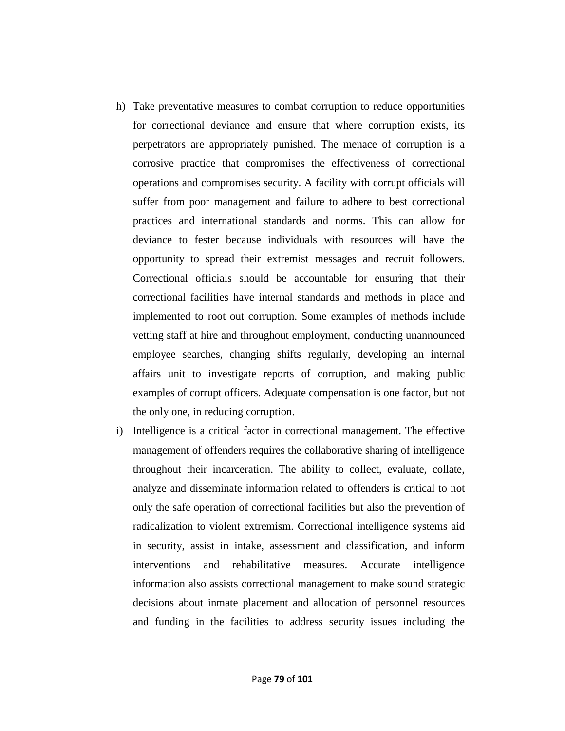- h) Take preventative measures to combat corruption to reduce opportunities for correctional deviance and ensure that where corruption exists, its perpetrators are appropriately punished. The menace of corruption is a corrosive practice that compromises the effectiveness of correctional operations and compromises security. A facility with corrupt officials will suffer from poor management and failure to adhere to best correctional practices and international standards and norms. This can allow for deviance to fester because individuals with resources will have the opportunity to spread their extremist messages and recruit followers. Correctional officials should be accountable for ensuring that their correctional facilities have internal standards and methods in place and implemented to root out corruption. Some examples of methods include vetting staff at hire and throughout employment, conducting unannounced employee searches, changing shifts regularly, developing an internal affairs unit to investigate reports of corruption, and making public examples of corrupt officers. Adequate compensation is one factor, but not the only one, in reducing corruption.
- i) Intelligence is a critical factor in correctional management. The effective management of offenders requires the collaborative sharing of intelligence throughout their incarceration. The ability to collect, evaluate, collate, analyze and disseminate information related to offenders is critical to not only the safe operation of correctional facilities but also the prevention of radicalization to violent extremism. Correctional intelligence systems aid in security, assist in intake, assessment and classification, and inform interventions and rehabilitative measures. Accurate intelligence information also assists correctional management to make sound strategic decisions about inmate placement and allocation of personnel resources and funding in the facilities to address security issues including the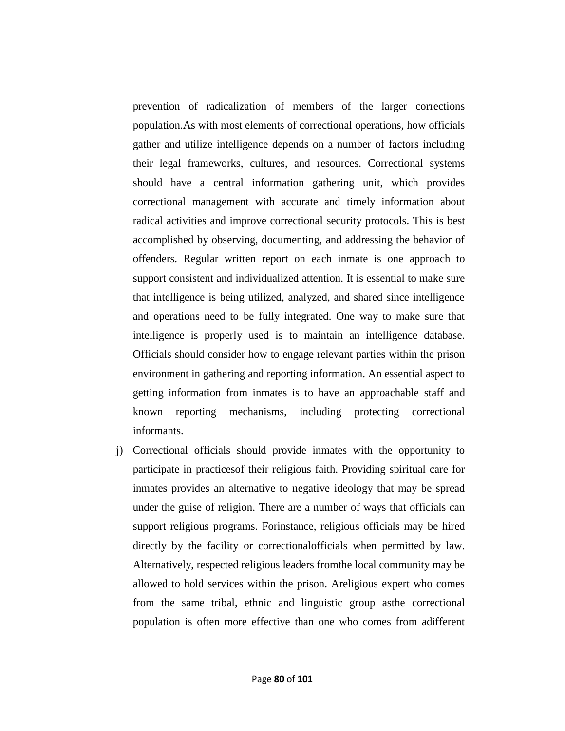prevention of radicalization of members of the larger corrections population.As with most elements of correctional operations, how officials gather and utilize intelligence depends on a number of factors including their legal frameworks, cultures, and resources. Correctional systems should have a central information gathering unit, which provides correctional management with accurate and timely information about radical activities and improve correctional security protocols. This is best accomplished by observing, documenting, and addressing the behavior of offenders. Regular written report on each inmate is one approach to support consistent and individualized attention. It is essential to make sure that intelligence is being utilized, analyzed, and shared since intelligence and operations need to be fully integrated. One way to make sure that intelligence is properly used is to maintain an intelligence database. Officials should consider how to engage relevant parties within the prison environment in gathering and reporting information. An essential aspect to getting information from inmates is to have an approachable staff and known reporting mechanisms, including protecting correctional informants.

j) Correctional officials should provide inmates with the opportunity to participate in practicesof their religious faith. Providing spiritual care for inmates provides an alternative to negative ideology that may be spread under the guise of religion. There are a number of ways that officials can support religious programs. Forinstance, religious officials may be hired directly by the facility or correctionalofficials when permitted by law. Alternatively, respected religious leaders fromthe local community may be allowed to hold services within the prison. Areligious expert who comes from the same tribal, ethnic and linguistic group asthe correctional population is often more effective than one who comes from adifferent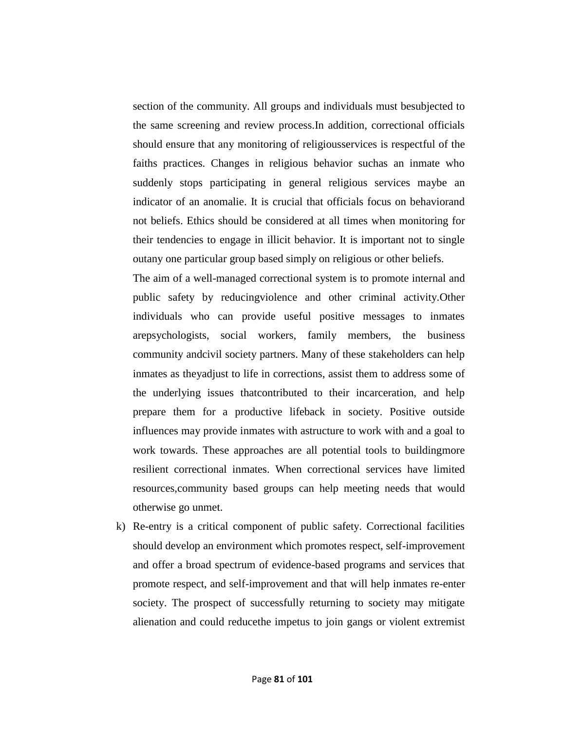section of the community. All groups and individuals must besubjected to the same screening and review process.In addition, correctional officials should ensure that any monitoring of religiousservices is respectful of the faiths practices. Changes in religious behavior suchas an inmate who suddenly stops participating in general religious services maybe an indicator of an anomalie. It is crucial that officials focus on behaviorand not beliefs. Ethics should be considered at all times when monitoring for their tendencies to engage in illicit behavior. It is important not to single outany one particular group based simply on religious or other beliefs.

The aim of a well-managed correctional system is to promote internal and public safety by reducingviolence and other criminal activity.Other individuals who can provide useful positive messages to inmates arepsychologists, social workers, family members, the business community andcivil society partners. Many of these stakeholders can help inmates as theyadjust to life in corrections, assist them to address some of the underlying issues thatcontributed to their incarceration, and help prepare them for a productive lifeback in society. Positive outside influences may provide inmates with astructure to work with and a goal to work towards. These approaches are all potential tools to buildingmore resilient correctional inmates. When correctional services have limited resources,community based groups can help meeting needs that would otherwise go unmet.

k) Re-entry is a critical component of public safety. Correctional facilities should develop an environment which promotes respect, self-improvement and offer a broad spectrum of evidence-based programs and services that promote respect, and self-improvement and that will help inmates re-enter society. The prospect of successfully returning to society may mitigate alienation and could reducethe impetus to join gangs or violent extremist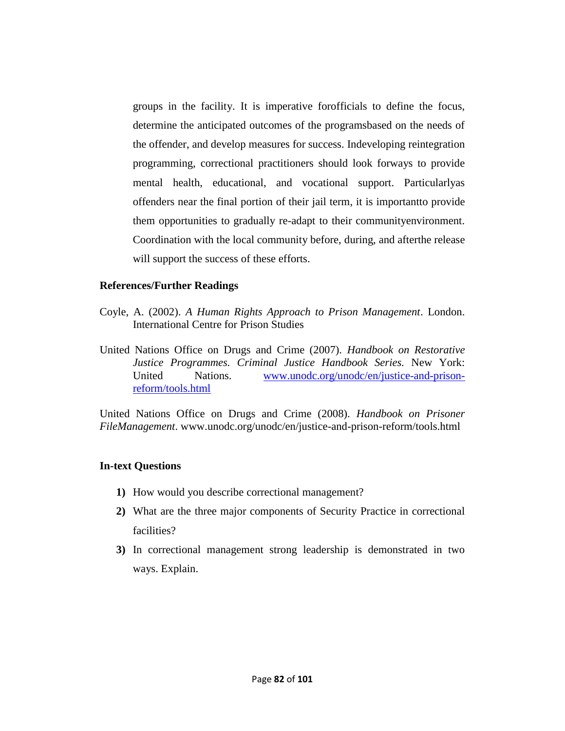groups in the facility. It is imperative forofficials to define the focus, determine the anticipated outcomes of the programsbased on the needs of the offender, and develop measures for success. Indeveloping reintegration programming, correctional practitioners should look forways to provide mental health, educational, and vocational support. Particularlyas offenders near the final portion of their jail term, it is importantto provide them opportunities to gradually re-adapt to their communityenvironment. Coordination with the local community before, during, and afterthe release will support the success of these efforts.

#### **References/Further Readings**

- Coyle, A. (2002). *A Human Rights Approach to Prison Management*. London. International Centre for Prison Studies
- United Nations Office on Drugs and Crime (2007). *Handbook on Restorative Justice Programmes. Criminal Justice Handbook Series.* New York: United Nations. [www.unodc.org/unodc/en/justice-and-prison](http://www.unodc.org/unodc/en/justice-and-prison-reform/tools.html)[reform/tools.html](http://www.unodc.org/unodc/en/justice-and-prison-reform/tools.html)

United Nations Office on Drugs and Crime (2008). *Handbook on Prisoner FileManagement*. www.unodc.org/unodc/en/justice-and-prison-reform/tools.html

#### **In-text Questions**

- **1)** How would you describe correctional management?
- **2)** What are the three major components of Security Practice in correctional facilities?
- **3)** In correctional management strong leadership is demonstrated in two ways. Explain.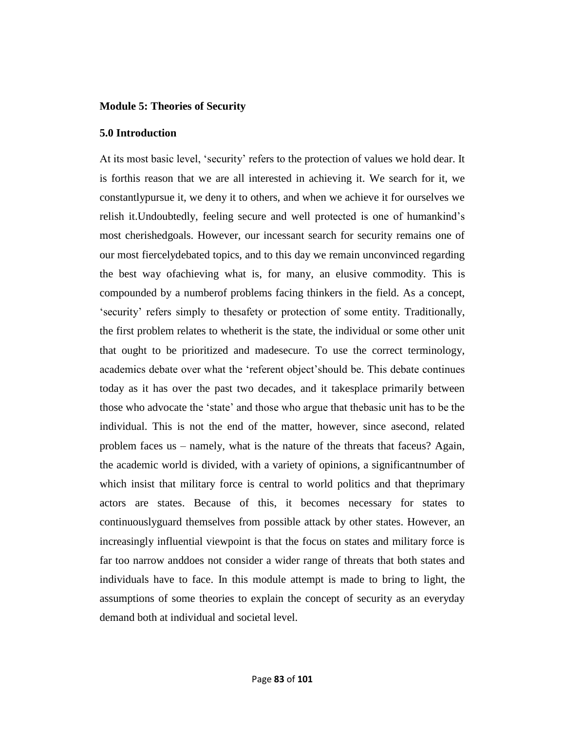#### **Module 5: Theories of Security**

#### **5.0 Introduction**

At its most basic level, 'security' refers to the protection of values we hold dear. It is forthis reason that we are all interested in achieving it. We search for it, we constantlypursue it, we deny it to others, and when we achieve it for ourselves we relish it.Undoubtedly, feeling secure and well protected is one of humankind's most cherishedgoals. However, our incessant search for security remains one of our most fiercelydebated topics, and to this day we remain unconvinced regarding the best way ofachieving what is, for many, an elusive commodity. This is compounded by a numberof problems facing thinkers in the field. As a concept, ‗security' refers simply to thesafety or protection of some entity. Traditionally, the first problem relates to whetherit is the state, the individual or some other unit that ought to be prioritized and madesecure. To use the correct terminology, academics debate over what the 'referent object' should be. This debate continues today as it has over the past two decades, and it takesplace primarily between those who advocate the 'state' and those who argue that the basic unit has to be the individual. This is not the end of the matter, however, since asecond, related problem faces us – namely, what is the nature of the threats that faceus? Again, the academic world is divided, with a variety of opinions, a significantnumber of which insist that military force is central to world politics and that the primary actors are states. Because of this, it becomes necessary for states to continuouslyguard themselves from possible attack by other states. However, an increasingly influential viewpoint is that the focus on states and military force is far too narrow anddoes not consider a wider range of threats that both states and individuals have to face. In this module attempt is made to bring to light, the assumptions of some theories to explain the concept of security as an everyday demand both at individual and societal level.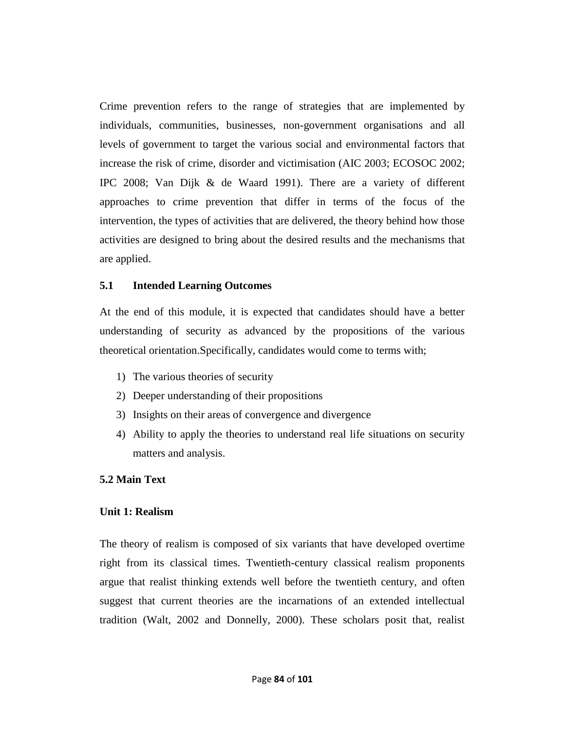Crime prevention refers to the range of strategies that are implemented by individuals, communities, businesses, non-government organisations and all levels of government to target the various social and environmental factors that increase the risk of crime, disorder and victimisation (AIC 2003; ECOSOC 2002; IPC 2008; Van Dijk & de Waard 1991). There are a variety of different approaches to crime prevention that differ in terms of the focus of the intervention, the types of activities that are delivered, the theory behind how those activities are designed to bring about the desired results and the mechanisms that are applied.

#### **5.1 Intended Learning Outcomes**

At the end of this module, it is expected that candidates should have a better understanding of security as advanced by the propositions of the various theoretical orientation.Specifically, candidates would come to terms with;

- 1) The various theories of security
- 2) Deeper understanding of their propositions
- 3) Insights on their areas of convergence and divergence
- 4) Ability to apply the theories to understand real life situations on security matters and analysis.

#### **5.2 Main Text**

#### **Unit 1: Realism**

The theory of realism is composed of six variants that have developed overtime right from its classical times. Twentieth-century classical realism proponents argue that realist thinking extends well before the twentieth century, and often suggest that current theories are the incarnations of an extended intellectual tradition (Walt, 2002 and Donnelly, 2000). These scholars posit that, realist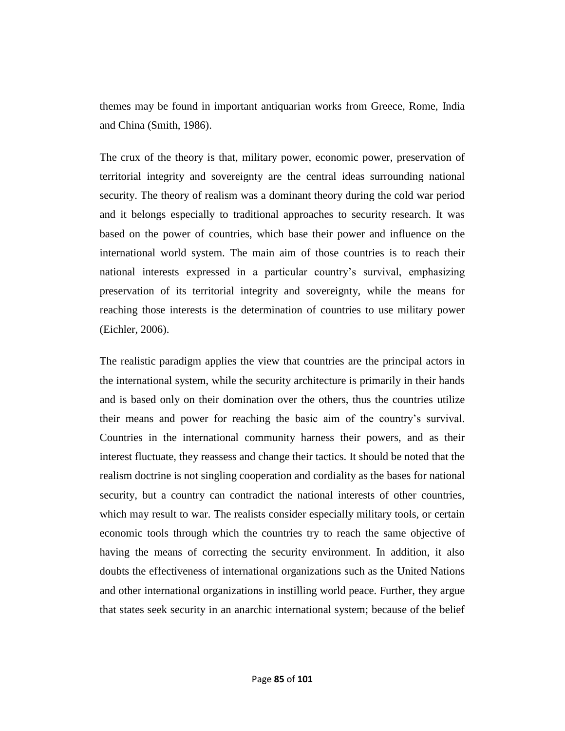themes may be found in important antiquarian works from Greece, Rome, India and China (Smith, 1986).

The crux of the theory is that, military power, economic power, preservation of territorial integrity and sovereignty are the central ideas surrounding national security. The theory of realism was a dominant theory during the cold war period and it belongs especially to traditional approaches to security research. It was based on the power of countries, which base their power and influence on the international world system. The main aim of those countries is to reach their national interests expressed in a particular country's survival, emphasizing preservation of its territorial integrity and sovereignty, while the means for reaching those interests is the determination of countries to use military power (Eichler, 2006).

The realistic paradigm applies the view that countries are the principal actors in the international system, while the security architecture is primarily in their hands and is based only on their domination over the others, thus the countries utilize their means and power for reaching the basic aim of the country's survival. Countries in the international community harness their powers, and as their interest fluctuate, they reassess and change their tactics. It should be noted that the realism doctrine is not singling cooperation and cordiality as the bases for national security, but a country can contradict the national interests of other countries, which may result to war. The realists consider especially military tools, or certain economic tools through which the countries try to reach the same objective of having the means of correcting the security environment. In addition, it also doubts the effectiveness of international organizations such as the United Nations and other international organizations in instilling world peace. Further, they argue that states seek security in an anarchic international system; because of the belief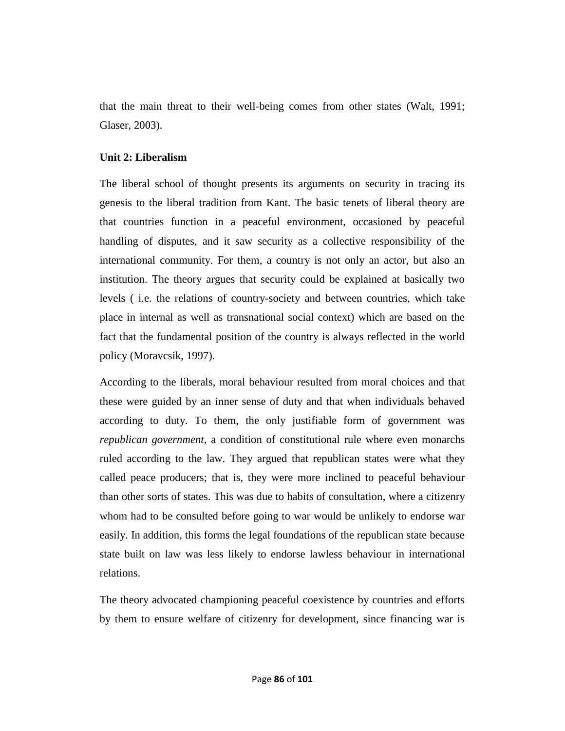that the main threat to their well-being comes from other states (Walt, 1991; Glaser, 2003).

# **Unit 2: Liberalism**

The liberal school of thought presents its arguments on security in tracing its genesis to the liberal tradition from Kant. The basic tenets of liberal theory are that countries function in a peaceful environment, occasioned by peaceful handling of disputes, and it saw security as a collective responsibility of the international community. For them, a country is not only an actor, but also an institution. The theory argues that security could be explained at basically two levels ( i.e. the relations of country-society and between countries, which take place in internal as well as transnational social context) which are based on the fact that the fundamental position of the country is always reflected in the world policy (Moravcsik, 1997).

According to the liberals, moral behaviour resulted from moral choices and that these were guided by an inner sense of duty and that when individuals behaved according to duty. To them, the only justifiable form of government was *republican government*, a condition of constitutional rule where even monarchs ruled according to the law. They argued that republican states were what they called peace producers; that is, they were more inclined to peaceful behaviour than other sorts of states. This was due to habits of consultation, where a citizenry whom had to be consulted before going to war would be unlikely to endorse war easily. In addition, this forms the legal foundations of the republican state because state built on law was less likely to endorse lawless behaviour in international relations.

The theory advocated championing peaceful coexistence by countries and efforts by them to ensure welfare of citizenry for development, since financing war is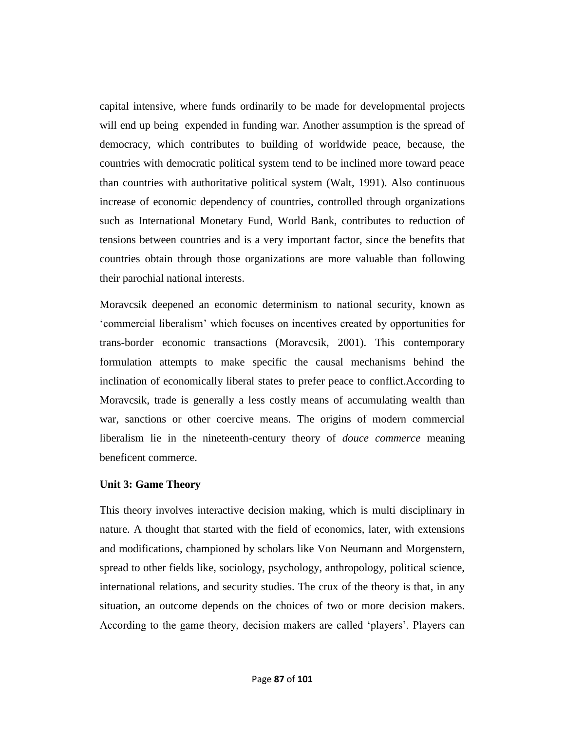capital intensive, where funds ordinarily to be made for developmental projects will end up being expended in funding war. Another assumption is the spread of democracy, which contributes to building of worldwide peace, because, the countries with democratic political system tend to be inclined more toward peace than countries with authoritative political system (Walt, 1991). Also continuous increase of economic dependency of countries, controlled through organizations such as International Monetary Fund, World Bank, contributes to reduction of tensions between countries and is a very important factor, since the benefits that countries obtain through those organizations are more valuable than following their parochial national interests.

Moravcsik deepened an economic determinism to national security, known as ‗commercial liberalism' which focuses on incentives created by opportunities for trans-border economic transactions (Moravcsik, 2001). This contemporary formulation attempts to make specific the causal mechanisms behind the inclination of economically liberal states to prefer peace to conflict.According to Moravcsik, trade is generally a less costly means of accumulating wealth than war, sanctions or other coercive means. The origins of modern commercial liberalism lie in the nineteenth-century theory of *douce commerce* meaning beneficent commerce.

#### **Unit 3: Game Theory**

This theory involves interactive decision making, which is multi disciplinary in nature. A thought that started with the field of economics, later, with extensions and modifications, championed by scholars like Von Neumann and Morgenstern, spread to other fields like, sociology, psychology, anthropology, political science, international relations, and security studies. The crux of the theory is that, in any situation, an outcome depends on the choices of two or more decision makers. According to the game theory, decision makers are called 'players'. Players can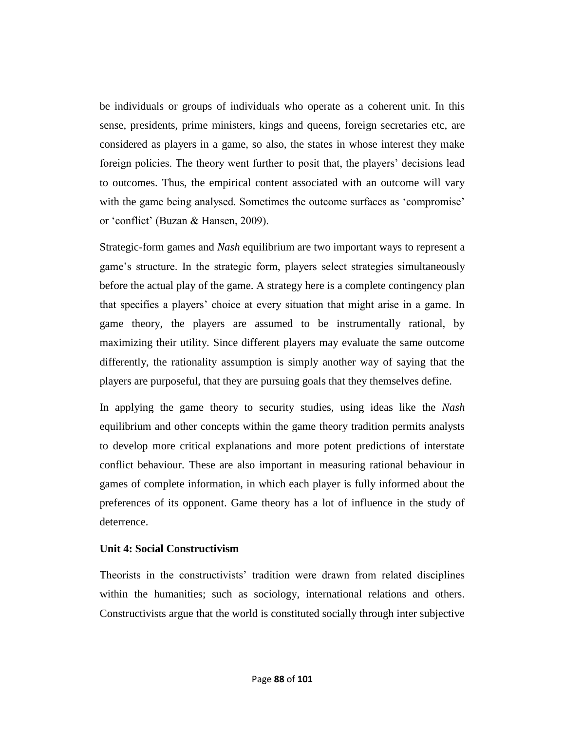be individuals or groups of individuals who operate as a coherent unit. In this sense, presidents, prime ministers, kings and queens, foreign secretaries etc, are considered as players in a game, so also, the states in whose interest they make foreign policies. The theory went further to posit that, the players' decisions lead to outcomes. Thus, the empirical content associated with an outcome will vary with the game being analysed. Sometimes the outcome surfaces as 'compromise' or 'conflict' (Buzan & Hansen, 2009).

Strategic-form games and *Nash* equilibrium are two important ways to represent a game's structure. In the strategic form, players select strategies simultaneously before the actual play of the game. A strategy here is a complete contingency plan that specifies a players' choice at every situation that might arise in a game. In game theory, the players are assumed to be instrumentally rational, by maximizing their utility. Since different players may evaluate the same outcome differently, the rationality assumption is simply another way of saying that the players are purposeful, that they are pursuing goals that they themselves define.

In applying the game theory to security studies, using ideas like the *Nash* equilibrium and other concepts within the game theory tradition permits analysts to develop more critical explanations and more potent predictions of interstate conflict behaviour. These are also important in measuring rational behaviour in games of complete information, in which each player is fully informed about the preferences of its opponent. Game theory has a lot of influence in the study of deterrence.

#### **Unit 4: Social Constructivism**

Theorists in the constructivists' tradition were drawn from related disciplines within the humanities; such as sociology, international relations and others. Constructivists argue that the world is constituted socially through inter subjective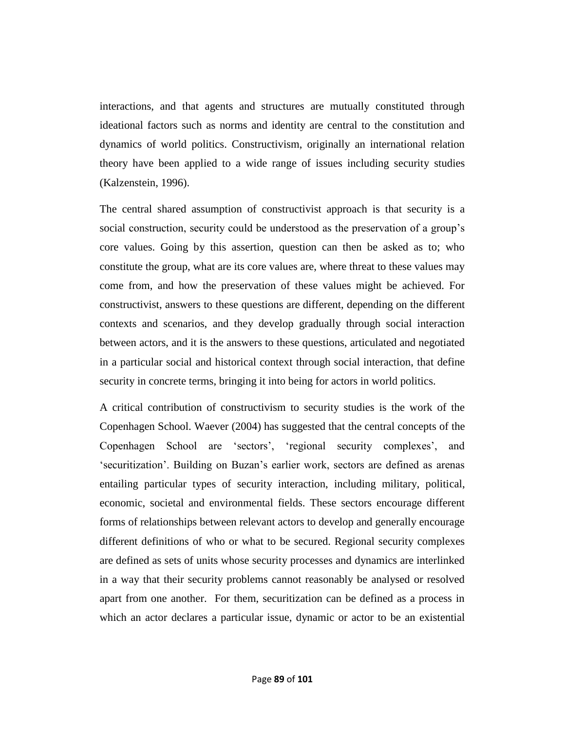interactions, and that agents and structures are mutually constituted through ideational factors such as norms and identity are central to the constitution and dynamics of world politics. Constructivism, originally an international relation theory have been applied to a wide range of issues including security studies (Kalzenstein, 1996).

The central shared assumption of constructivist approach is that security is a social construction, security could be understood as the preservation of a group's core values. Going by this assertion, question can then be asked as to; who constitute the group, what are its core values are, where threat to these values may come from, and how the preservation of these values might be achieved. For constructivist, answers to these questions are different, depending on the different contexts and scenarios, and they develop gradually through social interaction between actors, and it is the answers to these questions, articulated and negotiated in a particular social and historical context through social interaction, that define security in concrete terms, bringing it into being for actors in world politics.

A critical contribution of constructivism to security studies is the work of the Copenhagen School. Waever (2004) has suggested that the central concepts of the Copenhagen School are 'sectors', 'regional security complexes', and ‗securitization'. Building on Buzan's earlier work, sectors are defined as arenas entailing particular types of security interaction, including military, political, economic, societal and environmental fields. These sectors encourage different forms of relationships between relevant actors to develop and generally encourage different definitions of who or what to be secured. Regional security complexes are defined as sets of units whose security processes and dynamics are interlinked in a way that their security problems cannot reasonably be analysed or resolved apart from one another. For them, securitization can be defined as a process in which an actor declares a particular issue, dynamic or actor to be an existential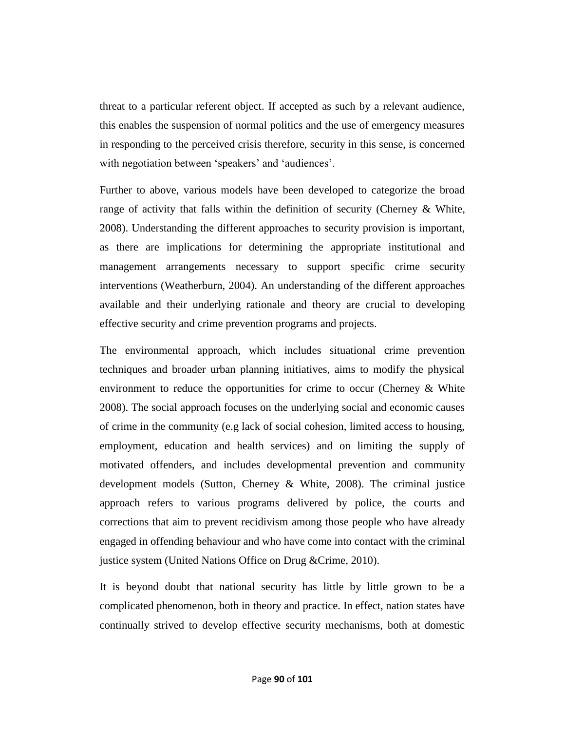threat to a particular referent object. If accepted as such by a relevant audience, this enables the suspension of normal politics and the use of emergency measures in responding to the perceived crisis therefore, security in this sense, is concerned with negotiation between 'speakers' and 'audiences'.

Further to above, various models have been developed to categorize the broad range of activity that falls within the definition of security (Cherney & White, 2008). Understanding the different approaches to security provision is important, as there are implications for determining the appropriate institutional and management arrangements necessary to support specific crime security interventions (Weatherburn, 2004). An understanding of the different approaches available and their underlying rationale and theory are crucial to developing effective security and crime prevention programs and projects.

The environmental approach, which includes situational crime prevention techniques and broader urban planning initiatives, aims to modify the physical environment to reduce the opportunities for crime to occur (Cherney  $\&$  White 2008). The social approach focuses on the underlying social and economic causes of crime in the community (e.g lack of social cohesion, limited access to housing, employment, education and health services) and on limiting the supply of motivated offenders, and includes developmental prevention and community development models (Sutton, Cherney & White, 2008). The criminal justice approach refers to various programs delivered by police, the courts and corrections that aim to prevent recidivism among those people who have already engaged in offending behaviour and who have come into contact with the criminal justice system (United Nations Office on Drug &Crime, 2010).

It is beyond doubt that national security has little by little grown to be a complicated phenomenon, both in theory and practice. In effect, nation states have continually strived to develop effective security mechanisms, both at domestic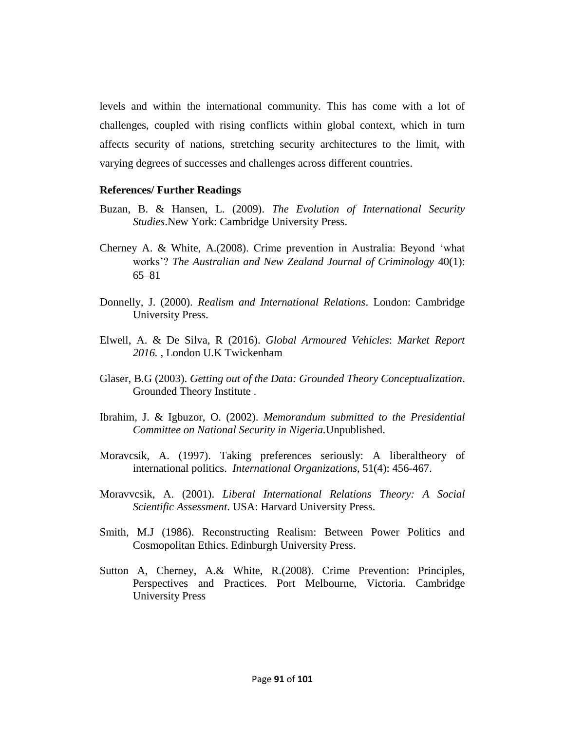levels and within the international community. This has come with a lot of challenges, coupled with rising conflicts within global context, which in turn affects security of nations, stretching security architectures to the limit, with varying degrees of successes and challenges across different countries.

#### **References/ Further Readings**

- Buzan, B. & Hansen, L. (2009). *The Evolution of International Security Studies*.New York: Cambridge University Press.
- Cherney A. & White, A. (2008). Crime prevention in Australia: Beyond 'what works'? *The Australian and New Zealand Journal of Criminology* 40(1): 65–81
- Donnelly, J. (2000). *Realism and International Relations*. London: Cambridge University Press.
- Elwell, A. & De Silva, R (2016). *Global Armoured Vehicles*: *Market Report 2016.* , London U.K Twickenham
- Glaser, B.G (2003). *Getting out of the Data: Grounded Theory Conceptualization*. Grounded Theory Institute .
- Ibrahim, J. & Igbuzor, O. (2002). *Memorandum submitted to the Presidential Committee on National Security in Nigeria.*Unpublished.
- Moravcsik, A. (1997). Taking preferences seriously: A liberaltheory of international politics. *International Organizations*, 51(4): 456-467.
- Moravvcsik, A. (2001). *Liberal International Relations Theory: A Social Scientific Assessment*. USA: Harvard University Press.
- Smith, M.J (1986). Reconstructing Realism: Between Power Politics and Cosmopolitan Ethics. Edinburgh University Press.
- Sutton A, Cherney, A.& White, R.(2008). Crime Prevention: Principles, Perspectives and Practices. Port Melbourne, Victoria. Cambridge University Press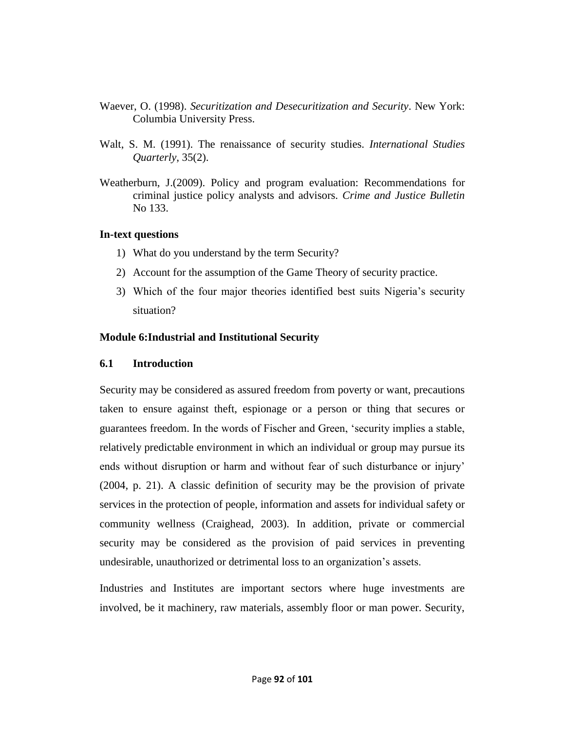- Waever, O. (1998). *Securitization and Desecuritization and Security*. New York: Columbia University Press.
- Walt, S. M. (1991). The renaissance of security studies. *International Studies Quarterly*, 35(2).
- Weatherburn, J.(2009). Policy and program evaluation: Recommendations for criminal justice policy analysts and advisors. *Crime and Justice Bulletin*  No 133.

# **In-text questions**

- 1) What do you understand by the term Security?
- 2) Account for the assumption of the Game Theory of security practice.
- 3) Which of the four major theories identified best suits Nigeria's security situation?

# **Module 6:Industrial and Institutional Security**

# **6.1 Introduction**

Security may be considered as assured freedom from poverty or want, precautions taken to ensure against theft, espionage or a person or thing that secures or guarantees freedom. In the words of Fischer and Green, ‗security implies a stable, relatively predictable environment in which an individual or group may pursue its ends without disruption or harm and without fear of such disturbance or injury' (2004, p. 21). A classic definition of security may be the provision of private services in the protection of people, information and assets for individual safety or community wellness (Craighead, 2003). In addition, private or commercial security may be considered as the provision of paid services in preventing undesirable, unauthorized or detrimental loss to an organization's assets.

Industries and Institutes are important sectors where huge investments are involved, be it machinery, raw materials, assembly floor or man power. Security,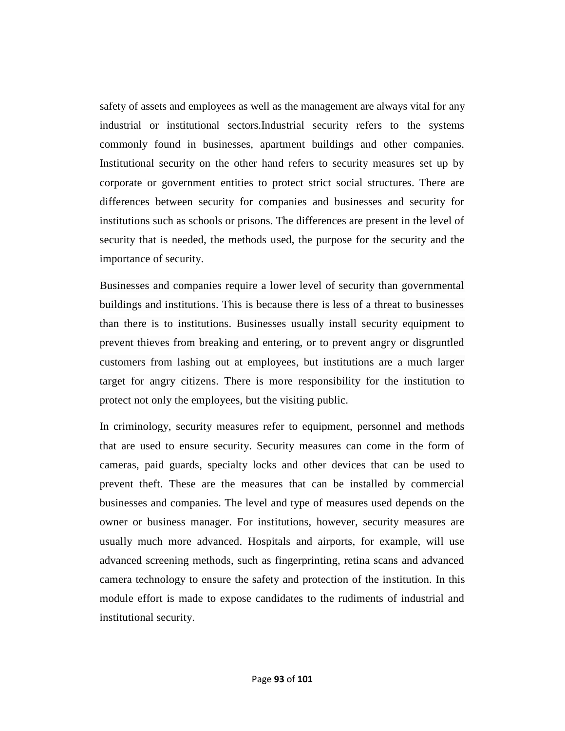safety of assets and employees as well as the management are always vital for any industrial or institutional sectors.Industrial security refers to the systems commonly found in businesses, apartment buildings and other companies. Institutional security on the other hand refers to security measures set up by corporate or government entities to protect strict social structures. There are differences between security for companies and businesses and security for institutions such as schools or prisons. The differences are present in the level of security that is needed, the methods used, the purpose for the security and the importance of security.

Businesses and companies require a lower level of security than governmental buildings and institutions. This is because there is less of a threat to businesses than there is to institutions. Businesses usually install security equipment to prevent thieves from breaking and entering, or to prevent angry or disgruntled customers from lashing out at employees, but institutions are a much larger target for angry citizens. There is more responsibility for the institution to protect not only the employees, but the visiting public.

In criminology, security measures refer to equipment, personnel and methods that are used to ensure security. Security measures can come in the form of cameras, paid guards, specialty locks and other devices that can be used to prevent theft. These are the measures that can be installed by commercial businesses and companies. The level and type of measures used depends on the owner or business manager. For institutions, however, security measures are usually much more advanced. Hospitals and airports, for example, will use advanced screening methods, such as fingerprinting, retina scans and advanced camera technology to ensure the safety and protection of the institution. In this module effort is made to expose candidates to the rudiments of industrial and institutional security.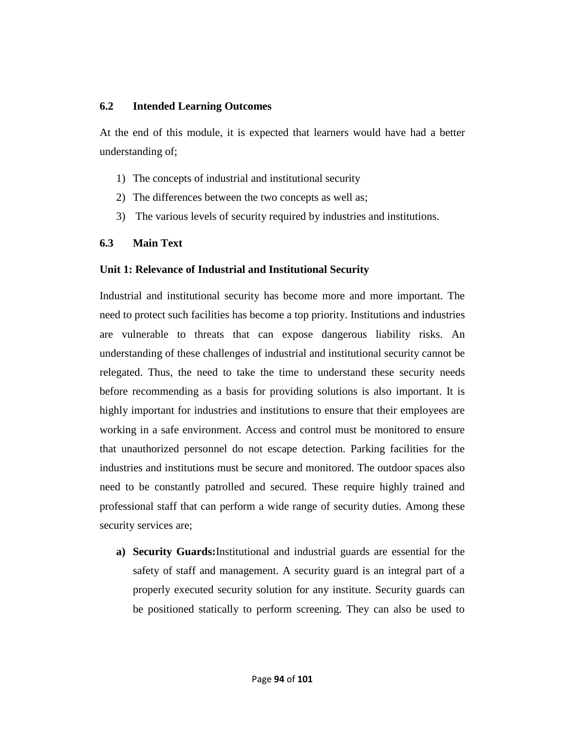#### **6.2 Intended Learning Outcomes**

At the end of this module, it is expected that learners would have had a better understanding of;

- 1) The concepts of industrial and institutional security
- 2) The differences between the two concepts as well as;
- 3) The various levels of security required by industries and institutions.

# **6.3 Main Text**

# **Unit 1: Relevance of Industrial and Institutional Security**

Industrial and institutional security has become more and more important. The need to protect such facilities has become a top priority. Institutions and industries are vulnerable to threats that can expose dangerous liability risks. An understanding of these challenges of industrial and institutional security cannot be relegated. Thus, the need to take the time to understand these security needs before recommending as a basis for providing solutions is also important. It is highly important for industries and institutions to ensure that their employees are working in a safe environment. Access and control must be monitored to ensure that unauthorized personnel do not escape detection. Parking facilities for the industries and institutions must be secure and monitored. The outdoor spaces also need to be constantly patrolled and secured. These require highly trained and professional staff that can perform a wide range of security duties. Among these security services are;

**a) Security Guards:**Institutional and industrial guards are essential for the safety of staff and management. A security guard is an integral part of a properly executed security solution for any institute. Security guards can be positioned statically to perform screening. They can also be used to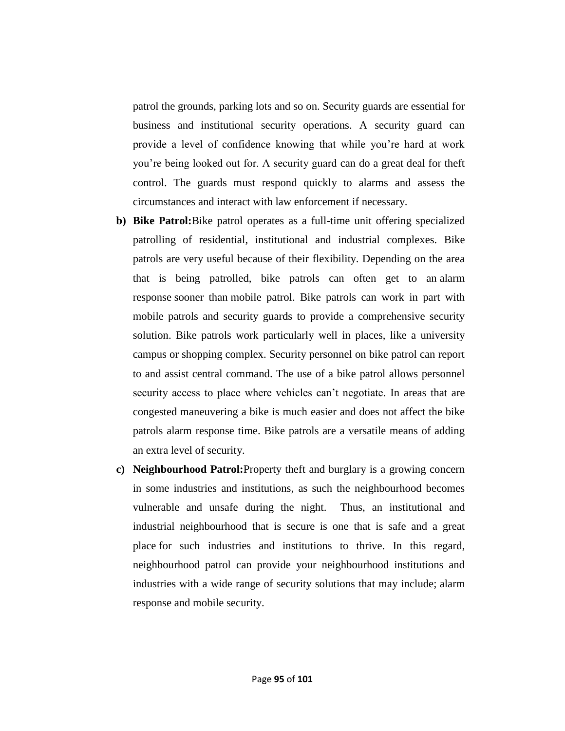patrol the grounds, parking lots and so on. Security guards are essential for business and institutional security operations. A security guard can provide a level of confidence knowing that while you're hard at work you're being looked out for. A security guard can do a great deal for theft control. The guards must respond quickly to alarms and assess the circumstances and interact with law enforcement if necessary.

- **b) Bike Patrol:**Bike patrol operates as a full-time unit offering specialized patrolling of residential, institutional and industrial complexes. Bike patrols are very useful because of their flexibility. Depending on the area that is being patrolled, bike patrols can often get to an [alarm](http://www.unicornsecurity.com/security-services/alarm-response/)  [response](http://www.unicornsecurity.com/security-services/alarm-response/) sooner than [mobile patrol.](http://www.unicornsecurity.com/security-services/mobile-security/) Bike patrols can work in part with mobile patrols and security guards to provide a comprehensive security solution. Bike patrols work particularly well in places, like a university campus or shopping complex. Security personnel on bike patrol can report to and assist central command. The use of a bike patrol allows personnel security access to place where vehicles can't negotiate. In areas that are congested maneuvering a bike is much easier and does not affect the bike patrols alarm response time. Bike patrols are a versatile means of adding an extra level of security.
- **c) Neighbourhood Patrol:**Property theft and burglary is a growing concern in some industries and institutions, as such the neighbourhood becomes vulnerable and unsafe during the night. Thus, an institutional and industrial neighbourhood that is secure is one that is safe and a great place for such industries and institutions to thrive. In this regard, neighbourhood patrol can provide your neighbourhood institutions and industries with a wide range of security solutions that may include; [alarm](http://www.unicornsecurity.com/security-services/alarm-response/)  [response](http://www.unicornsecurity.com/security-services/alarm-response/) and [mobile security.](http://www.unicornsecurity.com/security-services/mobile-security/)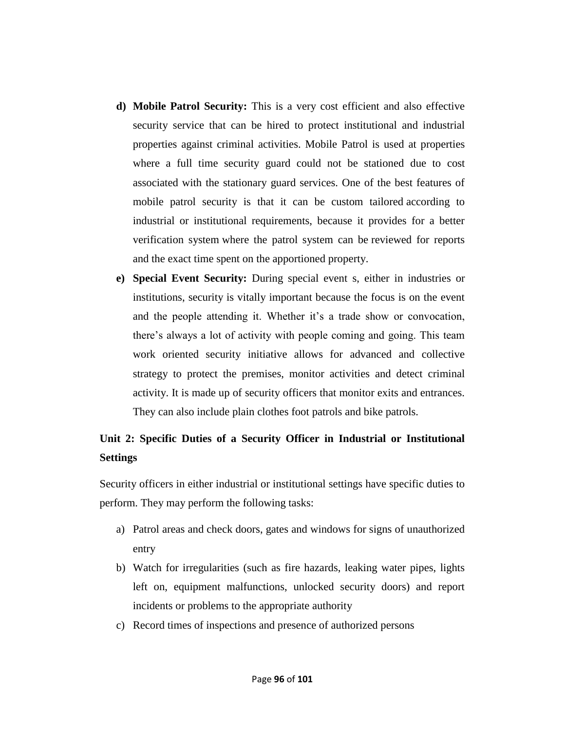- **d) Mobile Patrol Security:** This is a very cost efficient and also effective security service that can be hired to protect institutional and industrial properties against criminal activities. Mobile Patrol is used at properties where a full time security guard could not be stationed due to cost associated with the stationary guard services. One of the best features of mobile patrol security is that it can be custom tailored according to industrial or institutional requirements, because it provides for a better verification system where the patrol system can be reviewed for reports and the exact time spent on the apportioned property.
- **e) Special Event Security:** During special event s, either in industries or institutions, security is vitally important because the focus is on the event and the people attending it. Whether it's a trade show or convocation, there's always a lot of activity with people coming and going. This team work oriented security initiative allows for advanced and collective strategy to protect the premises, monitor activities and detect criminal activity. It is made up of security officers that monitor exits and entrances. They can also include plain clothes foot patrols and bike patrols.

# **Unit 2: Specific Duties of a Security Officer in Industrial or Institutional Settings**

Security officers in either industrial or institutional settings have specific duties to perform. They may perform the following tasks:

- a) Patrol areas and check doors, gates and windows for signs of unauthorized entry
- b) Watch for irregularities (such as fire hazards, leaking water pipes, lights left on, equipment malfunctions, unlocked security doors) and report incidents or problems to the appropriate authority
- c) Record times of inspections and presence of authorized persons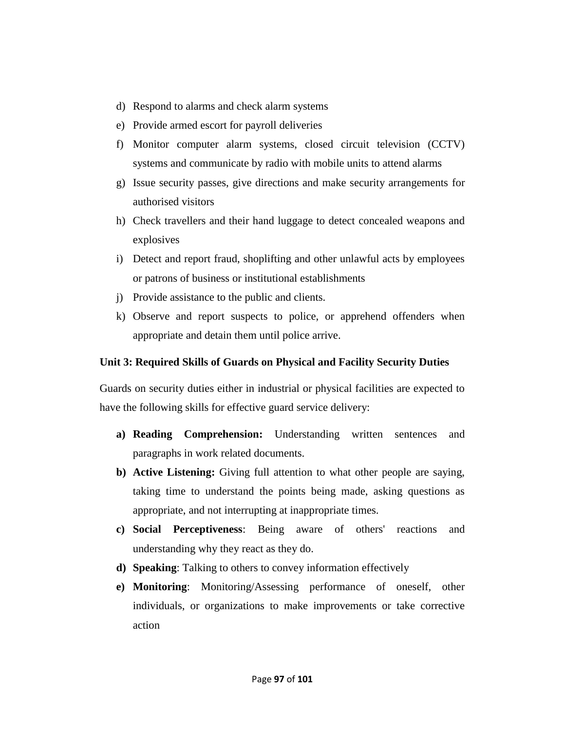- d) Respond to alarms and check alarm systems
- e) Provide armed escort for payroll deliveries
- f) Monitor computer alarm systems, closed circuit television (CCTV) systems and communicate by radio with mobile units to attend alarms
- g) Issue security passes, give directions and make security arrangements for authorised visitors
- h) Check travellers and their hand luggage to detect concealed weapons and explosives
- i) Detect and report fraud, shoplifting and other unlawful acts by employees or patrons of business or institutional establishments
- j) Provide assistance to the public and clients.
- k) Observe and report suspects to police, or apprehend offenders when appropriate and detain them until police arrive.

# **Unit 3: Required Skills of Guards on Physical and Facility Security Duties**

Guards on security duties either in industrial or physical facilities are expected to have the following skills for effective guard service delivery:

- **a) Reading Comprehension:** Understanding written sentences and paragraphs in work related documents.
- **b) Active Listening:** Giving full attention to what other people are saying, taking time to understand the points being made, asking questions as appropriate, and not interrupting at inappropriate times.
- **c) Social Perceptiveness**: Being aware of others' reactions and understanding why they react as they do.
- **d) Speaking**: Talking to others to convey information effectively
- **e) Monitoring**: Monitoring/Assessing performance of oneself, other individuals, or organizations to make improvements or take corrective action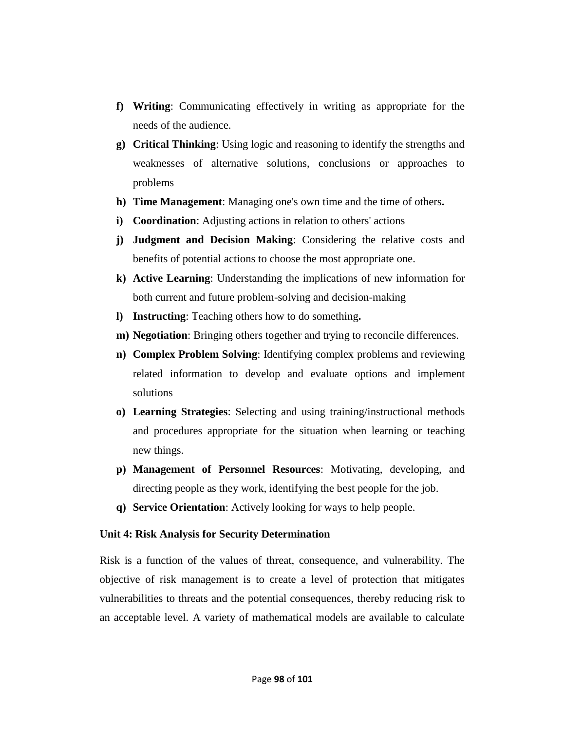- **f) Writing**: Communicating effectively in writing as appropriate for the needs of the audience.
- **g) Critical Thinking**: Using logic and reasoning to identify the strengths and weaknesses of alternative solutions, conclusions or approaches to problems
- **h) Time Management**: Managing one's own time and the time of others**.**
- **i) Coordination**: Adjusting actions in relation to others' actions
- **j) Judgment and Decision Making**: Considering the relative costs and benefits of potential actions to choose the most appropriate one.
- **k) Active Learning**: Understanding the implications of new information for both current and future problem-solving and decision-making
- **l) Instructing**: Teaching others how to do something**.**
- **m) Negotiation**: Bringing others together and trying to reconcile differences.
- **n) Complex Problem Solving**: Identifying complex problems and reviewing related information to develop and evaluate options and implement solutions
- **o) Learning Strategies**: Selecting and using training/instructional methods and procedures appropriate for the situation when learning or teaching new things.
- **p) Management of Personnel Resources**: Motivating, developing, and directing people as they work, identifying the best people for the job.
- **q) Service Orientation**: Actively looking for ways to help people.

#### **Unit 4: Risk Analysis for Security Determination**

Risk is a function of the values of threat, consequence, and vulnerability. The objective of risk management is to create a level of protection that mitigates vulnerabilities to threats and the potential consequences, thereby reducing risk to an acceptable level. A variety of mathematical models are available to calculate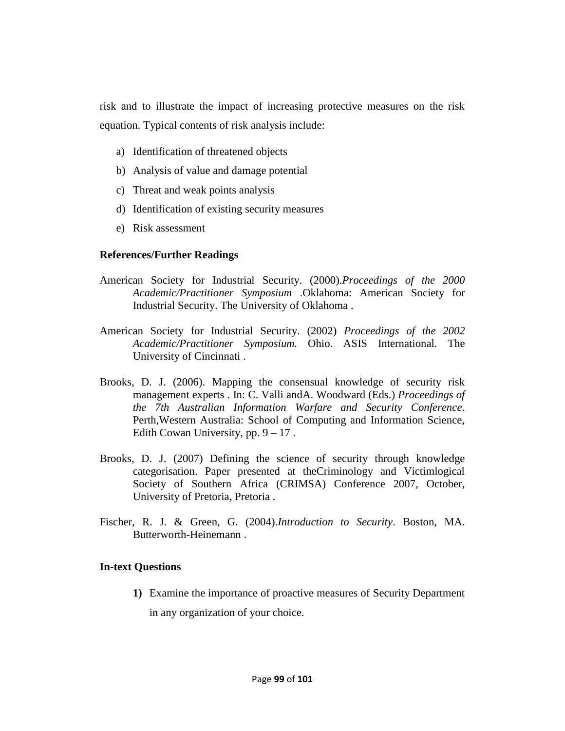risk and to illustrate the impact of increasing protective measures on the risk equation. Typical contents of risk analysis include:

- a) Identification of threatened objects
- b) Analysis of value and damage potential
- c) Threat and weak points analysis
- d) Identification of existing security measures
- e) Risk assessment

# **References/Further Readings**

- American Society for Industrial Security. (2000).*Proceedings of the 2000 Academic/Practitioner Symposium* .Oklahoma: American Society for Industrial Security. The University of Oklahoma .
- American Society for Industrial Security. (2002) *Proceedings of the 2002 Academic/Practitioner Symposium.* Ohio. ASIS International. The University of Cincinnati .
- Brooks, D. J. (2006). Mapping the consensual knowledge of security risk management experts . In: C. Valli andA. Woodward (Eds.) *Proceedings of the 7th Australian Information Warfare and Security Conference*. Perth,Western Australia: School of Computing and Information Science, Edith Cowan University, pp.  $9 - 17$ .
- Brooks, D. J. (2007) Defining the science of security through knowledge categorisation. Paper presented at theCriminology and Victimlogical Society of Southern Africa (CRIMSA) Conference 2007, October, University of Pretoria, Pretoria .
- Fischer, R. J. & Green, G. (2004).*Introduction to Security*. Boston, MA. Butterworth-Heinemann .

#### **In-text Questions**

**1)** Examine the importance of proactive measures of Security Department in any organization of your choice.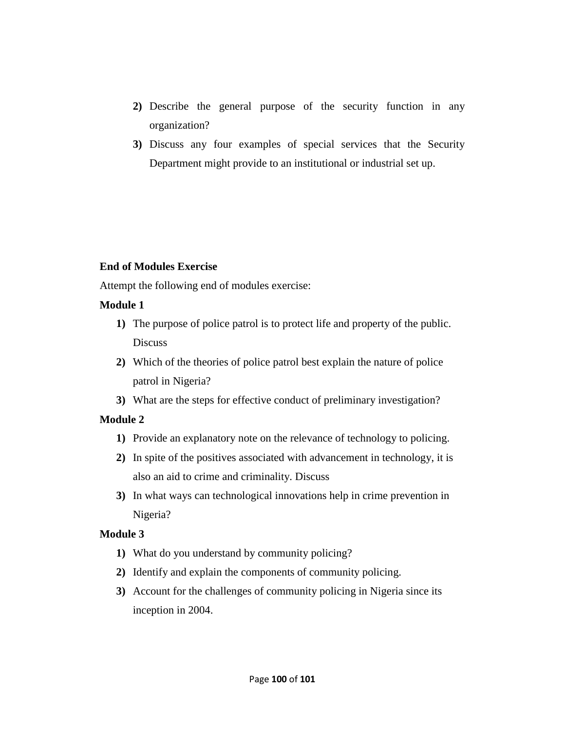- **2)** Describe the general purpose of the security function in any organization?
- **3)** Discuss any four examples of special services that the Security Department might provide to an institutional or industrial set up.

# **End of Modules Exercise**

Attempt the following end of modules exercise:

# **Module 1**

- **1)** The purpose of police patrol is to protect life and property of the public. **Discuss**
- **2)** Which of the theories of police patrol best explain the nature of police patrol in Nigeria?
- **3)** What are the steps for effective conduct of preliminary investigation?

# **Module 2**

- **1)** Provide an explanatory note on the relevance of technology to policing.
- **2)** In spite of the positives associated with advancement in technology, it is also an aid to crime and criminality. Discuss
- **3)** In what ways can technological innovations help in crime prevention in Nigeria?

# **Module 3**

- **1)** What do you understand by community policing?
- **2)** Identify and explain the components of community policing.
- **3)** Account for the challenges of community policing in Nigeria since its inception in 2004.